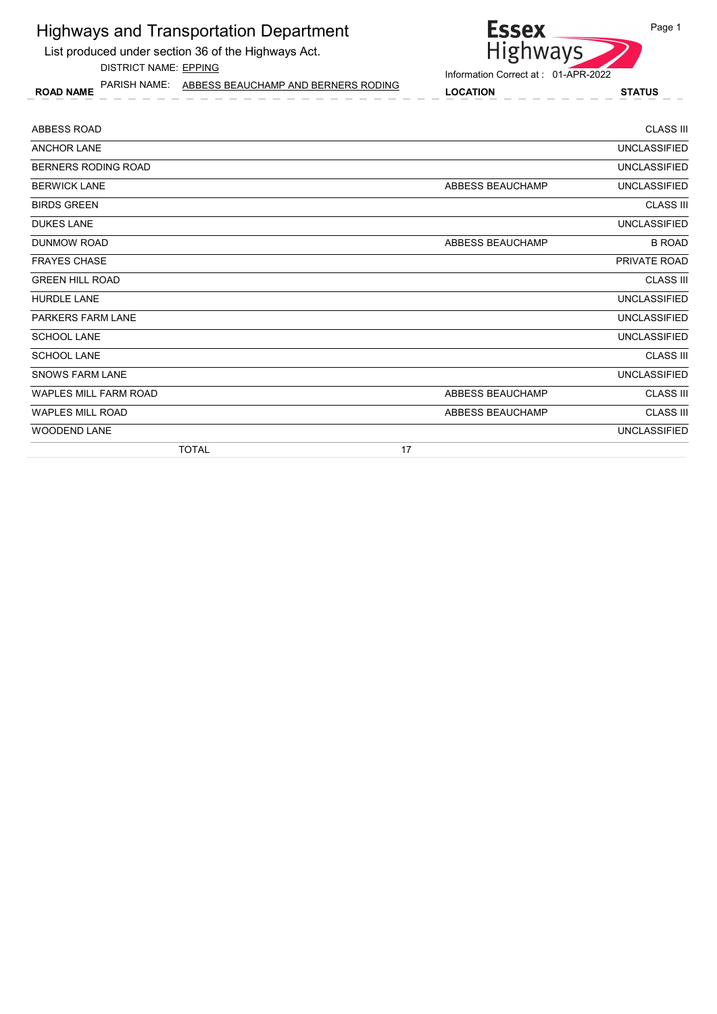List produced under section 36 of the Highways Act.

DISTRICT NAME: EPPING

ROAD NAME LOCATION STATUS PARISH NAME: ABBESS BEAUCHAMP AND BERNERS RODING



| ABBESS ROAD                  |                  | <b>CLASS III</b>    |
|------------------------------|------------------|---------------------|
| <b>ANCHOR LANE</b>           |                  | <b>UNCLASSIFIED</b> |
| BERNERS RODING ROAD          |                  | <b>UNCLASSIFIED</b> |
| <b>BERWICK LANE</b>          | ABBESS BEAUCHAMP | <b>UNCLASSIFIED</b> |
| <b>BIRDS GREEN</b>           |                  | <b>CLASS III</b>    |
| <b>DUKES LANE</b>            |                  | <b>UNCLASSIFIED</b> |
| <b>DUNMOW ROAD</b>           | ABBESS BEAUCHAMP | <b>B ROAD</b>       |
| <b>FRAYES CHASE</b>          |                  | PRIVATE ROAD        |
| <b>GREEN HILL ROAD</b>       |                  | <b>CLASS III</b>    |
| HURDLE LANE                  |                  | <b>UNCLASSIFIED</b> |
| <b>PARKERS FARM LANE</b>     |                  | <b>UNCLASSIFIED</b> |
| <b>SCHOOL LANE</b>           |                  | <b>UNCLASSIFIED</b> |
| <b>SCHOOL LANE</b>           |                  | <b>CLASS III</b>    |
| <b>SNOWS FARM LANE</b>       |                  | <b>UNCLASSIFIED</b> |
| <b>WAPLES MILL FARM ROAD</b> | ABBESS BEAUCHAMP | <b>CLASS III</b>    |
| <b>WAPLES MILL ROAD</b>      | ABBESS BEAUCHAMP | <b>CLASS III</b>    |
| <b>WOODEND LANE</b>          |                  | <b>UNCLASSIFIED</b> |
| <b>TOTAL</b>                 | 17               |                     |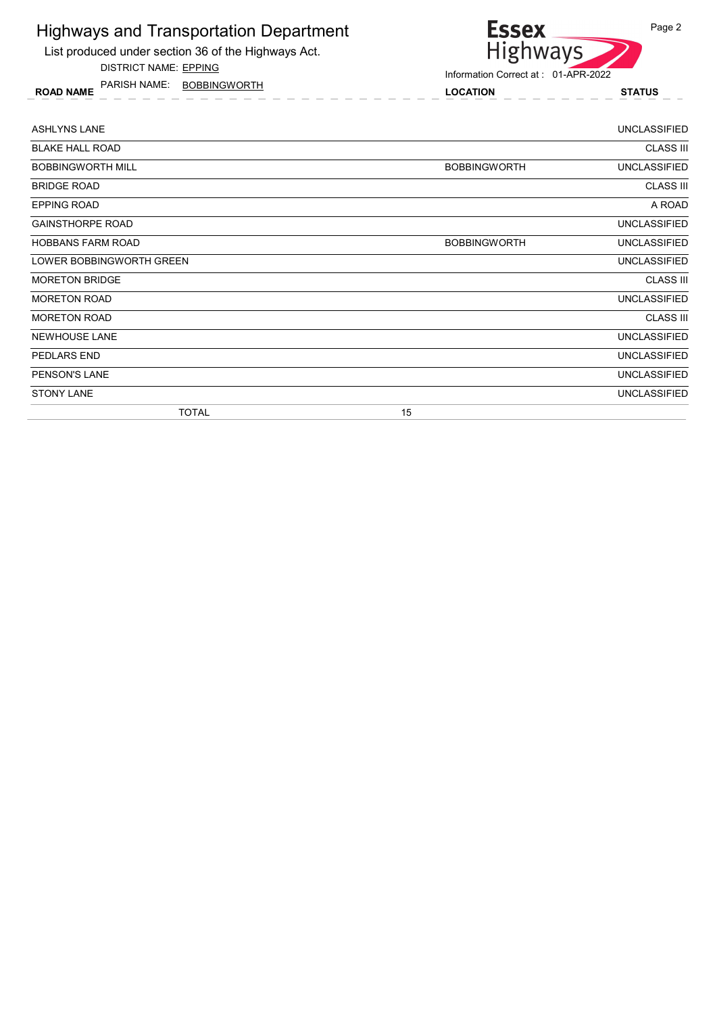List produced under section 36 of the Highways Act.

DISTRICT NAME: EPPING

ROAD NAME LOCATION STATUS PARISH NAME: BOBBINGWORTH



| <b>ASHLYNS LANE</b>      |                     | <b>UNCLASSIFIED</b> |
|--------------------------|---------------------|---------------------|
| <b>BLAKE HALL ROAD</b>   |                     | <b>CLASS III</b>    |
| <b>BOBBINGWORTH MILL</b> | <b>BOBBINGWORTH</b> | <b>UNCLASSIFIED</b> |
| <b>BRIDGE ROAD</b>       |                     | <b>CLASS III</b>    |
| <b>EPPING ROAD</b>       |                     | A ROAD              |
| <b>GAINSTHORPE ROAD</b>  |                     | <b>UNCLASSIFIED</b> |
| <b>HOBBANS FARM ROAD</b> | <b>BOBBINGWORTH</b> | <b>UNCLASSIFIED</b> |
| LOWER BOBBINGWORTH GREEN |                     | <b>UNCLASSIFIED</b> |
| <b>MORETON BRIDGE</b>    |                     | <b>CLASS III</b>    |
| <b>MORETON ROAD</b>      |                     | <b>UNCLASSIFIED</b> |
| <b>MORETON ROAD</b>      |                     | <b>CLASS III</b>    |
| <b>NEWHOUSE LANE</b>     |                     | <b>UNCLASSIFIED</b> |
| PEDLARS END              |                     | <b>UNCLASSIFIED</b> |
| PENSON'S LANE            |                     | <b>UNCLASSIFIED</b> |
| <b>STONY LANE</b>        |                     | <b>UNCLASSIFIED</b> |
| <b>TOTAL</b>             | 15                  |                     |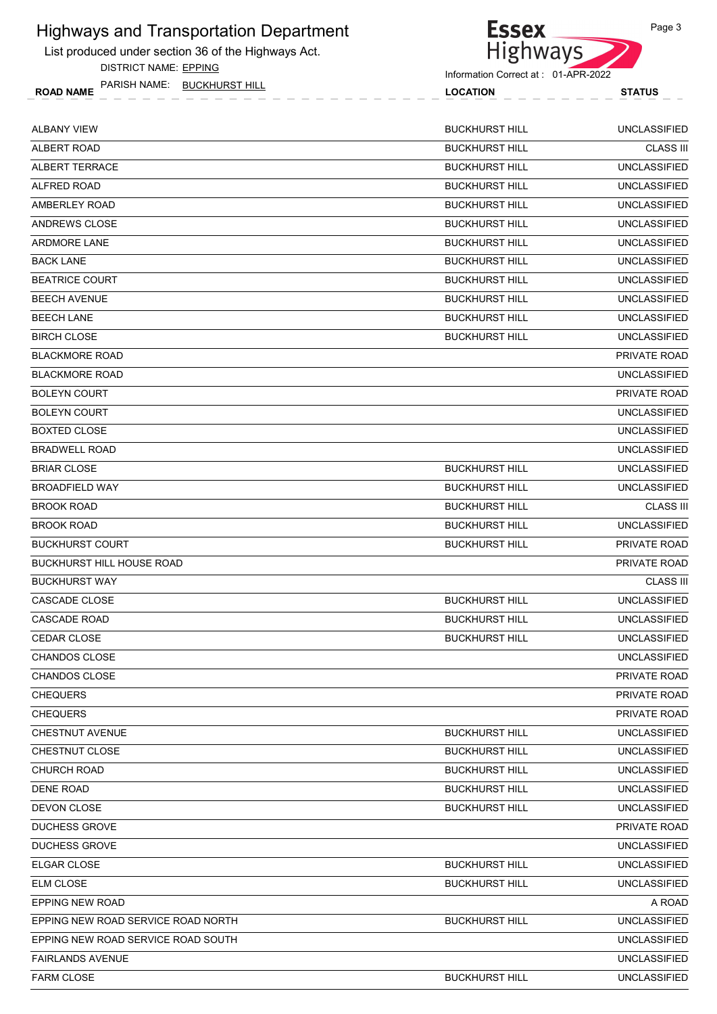List produced under section 36 of the Highways Act.

DISTRICT NAME: EPPING

PARISH NAME: BUCKHURST HILL



Information Correct at : 01-APR-2022

| <b>FANOLINAME.</b><br><b>BUCKHONG FILLE</b><br><b>ROAD NAME</b> | <b>LOCATION</b>       | <b>STATUS</b>       |
|-----------------------------------------------------------------|-----------------------|---------------------|
| ALBANY VIEW                                                     | <b>BUCKHURST HILL</b> | <b>UNCLASSIFIED</b> |
| ALBERT ROAD                                                     | <b>BUCKHURST HILL</b> | <b>CLASS III</b>    |
| ALBERT TERRACE                                                  | <b>BUCKHURST HILL</b> | <b>UNCLASSIFIED</b> |
| ALFRED ROAD                                                     | <b>BUCKHURST HILL</b> | <b>UNCLASSIFIED</b> |
| AMBERLEY ROAD                                                   | <b>BUCKHURST HILL</b> | <b>UNCLASSIFIED</b> |
| ANDREWS CLOSE                                                   | <b>BUCKHURST HILL</b> | <b>UNCLASSIFIED</b> |
| ARDMORE LANE                                                    | <b>BUCKHURST HILL</b> | <b>UNCLASSIFIED</b> |
| BACK LANE                                                       | <b>BUCKHURST HILL</b> | <b>UNCLASSIFIED</b> |
|                                                                 |                       |                     |
| BEATRICE COURT                                                  | <b>BUCKHURST HILL</b> | <b>UNCLASSIFIED</b> |
| BEECH AVENUE                                                    | <b>BUCKHURST HILL</b> | <b>UNCLASSIFIED</b> |
| BEECH LANE                                                      | <b>BUCKHURST HILL</b> | <b>UNCLASSIFIED</b> |
| BIRCH CLOSE                                                     | <b>BUCKHURST HILL</b> | <b>UNCLASSIFIED</b> |
| BLACKMORE ROAD                                                  |                       | <b>PRIVATE ROAD</b> |
| BLACKMORE ROAD                                                  |                       | <b>UNCLASSIFIED</b> |
| <b>BOLEYN COURT</b>                                             |                       | <b>PRIVATE ROAD</b> |
| BOLEYN COURT                                                    |                       | <b>UNCLASSIFIED</b> |
| <b>BOXTED CLOSE</b>                                             |                       | <b>UNCLASSIFIED</b> |
| BRADWELL ROAD                                                   |                       | <b>UNCLASSIFIED</b> |
| BRIAR CLOSE                                                     | <b>BUCKHURST HILL</b> | <b>UNCLASSIFIED</b> |
| BROADFIELD WAY                                                  | <b>BUCKHURST HILL</b> | <b>UNCLASSIFIED</b> |
| BROOK ROAD                                                      | <b>BUCKHURST HILL</b> | <b>CLASS III</b>    |
| BROOK ROAD                                                      | <b>BUCKHURST HILL</b> | <b>UNCLASSIFIED</b> |
| <b>BUCKHURST COURT</b>                                          | <b>BUCKHURST HILL</b> | PRIVATE ROAD        |
| BUCKHURST HILL HOUSE ROAD                                       |                       | PRIVATE ROAD        |
| BUCKHURST WAY                                                   |                       | <b>CLASS III</b>    |
| CASCADE CLOSE                                                   | <b>BUCKHURST HILL</b> | <b>UNCLASSIFIED</b> |
| <b>CASCADE ROAD</b>                                             | <b>BUCKHURST HILL</b> | <b>UNCLASSIFIED</b> |
| CEDAR CLOSE                                                     | <b>BUCKHURST HILL</b> | <b>UNCLASSIFIED</b> |
| CHANDOS CLOSE                                                   |                       | <b>UNCLASSIFIED</b> |
| CHANDOS CLOSE                                                   |                       | PRIVATE ROAD        |
| CHEQUERS                                                        |                       | PRIVATE ROAD        |
| CHEQUERS                                                        |                       | PRIVATE ROAD        |
| CHESTNUT AVENUE                                                 | <b>BUCKHURST HILL</b> | <b>UNCLASSIFIED</b> |
| CHESTNUT CLOSE                                                  | <b>BUCKHURST HILL</b> | <b>UNCLASSIFIED</b> |
| CHURCH ROAD                                                     | <b>BUCKHURST HILL</b> | <b>UNCLASSIFIED</b> |
| <b>DENE ROAD</b>                                                | <b>BUCKHURST HILL</b> | <b>UNCLASSIFIED</b> |
| DEVON CLOSE                                                     | <b>BUCKHURST HILL</b> | <b>UNCLASSIFIED</b> |
| <b>DUCHESS GROVE</b>                                            |                       | PRIVATE ROAD        |
| <b>DUCHESS GROVE</b>                                            |                       | <b>UNCLASSIFIED</b> |
| ELGAR CLOSE                                                     | <b>BUCKHURST HILL</b> | <b>UNCLASSIFIED</b> |
| ELM CLOSE                                                       | <b>BUCKHURST HILL</b> | <b>UNCLASSIFIED</b> |
| EPPING NEW ROAD                                                 |                       | A ROAD              |
|                                                                 |                       |                     |

EPPING NEW ROAD SERVICE ROAD NORTH BUCKHURST HILL UNCLASSIFIED EPPING NEW ROAD SERVICE ROAD SOUTH UNCLASSIFIED

FAIRLANDS AVENUE UNCLASSIFIED

FARM CLOSE BUCKHURST HILL UNCLASSIFIED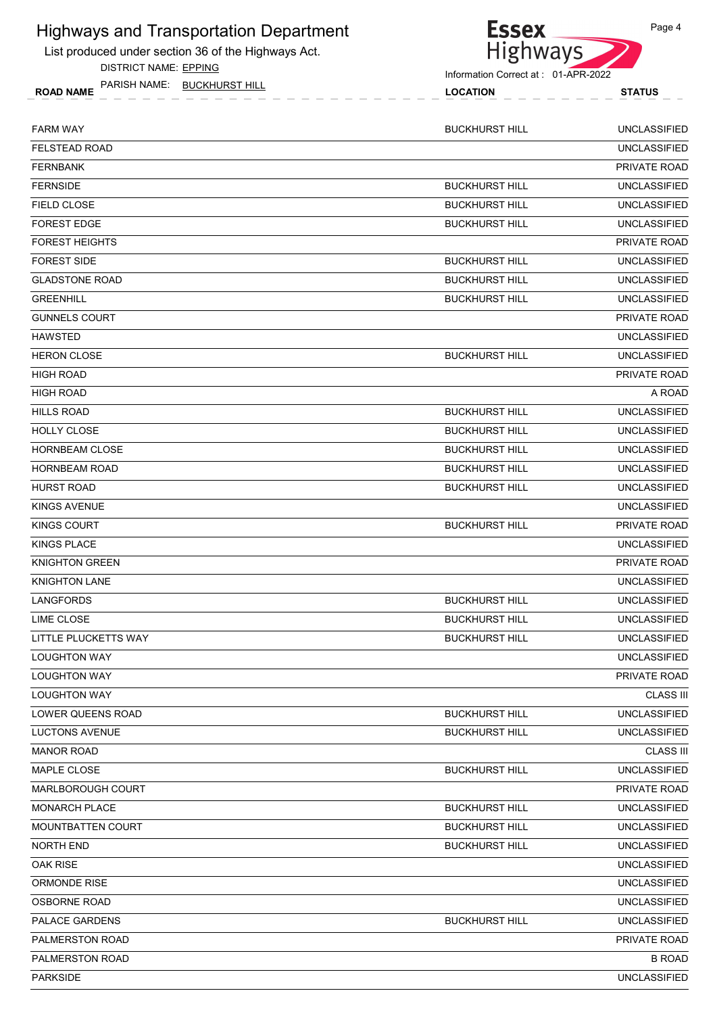

Page 4

| List produced under section 36 of the Highways Act. | Highways<br>Information Correct at: 01-APR-2022 |                     |  |
|-----------------------------------------------------|-------------------------------------------------|---------------------|--|
| <b>DISTRICT NAME: EPPING</b>                        |                                                 |                     |  |
| PARISH NAME: BUCKHURST HILL<br><b>ROAD NAME</b>     | <b>LOCATION</b>                                 | <b>STATUS</b>       |  |
| <b>FARM WAY</b>                                     | <b>BUCKHURST HILL</b>                           | <b>UNCLASSIFIED</b> |  |
| <b>FELSTEAD ROAD</b>                                |                                                 | <b>UNCLASSIFIED</b> |  |
| <b>FERNBANK</b>                                     |                                                 | PRIVATE ROAD        |  |
| FERNSIDE                                            | <b>BUCKHURST HILL</b>                           | <b>UNCLASSIFIED</b> |  |
| FIELD CLOSE                                         | <b>BUCKHURST HILL</b>                           | <b>UNCLASSIFIED</b> |  |
| <b>FOREST EDGE</b>                                  | <b>BUCKHURST HILL</b>                           | <b>UNCLASSIFIED</b> |  |
| <b>FOREST HEIGHTS</b>                               |                                                 | PRIVATE ROAD        |  |
| <b>FOREST SIDE</b>                                  | <b>BUCKHURST HILL</b>                           | <b>UNCLASSIFIED</b> |  |
| <b>GLADSTONE ROAD</b>                               | <b>BUCKHURST HILL</b>                           | <b>UNCLASSIFIED</b> |  |
| <b>GREENHILL</b>                                    | <b>BUCKHURST HILL</b>                           | <b>UNCLASSIFIED</b> |  |
| <b>GUNNELS COURT</b>                                |                                                 | PRIVATE ROAD        |  |
| <b>HAWSTED</b>                                      |                                                 | <b>UNCLASSIFIED</b> |  |
| <b>HERON CLOSE</b>                                  | <b>BUCKHURST HILL</b>                           | <b>UNCLASSIFIED</b> |  |
| <b>HIGH ROAD</b>                                    |                                                 | PRIVATE ROAD        |  |
| HIGH ROAD                                           |                                                 | A ROAD              |  |
| <b>HILLS ROAD</b>                                   | <b>BUCKHURST HILL</b>                           | <b>UNCLASSIFIED</b> |  |
| <b>HOLLY CLOSE</b>                                  | <b>BUCKHURST HILL</b>                           | <b>UNCLASSIFIED</b> |  |
| <b>HORNBEAM CLOSE</b>                               | <b>BUCKHURST HILL</b>                           | <b>UNCLASSIFIED</b> |  |
| <b>HORNBEAM ROAD</b>                                | <b>BUCKHURST HILL</b>                           | <b>UNCLASSIFIED</b> |  |
| <b>HURST ROAD</b>                                   | <b>BUCKHURST HILL</b>                           | <b>UNCLASSIFIED</b> |  |
| KINGS AVENUE                                        |                                                 | <b>UNCLASSIFIED</b> |  |
| KINGS COURT                                         | <b>BUCKHURST HILL</b>                           | PRIVATE ROAD        |  |
| KINGS PLACE                                         |                                                 | <b>UNCLASSIFIED</b> |  |
| KNIGHTON GRFFN                                      |                                                 | PRIVATE ROAD        |  |

| <b>KNIGHTON LANE</b> |                           | <b>UNCLASSIFIED</b>     |  |  |
|----------------------|---------------------------|-------------------------|--|--|
| LANGFORDS            | `HILL<br><b>BUCKHURST</b> | <b>ASSIFIED</b><br>UNCL |  |  |

LIME CLOSE BUCKHURST HILL UNCLASSIFIED LITTLE PLUCKETTS WAY BUCKHURST HILL UNCLASSIFIED

LOUGHTON WAY UNCLASSIFIED LOUGHTON WAY PRIVATE ROAD

LOUGHTON WAY CLASS III LOWER QUEENS ROAD BUCKHURST HILL UNCLASSIFIED LUCTONS AVENUE BUCKHURST HILL UNCLASSIFIED

MANOR ROAD CLASS III

MAPLE CLOSE BUCKHURST HILL UNCLASSIFIED MARLBOROUGH COURT **EXAMPLE ROAD** 

MONARCH PLACE BUCKHURST HILL UNCLASSIFIED

MOUNTBATTEN COURT BUCKHURST HILL UNCLASSIFIED

NORTH END BUCKHURST HILL UNCLASSIFIED

OAK RISE UNCLASSIFIED

ORMONDE RISE UNCLASSIFIED

OSBORNE ROAD UNCLASSIFIED

PALACE GARDENS BUCKHURST HILL UNCLASSIFIED

PALMERSTON ROAD PRIVATE ROAD PRIVATE ROAD PRIVATE ROAD PRIVATE ROAD PRIVATE ROAD

PALMERSTON ROAD B ROAD

PARKSIDE UNCLASSIFIED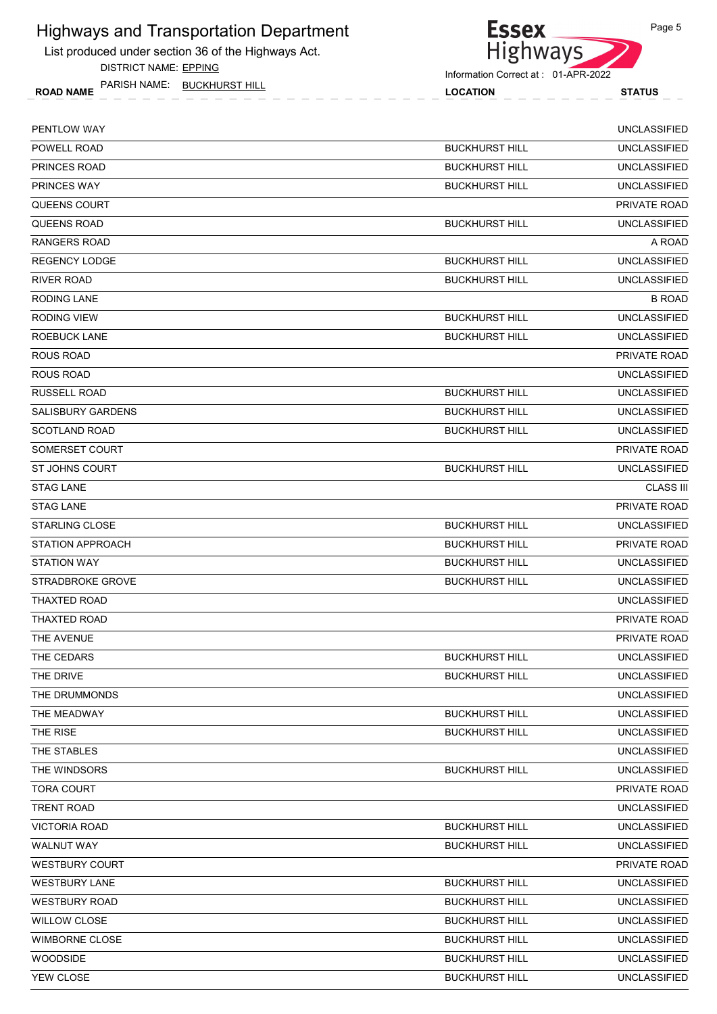List produced under section 36 of the Highways Act.

DISTRICT NAME: EPPING

PARISH NAME: B

| PARISH NAME: BUCKHURST HILL<br><b>ROAD NAME</b> | <b>LOCATION</b>       | <b>STATUS</b>       |
|-------------------------------------------------|-----------------------|---------------------|
| PENTLOW WAY                                     |                       | <b>UNCLASSIFIED</b> |
| POWELL ROAD                                     | <b>BUCKHURST HILL</b> | <b>UNCLASSIFIED</b> |
| PRINCES ROAD                                    | <b>BUCKHURST HILL</b> | <b>UNCLASSIFIED</b> |
| PRINCES WAY                                     | <b>BUCKHURST HILL</b> | <b>UNCLASSIFIED</b> |
| QUEENS COURT                                    |                       | <b>PRIVATE ROAD</b> |
| QUEENS ROAD                                     | <b>BUCKHURST HILL</b> | <b>UNCLASSIFIED</b> |
| RANGERS ROAD                                    |                       | A ROAD              |
| REGENCY LODGE                                   | <b>BUCKHURST HILL</b> | <b>UNCLASSIFIED</b> |
| RIVER ROAD                                      | <b>BUCKHURST HILL</b> | <b>UNCLASSIFIED</b> |
| RODING LANE                                     |                       | <b>B ROAD</b>       |
| RODING VIEW                                     | <b>BUCKHURST HILL</b> | <b>UNCLASSIFIED</b> |
| ROEBUCK LANE                                    | <b>BUCKHURST HILL</b> | <b>UNCLASSIFIED</b> |
| ROUS ROAD                                       |                       | PRIVATE ROAD        |
| ROUS ROAD                                       |                       | <b>UNCLASSIFIED</b> |
| RUSSELL ROAD                                    | <b>BUCKHURST HILL</b> | <b>UNCLASSIFIED</b> |
| SALISBURY GARDENS                               | <b>BUCKHURST HILL</b> | <b>UNCLASSIFIED</b> |
| SCOTLAND ROAD                                   | <b>BUCKHURST HILL</b> | <b>UNCLASSIFIED</b> |
| SOMERSET COURT                                  |                       | PRIVATE ROAD        |
| ST JOHNS COURT                                  | <b>BUCKHURST HILL</b> | <b>UNCLASSIFIED</b> |
| STAG LANE                                       |                       | <b>CLASS III</b>    |
| STAG LANE                                       |                       | PRIVATE ROAD        |
| <b>STARLING CLOSE</b>                           | <b>BUCKHURST HILL</b> | <b>UNCLASSIFIED</b> |
| STATION APPROACH                                | <b>BUCKHURST HILL</b> | PRIVATE ROAD        |
| STATION WAY                                     | <b>BUCKHURST HILL</b> | <b>UNCLASSIFIED</b> |
| STRADBROKE GROVE                                | <b>BUCKHURST HILL</b> | <b>UNCLASSIFIED</b> |
| THAXTED ROAD                                    |                       | <b>UNCLASSIFIED</b> |
| THAXTED ROAD                                    |                       | PRIVATE ROAD        |
| THE AVENUE                                      |                       | PRIVATE ROAD        |
| THE CEDARS                                      | <b>BUCKHURST HILL</b> | <b>UNCLASSIFIED</b> |
| THE DRIVE                                       | <b>BUCKHURST HILL</b> | <b>UNCLASSIFIED</b> |
| THE DRUMMONDS                                   |                       | <b>UNCLASSIFIED</b> |
| THE MEADWAY                                     | <b>BUCKHURST HILL</b> | <b>UNCLASSIFIED</b> |
| THE RISE                                        | <b>BUCKHURST HILL</b> | <b>UNCLASSIFIED</b> |
| THE STABLES                                     |                       | <b>UNCLASSIFIED</b> |
| THE WINDSORS                                    | <b>BUCKHURST HILL</b> | <b>UNCLASSIFIED</b> |
| TORA COURT                                      |                       | PRIVATE ROAD        |
| TRENT ROAD                                      |                       | <b>UNCLASSIFIED</b> |
| <b>VICTORIA ROAD</b>                            | <b>BUCKHURST HILL</b> | <b>UNCLASSIFIED</b> |
|                                                 |                       |                     |

| THE WINDSORS   | <b>BUCKHURST HILL</b> | <b>UNCLASSIFIED</b> |
|----------------|-----------------------|---------------------|
| TORA COURT     |                       | <b>PRIVATE ROAD</b> |
| TRENT ROAD     |                       | <b>UNCLASSIFIED</b> |
| VICTORIA ROAD  | <b>BUCKHURST HILL</b> | <b>UNCLASSIFIED</b> |
| WALNUT WAY     | <b>BUCKHURST HILL</b> | UNCLASSIFIED        |
| WESTBURY COURT |                       | <b>PRIVATE ROAD</b> |
| WESTBURY LANE  | <b>BUCKHURST HILL</b> | UNCLASSIFIED        |
| WESTBURY ROAD  | <b>BUCKHURST HILL</b> | <b>UNCLASSIFIED</b> |
| WILLOW CLOSE   | <b>BUCKHURST HILL</b> | UNCLASSIFIED        |
| WIMBORNE CLOSE | <b>BUCKHURST HILL</b> | <b>UNCLASSIFIED</b> |
| WOODSIDE       | <b>BUCKHURST HILL</b> | UNCLASSIFIED        |
| YEW CLOSE      | <b>BUCKHURST HILL</b> | UNCLASSIFIED        |

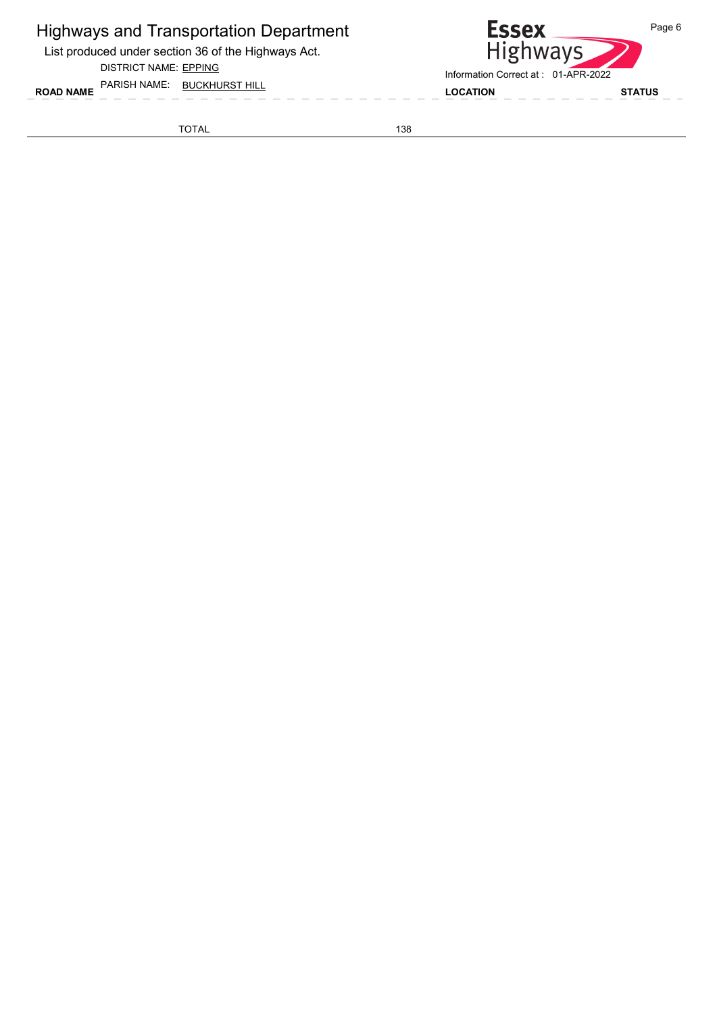List produced under section 36 of the Highways Act.

DISTRICT NAME: EPPING

ROAD NAME LOCATION STATUS PARISH NAME: BUCKHURST HILL

TOTAL 138

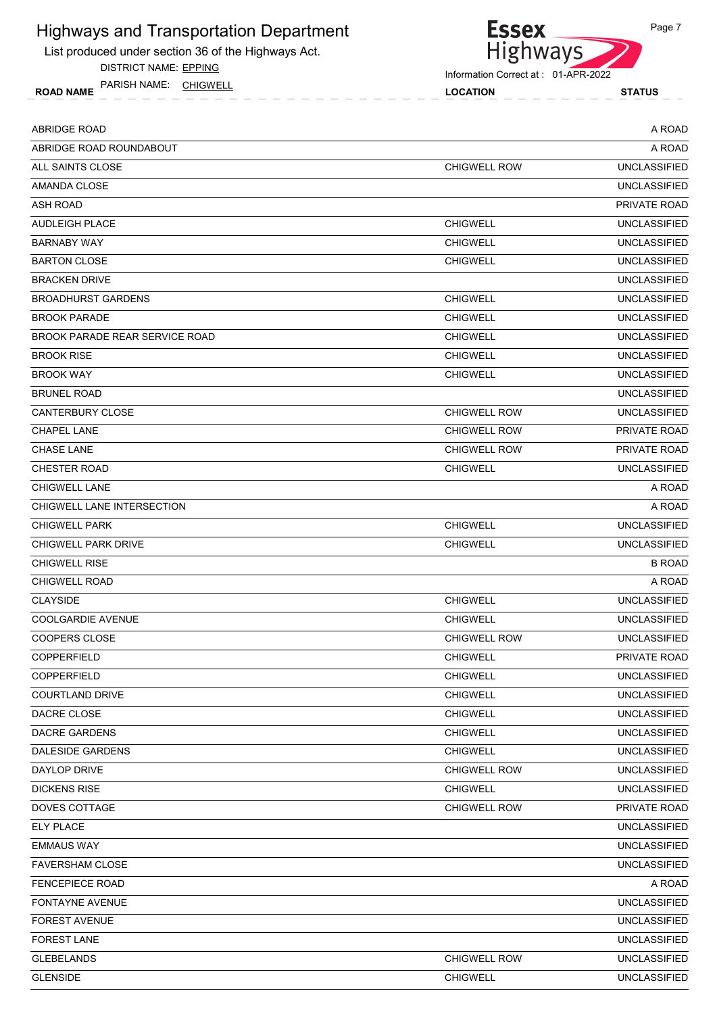List produced under section 36 of the Highways Act.

DISTRICT NAME: EPPING

ROAD NAME LOCATION STATUS PARISH NAME: CHIGWELL



Information Correct at : 01-APR-2022

| <b>ABRIDGE ROAD</b>                   |                     | A ROAD              |
|---------------------------------------|---------------------|---------------------|
| ABRIDGE ROAD ROUNDABOUT               |                     | A ROAD              |
| ALL SAINTS CLOSE                      | <b>CHIGWELL ROW</b> | <b>UNCLASSIFIED</b> |
| AMANDA CLOSE                          |                     | <b>UNCLASSIFIED</b> |
| <b>ASH ROAD</b>                       |                     | <b>PRIVATE ROAD</b> |
| <b>AUDLEIGH PLACE</b>                 | <b>CHIGWELL</b>     | <b>UNCLASSIFIED</b> |
| <b>BARNABY WAY</b>                    | <b>CHIGWELL</b>     | <b>UNCLASSIFIED</b> |
| <b>BARTON CLOSE</b>                   | <b>CHIGWELL</b>     | <b>UNCLASSIFIED</b> |
| <b>BRACKEN DRIVE</b>                  |                     | <b>UNCLASSIFIED</b> |
| <b>BROADHURST GARDENS</b>             | <b>CHIGWELL</b>     | <b>UNCLASSIFIED</b> |
| <b>BROOK PARADE</b>                   | <b>CHIGWELL</b>     | <b>UNCLASSIFIED</b> |
| <b>BROOK PARADE REAR SERVICE ROAD</b> | <b>CHIGWELL</b>     | <b>UNCLASSIFIED</b> |
| <b>BROOK RISE</b>                     | <b>CHIGWELL</b>     | <b>UNCLASSIFIED</b> |
| <b>BROOK WAY</b>                      | <b>CHIGWELL</b>     | <b>UNCLASSIFIED</b> |
| <b>BRUNEL ROAD</b>                    |                     | <b>UNCLASSIFIED</b> |
| CANTERBURY CLOSE                      | <b>CHIGWELL ROW</b> | <b>UNCLASSIFIED</b> |
| <b>CHAPEL LANE</b>                    | <b>CHIGWELL ROW</b> | PRIVATE ROAD        |
| <b>CHASE LANE</b>                     | <b>CHIGWELL ROW</b> | PRIVATE ROAD        |
| <b>CHESTER ROAD</b>                   | <b>CHIGWELL</b>     | <b>UNCLASSIFIED</b> |
| <b>CHIGWELL LANE</b>                  |                     | A ROAD              |
| CHIGWELL LANE INTERSECTION            |                     | A ROAD              |
| <b>CHIGWELL PARK</b>                  | <b>CHIGWELL</b>     | <b>UNCLASSIFIED</b> |
| <b>CHIGWELL PARK DRIVE</b>            | <b>CHIGWELL</b>     | <b>UNCLASSIFIED</b> |
| <b>CHIGWELL RISE</b>                  |                     | <b>B ROAD</b>       |
| <b>CHIGWELL ROAD</b>                  |                     | A ROAD              |
| <b>CLAYSIDE</b>                       | <b>CHIGWELL</b>     | <b>UNCLASSIFIED</b> |
| COOLGARDIE AVENUE                     | <b>CHIGWELL</b>     | <b>UNCLASSIFIED</b> |
| COOPERS CLOSE                         | <b>CHIGWELL ROW</b> | <b>UNCLASSIFIED</b> |
| <b>COPPERFIELD</b>                    | <b>CHIGWELL</b>     | PRIVATE ROAD        |
| COPPERFIELD                           | <b>CHIGWELL</b>     | <b>UNCLASSIFIED</b> |
| COURTLAND DRIVE                       | <b>CHIGWELL</b>     | <b>UNCLASSIFIED</b> |
| DACRE CLOSE                           | <b>CHIGWELL</b>     | <b>UNCLASSIFIED</b> |
| DACRE GARDENS                         | <b>CHIGWELL</b>     | <b>UNCLASSIFIED</b> |
| DALESIDE GARDENS                      | <b>CHIGWELL</b>     | <b>UNCLASSIFIED</b> |
| DAYLOP DRIVE                          | <b>CHIGWELL ROW</b> | <b>UNCLASSIFIED</b> |
| <b>DICKENS RISE</b>                   | <b>CHIGWELL</b>     | <b>UNCLASSIFIED</b> |
| DOVES COTTAGE                         | CHIGWELL ROW        | PRIVATE ROAD        |
| <b>ELY PLACE</b>                      |                     | <b>UNCLASSIFIED</b> |
| <b>EMMAUS WAY</b>                     |                     | <b>UNCLASSIFIED</b> |
| <b>FAVERSHAM CLOSE</b>                |                     | <b>UNCLASSIFIED</b> |
| <b>FENCEPIECE ROAD</b>                |                     | A ROAD              |
| FONTAYNE AVENUE                       |                     | <b>UNCLASSIFIED</b> |
| <b>FOREST AVENUE</b>                  |                     | <b>UNCLASSIFIED</b> |
| <b>FOREST LANE</b>                    |                     | <b>UNCLASSIFIED</b> |
| <b>GLEBELANDS</b>                     | CHIGWELL ROW        | <b>UNCLASSIFIED</b> |
| <b>GLENSIDE</b>                       | <b>CHIGWELL</b>     | <b>UNCLASSIFIED</b> |
|                                       |                     |                     |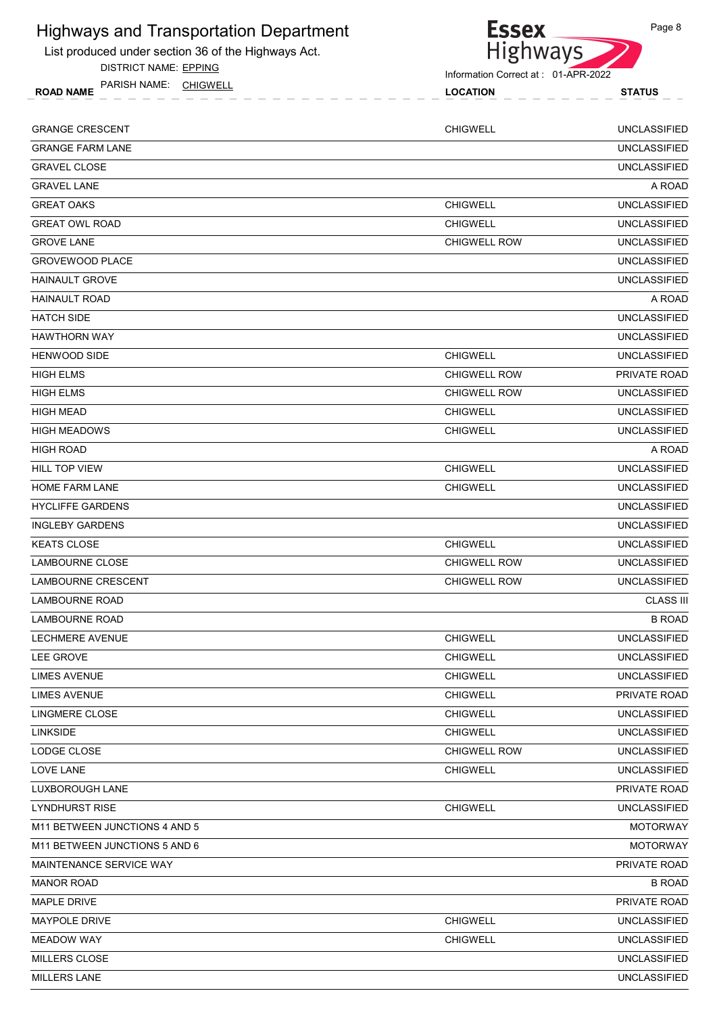List produced under section 36 of the Highways Act.

DISTRICT NAME: EPPING

PARISH NAME: CHIGWELL



Page 8

Information Correct at : 01-APR-2022

| <b>FAINOLITIANE.</b><br>$U$ IIUWLLL<br><b>ROAD NAME</b> | <b>LOCATION</b>     | <b>STATUS</b>       |
|---------------------------------------------------------|---------------------|---------------------|
| <b>GRANGE CRESCENT</b>                                  | <b>CHIGWELL</b>     | <b>UNCLASSIFIED</b> |
| <b>GRANGE FARM LANE</b>                                 |                     | <b>UNCLASSIFIED</b> |
| <b>GRAVEL CLOSE</b>                                     |                     | <b>UNCLASSIFIED</b> |
| <b>GRAVEL LANE</b>                                      |                     | A ROAD              |
| <b>GREAT OAKS</b>                                       | <b>CHIGWELL</b>     | <b>UNCLASSIFIED</b> |
| <b>GREAT OWL ROAD</b>                                   | <b>CHIGWELL</b>     | <b>UNCLASSIFIED</b> |
| <b>GROVE LANE</b>                                       | <b>CHIGWELL ROW</b> | <b>UNCLASSIFIED</b> |
| <b>GROVEWOOD PLACE</b>                                  |                     | <b>UNCLASSIFIED</b> |
| <b>HAINAULT GROVE</b>                                   |                     | <b>UNCLASSIFIED</b> |
| <b>HAINAULT ROAD</b>                                    |                     | A ROAD              |
| <b>HATCH SIDE</b>                                       |                     | <b>UNCLASSIFIED</b> |
| <b>HAWTHORN WAY</b>                                     |                     | <b>UNCLASSIFIED</b> |
| <b>HENWOOD SIDE</b>                                     | <b>CHIGWELL</b>     | <b>UNCLASSIFIED</b> |
| <b>HIGH ELMS</b>                                        | <b>CHIGWELL ROW</b> | PRIVATE ROAD        |
| <b>HIGH ELMS</b>                                        | <b>CHIGWELL ROW</b> | <b>UNCLASSIFIED</b> |
| HIGH MEAD                                               | <b>CHIGWELL</b>     | <b>UNCLASSIFIED</b> |
| <b>HIGH MEADOWS</b>                                     | <b>CHIGWELL</b>     | <b>UNCLASSIFIED</b> |
| <b>HIGH ROAD</b>                                        |                     | A ROAD              |
| <b>HILL TOP VIEW</b>                                    | <b>CHIGWELL</b>     | <b>UNCLASSIFIED</b> |
| <b>HOME FARM LANE</b>                                   | <b>CHIGWELL</b>     | <b>UNCLASSIFIED</b> |
| <b>HYCLIFFE GARDENS</b>                                 |                     | <b>UNCLASSIFIED</b> |
| <b>INGLEBY GARDENS</b>                                  |                     | <b>UNCLASSIFIED</b> |
| <b>KEATS CLOSE</b>                                      | <b>CHIGWELL</b>     | <b>UNCLASSIFIED</b> |
| <b>LAMBOURNE CLOSE</b>                                  | <b>CHIGWELL ROW</b> | <b>UNCLASSIFIED</b> |
| <b>LAMBOURNE CRESCENT</b>                               | <b>CHIGWELL ROW</b> | <b>UNCLASSIFIED</b> |
| LAMBOURNE ROAD                                          |                     | <b>CLASS III</b>    |
| <b>LAMBOURNE ROAD</b>                                   |                     | <b>B ROAD</b>       |
| LECHMERE AVENUE                                         | <b>CHIGWELL</b>     | <b>UNCLASSIFIED</b> |
| LEE GROVE                                               | <b>CHIGWELL</b>     | <b>UNCLASSIFIED</b> |
| <b>LIMES AVENUE</b>                                     | <b>CHIGWELL</b>     | <b>UNCLASSIFIED</b> |
| <b>LIMES AVENUE</b>                                     | <b>CHIGWELL</b>     | PRIVATE ROAD        |
| <b>LINGMERE CLOSE</b>                                   | <b>CHIGWELL</b>     | <b>UNCLASSIFIED</b> |
| <b>LINKSIDE</b>                                         | <b>CHIGWELL</b>     | <b>UNCLASSIFIED</b> |
| LODGE CLOSE                                             | CHIGWELL ROW        | <b>UNCLASSIFIED</b> |
| LOVE LANE                                               | <b>CHIGWELL</b>     | <b>UNCLASSIFIED</b> |
| LUXBOROUGH LANE                                         |                     | PRIVATE ROAD        |
| LYNDHURST RISE                                          | <b>CHIGWELL</b>     | <b>UNCLASSIFIED</b> |
| M11 BETWEEN JUNCTIONS 4 AND 5                           |                     | <b>MOTORWAY</b>     |
| M11 BETWEEN JUNCTIONS 5 AND 6                           |                     | <b>MOTORWAY</b>     |
| MAINTENANCE SERVICE WAY                                 |                     | PRIVATE ROAD        |
| <b>MANOR ROAD</b>                                       |                     | <b>B ROAD</b>       |
| MAPLE DRIVE                                             |                     | PRIVATE ROAD        |
| MAYPOLE DRIVE                                           | <b>CHIGWELL</b>     | <b>UNCLASSIFIED</b> |
| <b>MEADOW WAY</b>                                       | <b>CHIGWELL</b>     | <b>UNCLASSIFIED</b> |
| MILLERS CLOSE                                           |                     | <b>UNCLASSIFIED</b> |

MILLERS LANE UNCLASSIFIED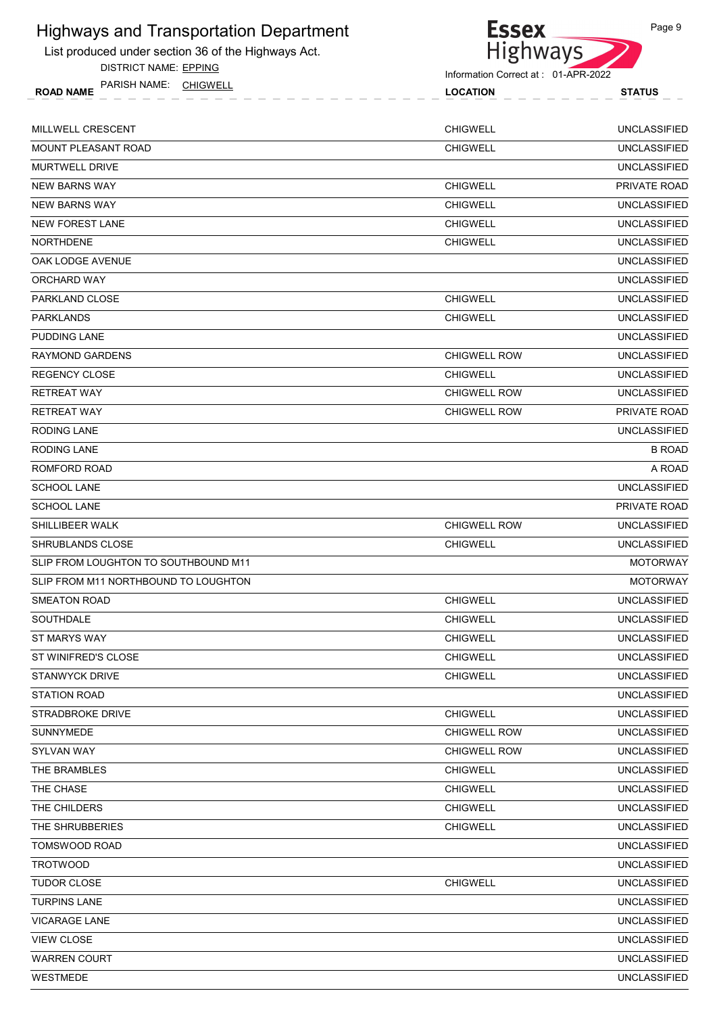

DISTRICT NAME: EPPING



Page 9

Information Correct at : 01-APR-2022

| PARISH NAME: CHIGWELL<br><b>ROAD NAME</b> | <b>LOCATION</b>     | <b>STATUS</b>       |
|-------------------------------------------|---------------------|---------------------|
|                                           |                     |                     |
| MILLWELL CRESCENT                         | <b>CHIGWELL</b>     | <b>UNCLASSIFIED</b> |
| MOUNT PLEASANT ROAD                       | <b>CHIGWELL</b>     | <b>UNCLASSIFIED</b> |
| MURTWELL DRIVE                            |                     | <b>UNCLASSIFIED</b> |
| NEW BARNS WAY                             | <b>CHIGWELL</b>     | PRIVATE ROAD        |
| NEW BARNS WAY                             | <b>CHIGWELL</b>     | <b>UNCLASSIFIED</b> |
| NEW FOREST LANE                           | <b>CHIGWELL</b>     | <b>UNCLASSIFIED</b> |
| NORTHDENE                                 | <b>CHIGWELL</b>     | <b>UNCLASSIFIED</b> |
| OAK LODGE AVENUE                          |                     | <b>UNCLASSIFIED</b> |
| ORCHARD WAY                               |                     | <b>UNCLASSIFIED</b> |
| PARKLAND CLOSE                            | <b>CHIGWELL</b>     | <b>UNCLASSIFIED</b> |
| PARKLANDS                                 | <b>CHIGWELL</b>     | <b>UNCLASSIFIED</b> |
| PUDDING LANE                              |                     | <b>UNCLASSIFIED</b> |
| RAYMOND GARDENS                           | <b>CHIGWELL ROW</b> | UNCLASSIFIED        |
| REGENCY CLOSE                             | <b>CHIGWELL</b>     | <b>UNCLASSIFIED</b> |
| RETREAT WAY                               | <b>CHIGWELL ROW</b> | <b>UNCLASSIFIED</b> |
| RETREAT WAY                               | <b>CHIGWELL ROW</b> | <b>PRIVATE ROAD</b> |
| RODING LANE                               |                     | <b>UNCLASSIFIED</b> |
| RODING LANE                               |                     | <b>B ROAD</b>       |
| ROMFORD ROAD                              |                     | A ROAD              |
| SCHOOL LANE                               |                     | <b>UNCLASSIFIED</b> |
| <b>SCHOOL LANE</b>                        |                     | PRIVATE ROAD        |
| SHILLIBEER WALK                           | <b>CHIGWELL ROW</b> | <b>UNCLASSIFIED</b> |
| SHRUBLANDS CLOSE                          | <b>CHIGWELL</b>     | <b>UNCLASSIFIED</b> |
| SLIP FROM LOUGHTON TO SOUTHBOUND M11      |                     | <b>MOTORWAY</b>     |
| SLIP FROM M11 NORTHBOUND TO LOUGHTON      |                     | <b>MOTORWAY</b>     |
| SMEATON ROAD                              | <b>CHIGWELL</b>     | <b>UNCLASSIFIED</b> |
| SOUTHDALE                                 | <b>CHIGWELL</b>     | <b>UNCLASSIFIED</b> |
| ST MARYS WAY                              | <b>CHIGWELL</b>     | <b>UNCLASSIFIED</b> |
| ST WINIFRED'S CLOSE                       | <b>CHIGWELL</b>     | <b>UNCLASSIFIED</b> |
| <b>STANWYCK DRIVE</b>                     | <b>CHIGWELL</b>     | <b>UNCLASSIFIED</b> |
| <b>STATION ROAD</b>                       |                     | <b>UNCLASSIFIED</b> |

STRADBROKE DRIVE AND THE STRADBROKE DRIVE A STRADBROKE DRIVE AND THE STRADBROKE DRIVE A STRADBROKE ON THE STRA SUNNYMEDE CHIGWELL ROW UNCLASSIFIED SYLVAN WAY CHIGWELL ROW UNCLASSIFIED THE BRAMBLES CHIGWELL CHIGWELL UNCLASSIFIED THE CHASE CHIGWELL AND CHIGWELL CHIGWELL CHIGWELL CHIGWELL CHIGWELL CHIGWELL CHIGWELL CHIGWELL CHIGWELL CHIGWE THE CHILDERS GENERAL EXECUTIVE CHIGWELL AND CHIGWELL CHIGWELL CHIGWE CHIGWE CHIGWE CHIGWE CHIGWE CHIGWE CHIGWE THE SHRUBBERIES **CHIGWELL CHIGWELL** UNCLASSIFIED TOMSWOOD ROAD UNCLASSIFIED TROTWOOD UNCLASSIFIED TUDOR CLOSE CHIGWELL UNCLASSIFIED TURPINS LANE UNCLASSIFIED VICARAGE LANE UNCLASSIFIED VIEW CLOSE UNCLASSIFIED WARREN COURT **UNCLASSIFIED** WESTMEDE UNCLASSIFIED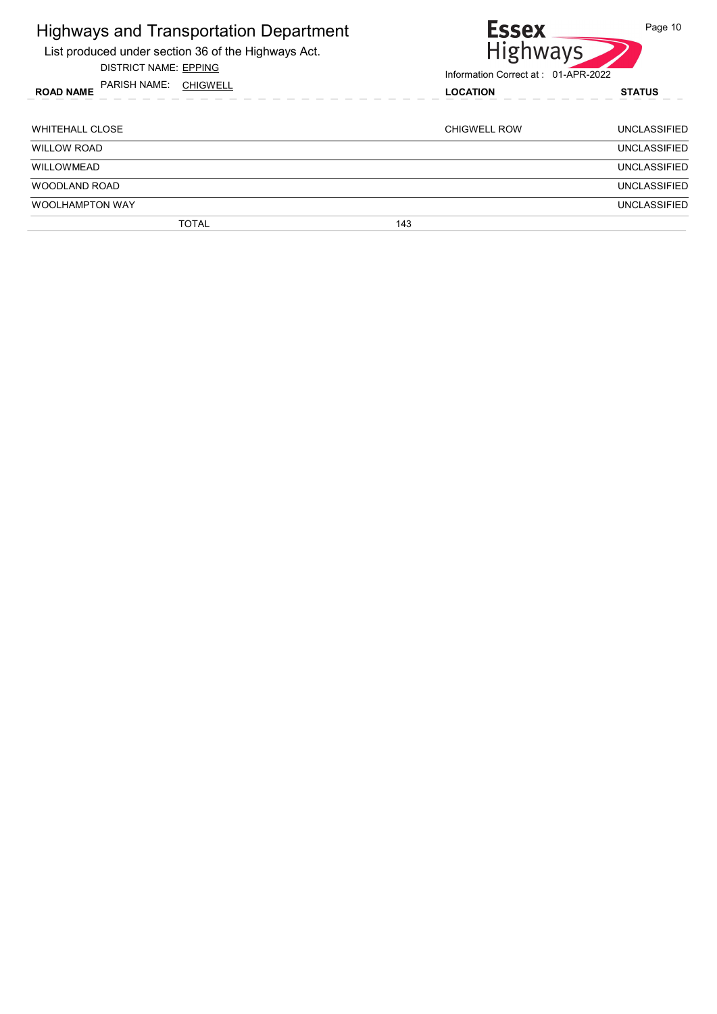| <b>Highways and Transportation Department</b><br>List produced under section 36 of the Highways Act.<br><b>DISTRICT NAME: EPPING</b> |     | <b>Essex</b><br><b>Highways</b><br>Information Correct at: 01-APR-2022 | Page 10             |
|--------------------------------------------------------------------------------------------------------------------------------------|-----|------------------------------------------------------------------------|---------------------|
| PARISH NAME:<br>CHIGWELL<br><b>ROAD NAME</b>                                                                                         |     | <b>LOCATION</b>                                                        | <b>STATUS</b>       |
| <b>WHITEHALL CLOSE</b>                                                                                                               |     | <b>CHIGWELL ROW</b>                                                    | <b>UNCLASSIFIED</b> |
| <b>WILLOW ROAD</b>                                                                                                                   |     |                                                                        | <b>UNCLASSIFIED</b> |
| <b>WILLOWMEAD</b>                                                                                                                    |     |                                                                        | <b>UNCLASSIFIED</b> |
| WOODLAND ROAD                                                                                                                        |     |                                                                        | <b>UNCLASSIFIED</b> |
| <b>WOOLHAMPTON WAY</b>                                                                                                               |     |                                                                        | UNCLASSIFIED        |
| <b>TOTAL</b>                                                                                                                         | 143 |                                                                        |                     |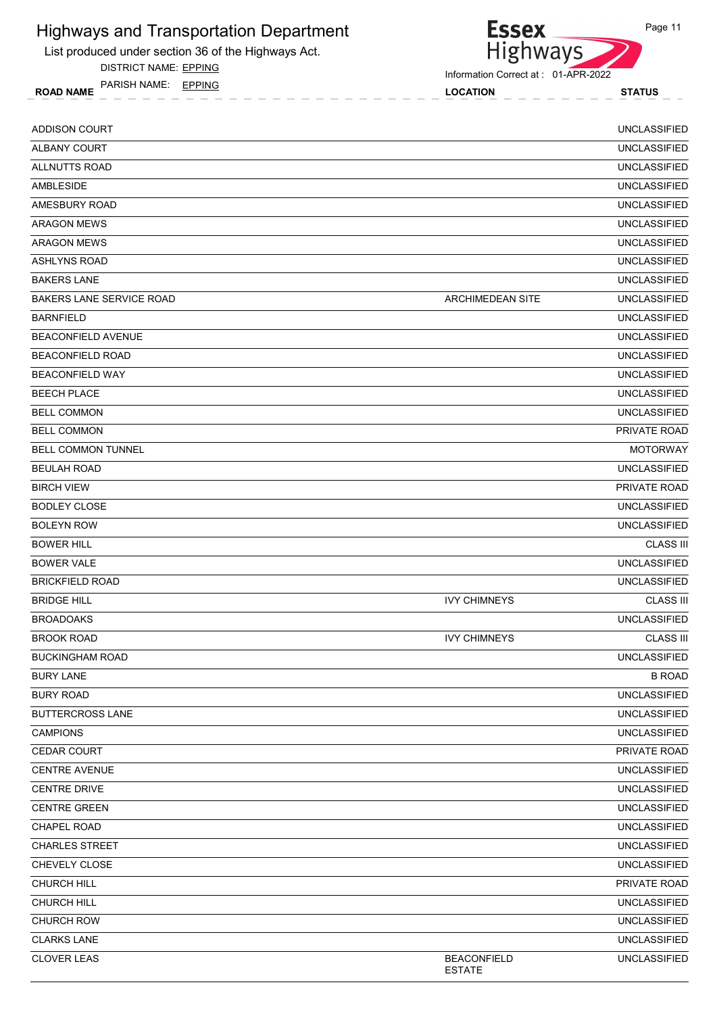

DISTRICT NAME: EPPING

ROAD NAME LOCATION STATUS PARISH NAME: EPPING



| <b>ADDISON COURT</b>            |                                     | <b>UNCLASSIFIED</b> |
|---------------------------------|-------------------------------------|---------------------|
| ALBANY COURT                    |                                     | <b>UNCLASSIFIED</b> |
| ALLNUTTS ROAD                   |                                     | <b>UNCLASSIFIED</b> |
| AMBLESIDE                       |                                     | <b>UNCLASSIFIED</b> |
| AMESBURY ROAD                   |                                     | <b>UNCLASSIFIED</b> |
| <b>ARAGON MEWS</b>              |                                     | <b>UNCLASSIFIED</b> |
| <b>ARAGON MEWS</b>              |                                     | <b>UNCLASSIFIED</b> |
| <b>ASHLYNS ROAD</b>             |                                     | <b>UNCLASSIFIED</b> |
| <b>BAKERS LANE</b>              |                                     | <b>UNCLASSIFIED</b> |
| <b>BAKERS LANE SERVICE ROAD</b> | <b>ARCHIMEDEAN SITE</b>             | <b>UNCLASSIFIED</b> |
| <b>BARNFIELD</b>                |                                     | <b>UNCLASSIFIED</b> |
| <b>BEACONFIELD AVENUE</b>       |                                     | <b>UNCLASSIFIED</b> |
| <b>BEACONFIELD ROAD</b>         |                                     | <b>UNCLASSIFIED</b> |
| <b>BEACONFIELD WAY</b>          |                                     | <b>UNCLASSIFIED</b> |
| <b>BEECH PLACE</b>              |                                     | <b>UNCLASSIFIED</b> |
| <b>BELL COMMON</b>              |                                     | <b>UNCLASSIFIED</b> |
| <b>BELL COMMON</b>              |                                     | PRIVATE ROAD        |
| <b>BELL COMMON TUNNEL</b>       |                                     | <b>MOTORWAY</b>     |
| <b>BEULAH ROAD</b>              |                                     | <b>UNCLASSIFIED</b> |
| <b>BIRCH VIEW</b>               |                                     | <b>PRIVATE ROAD</b> |
| <b>BODLEY CLOSE</b>             |                                     | <b>UNCLASSIFIED</b> |
| <b>BOLEYN ROW</b>               |                                     | <b>UNCLASSIFIED</b> |
| <b>BOWER HILL</b>               |                                     | <b>CLASS III</b>    |
| <b>BOWER VALE</b>               |                                     | <b>UNCLASSIFIED</b> |
| <b>BRICKFIELD ROAD</b>          |                                     | <b>UNCLASSIFIED</b> |
| <b>BRIDGE HILL</b>              | <b>IVY CHIMNEYS</b>                 | <b>CLASS III</b>    |
| <b>BROADOAKS</b>                |                                     | <b>UNCLASSIFIED</b> |
| <b>BROOK ROAD</b>               | <b>IVY CHIMNEYS</b>                 | <b>CLASS III</b>    |
| <b>BUCKINGHAM ROAD</b>          |                                     | <b>UNCLASSIFIED</b> |
| <b>BURY LANE</b>                |                                     | <b>B ROAD</b>       |
| <b>BURY ROAD</b>                |                                     | <b>UNCLASSIFIED</b> |
| <b>BUTTERCROSS LANE</b>         |                                     | <b>UNCLASSIFIED</b> |
| <b>CAMPIONS</b>                 |                                     | <b>UNCLASSIFIED</b> |
| <b>CEDAR COURT</b>              |                                     | PRIVATE ROAD        |
| <b>CENTRE AVENUE</b>            |                                     | <b>UNCLASSIFIED</b> |
| <b>CENTRE DRIVE</b>             |                                     | <b>UNCLASSIFIED</b> |
| <b>CENTRE GREEN</b>             |                                     | <b>UNCLASSIFIED</b> |
| <b>CHAPEL ROAD</b>              |                                     | <b>UNCLASSIFIED</b> |
| <b>CHARLES STREET</b>           |                                     | <b>UNCLASSIFIED</b> |
| CHEVELY CLOSE                   |                                     | <b>UNCLASSIFIED</b> |
| <b>CHURCH HILL</b>              |                                     | PRIVATE ROAD        |
| <b>CHURCH HILL</b>              |                                     | <b>UNCLASSIFIED</b> |
| CHURCH ROW                      |                                     | <b>UNCLASSIFIED</b> |
| <b>CLARKS LANE</b>              |                                     | <b>UNCLASSIFIED</b> |
| <b>CLOVER LEAS</b>              | <b>BEACONFIELD</b><br><b>ESTATE</b> | <b>UNCLASSIFIED</b> |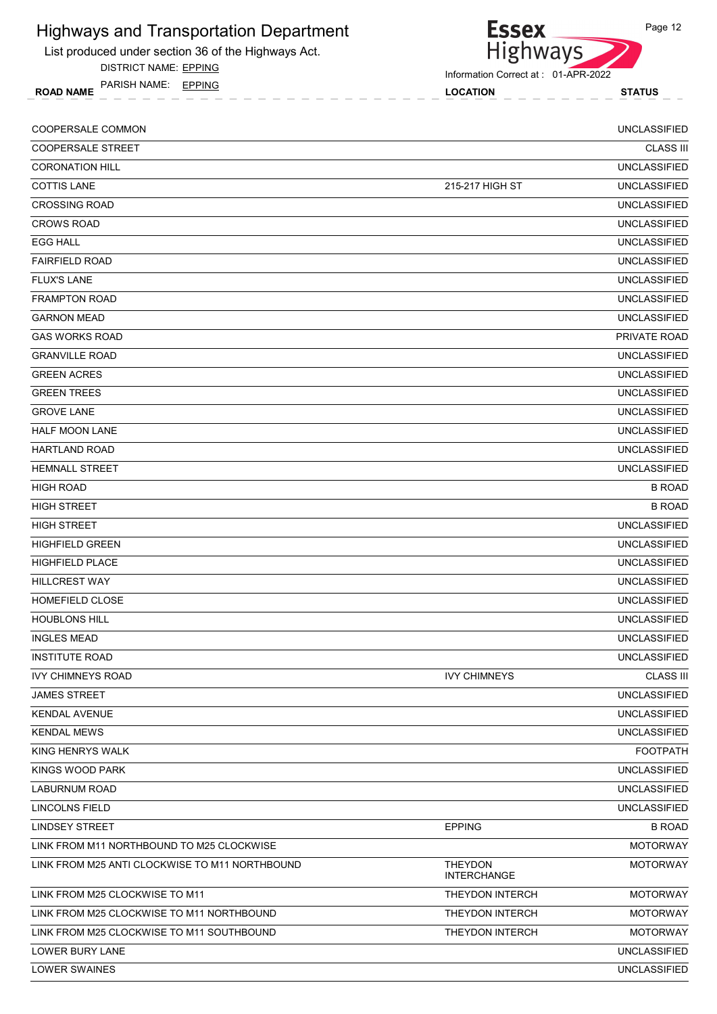List produced under section 36 of the Highways Act.

DISTRICT NAME: EPPING

ROAD NAME LOCATION STATUS PARISH NAME: EPPING



Information Correct at : 01-APR-2022

| COOPERSALE COMMON                              |                                      | <b>UNCLASSIFIED</b> |
|------------------------------------------------|--------------------------------------|---------------------|
| <b>COOPERSALE STREET</b>                       |                                      | <b>CLASS III</b>    |
| <b>CORONATION HILL</b>                         |                                      | <b>UNCLASSIFIED</b> |
| <b>COTTIS LANE</b>                             | 215-217 HIGH ST                      | <b>UNCLASSIFIED</b> |
| <b>CROSSING ROAD</b>                           |                                      | <b>UNCLASSIFIED</b> |
| <b>CROWS ROAD</b>                              |                                      | <b>UNCLASSIFIED</b> |
| <b>EGG HALL</b>                                |                                      | <b>UNCLASSIFIED</b> |
| <b>FAIRFIELD ROAD</b>                          |                                      | <b>UNCLASSIFIED</b> |
| <b>FLUX'S LANE</b>                             |                                      | <b>UNCLASSIFIED</b> |
| <b>FRAMPTON ROAD</b>                           |                                      | <b>UNCLASSIFIED</b> |
| <b>GARNON MEAD</b>                             |                                      | <b>UNCLASSIFIED</b> |
| <b>GAS WORKS ROAD</b>                          |                                      | PRIVATE ROAD        |
| <b>GRANVILLE ROAD</b>                          |                                      | <b>UNCLASSIFIED</b> |
| <b>GREEN ACRES</b>                             |                                      | <b>UNCLASSIFIED</b> |
| <b>GREEN TREES</b>                             |                                      | <b>UNCLASSIFIED</b> |
| <b>GROVE LANE</b>                              |                                      | <b>UNCLASSIFIED</b> |
| <b>HALF MOON LANE</b>                          |                                      | <b>UNCLASSIFIED</b> |
| <b>HARTLAND ROAD</b>                           |                                      | <b>UNCLASSIFIED</b> |
| <b>HEMNALL STREET</b>                          |                                      | <b>UNCLASSIFIED</b> |
| <b>HIGH ROAD</b>                               |                                      | <b>B ROAD</b>       |
| <b>HIGH STREET</b>                             |                                      | <b>B ROAD</b>       |
| <b>HIGH STREET</b>                             |                                      | <b>UNCLASSIFIED</b> |
| <b>HIGHFIELD GREEN</b>                         |                                      | <b>UNCLASSIFIED</b> |
| <b>HIGHFIELD PLACE</b>                         |                                      | <b>UNCLASSIFIED</b> |
| <b>HILLCREST WAY</b>                           |                                      | <b>UNCLASSIFIED</b> |
| HOMEFIELD CLOSE                                |                                      | <b>UNCLASSIFIED</b> |
| <b>HOUBLONS HILL</b>                           |                                      | <b>UNCLASSIFIED</b> |
| <b>INGLES MEAD</b>                             |                                      | <b>UNCLASSIFIED</b> |
| <b>INSTITUTE ROAD</b>                          |                                      | UNCLASSIFIED        |
| <b>IVY CHIMNEYS ROAD</b>                       | <b>IVY CHIMNEYS</b>                  | <b>CLASS III</b>    |
| <b>JAMES STREET</b>                            |                                      | <b>UNCLASSIFIED</b> |
| <b>KENDAL AVENUE</b>                           |                                      | <b>UNCLASSIFIED</b> |
| <b>KENDAL MEWS</b>                             |                                      | <b>UNCLASSIFIED</b> |
| KING HENRYS WALK                               |                                      | <b>FOOTPATH</b>     |
| KINGS WOOD PARK                                |                                      | <b>UNCLASSIFIED</b> |
| <b>LABURNUM ROAD</b>                           |                                      | <b>UNCLASSIFIED</b> |
| LINCOLNS FIELD                                 |                                      | <b>UNCLASSIFIED</b> |
| <b>LINDSEY STREET</b>                          | <b>EPPING</b>                        | <b>B ROAD</b>       |
| LINK FROM M11 NORTHBOUND TO M25 CLOCKWISE      |                                      | <b>MOTORWAY</b>     |
| LINK FROM M25 ANTI CLOCKWISE TO M11 NORTHBOUND | <b>THEYDON</b><br><b>INTERCHANGE</b> | <b>MOTORWAY</b>     |
| LINK FROM M25 CLOCKWISE TO M11                 | THEYDON INTERCH                      | <b>MOTORWAY</b>     |
| LINK FROM M25 CLOCKWISE TO M11 NORTHBOUND      | <b>THEYDON INTERCH</b>               | <b>MOTORWAY</b>     |
| LINK FROM M25 CLOCKWISE TO M11 SOUTHBOUND      | <b>THEYDON INTERCH</b>               | <b>MOTORWAY</b>     |
| LOWER BURY LANE                                |                                      | <b>UNCLASSIFIED</b> |

LOWER SWAINES UNCLASSIFIED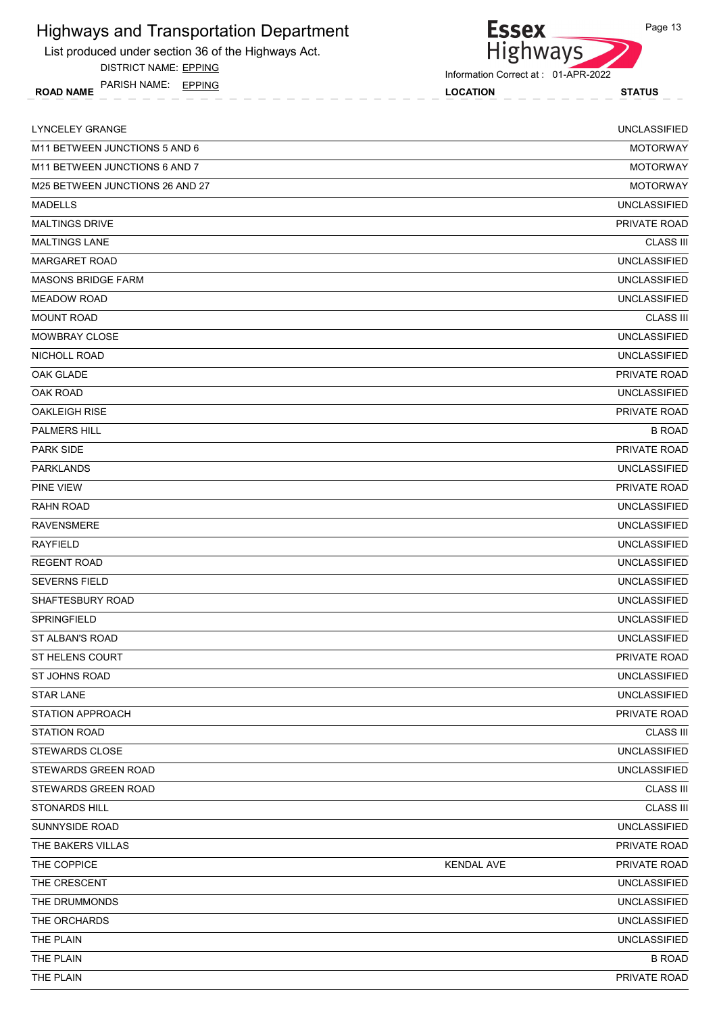List produced under section 36 of the Highways Act.

DISTRICT NAME: EPPING

ROAD NAME LOCATION STATUS PARISH NAME: EPPING



| <b>LYNCELEY GRANGE</b>          |                   | <b>UNCLASSIFIED</b> |
|---------------------------------|-------------------|---------------------|
| M11 BETWEEN JUNCTIONS 5 AND 6   |                   | <b>MOTORWAY</b>     |
| M11 BETWEEN JUNCTIONS 6 AND 7   |                   | <b>MOTORWAY</b>     |
| M25 BETWEEN JUNCTIONS 26 AND 27 |                   | <b>MOTORWAY</b>     |
| <b>MADELLS</b>                  |                   | <b>UNCLASSIFIED</b> |
| <b>MALTINGS DRIVE</b>           |                   | PRIVATE ROAD        |
| <b>MALTINGS LANE</b>            |                   | <b>CLASS III</b>    |
| <b>MARGARET ROAD</b>            |                   | <b>UNCLASSIFIED</b> |
| <b>MASONS BRIDGE FARM</b>       |                   | <b>UNCLASSIFIED</b> |
| <b>MEADOW ROAD</b>              |                   | <b>UNCLASSIFIED</b> |
| <b>MOUNT ROAD</b>               |                   | <b>CLASS III</b>    |
| <b>MOWBRAY CLOSE</b>            |                   | <b>UNCLASSIFIED</b> |
| NICHOLL ROAD                    |                   | <b>UNCLASSIFIED</b> |
| OAK GLADE                       |                   | PRIVATE ROAD        |
| OAK ROAD                        |                   | <b>UNCLASSIFIED</b> |
| <b>OAKLEIGH RISE</b>            |                   | PRIVATE ROAD        |
| <b>PALMERS HILL</b>             |                   | <b>B ROAD</b>       |
| <b>PARK SIDE</b>                |                   | PRIVATE ROAD        |
| <b>PARKLANDS</b>                |                   | <b>UNCLASSIFIED</b> |
| <b>PINE VIEW</b>                |                   | PRIVATE ROAD        |
| <b>RAHN ROAD</b>                |                   | <b>UNCLASSIFIED</b> |
| <b>RAVENSMERE</b>               |                   | <b>UNCLASSIFIED</b> |
| <b>RAYFIELD</b>                 |                   | <b>UNCLASSIFIED</b> |
| <b>REGENT ROAD</b>              |                   | <b>UNCLASSIFIED</b> |
| <b>SEVERNS FIELD</b>            |                   | <b>UNCLASSIFIED</b> |
| SHAFTESBURY ROAD                |                   | <b>UNCLASSIFIED</b> |
| SPRINGFIELD                     |                   | <b>UNCLASSIFIED</b> |
| ST ALBAN'S ROAD                 |                   | <b>UNCLASSIFIED</b> |
| ST HELENS COURT                 |                   | PRIVATE ROAD        |
| ST JOHNS ROAD                   |                   | <b>UNCLASSIFIED</b> |
| <b>STAR LANE</b>                |                   | <b>UNCLASSIFIED</b> |
| STATION APPROACH                |                   | PRIVATE ROAD        |
| <b>STATION ROAD</b>             |                   | <b>CLASS III</b>    |
| STEWARDS CLOSE                  |                   | <b>UNCLASSIFIED</b> |
| STEWARDS GREEN ROAD             |                   | <b>UNCLASSIFIED</b> |
| STEWARDS GREEN ROAD             |                   | <b>CLASS III</b>    |
| STONARDS HILL                   |                   | <b>CLASS III</b>    |
| SUNNYSIDE ROAD                  |                   | <b>UNCLASSIFIED</b> |
| THE BAKERS VILLAS               |                   | PRIVATE ROAD        |
| THE COPPICE                     | <b>KENDAL AVE</b> | PRIVATE ROAD        |
| THE CRESCENT                    |                   | <b>UNCLASSIFIED</b> |
| THE DRUMMONDS                   |                   | <b>UNCLASSIFIED</b> |
| THE ORCHARDS                    |                   | <b>UNCLASSIFIED</b> |
| THE PLAIN                       |                   | <b>UNCLASSIFIED</b> |
| THE PLAIN                       |                   | <b>B ROAD</b>       |
| THE PLAIN                       |                   | PRIVATE ROAD        |
|                                 |                   |                     |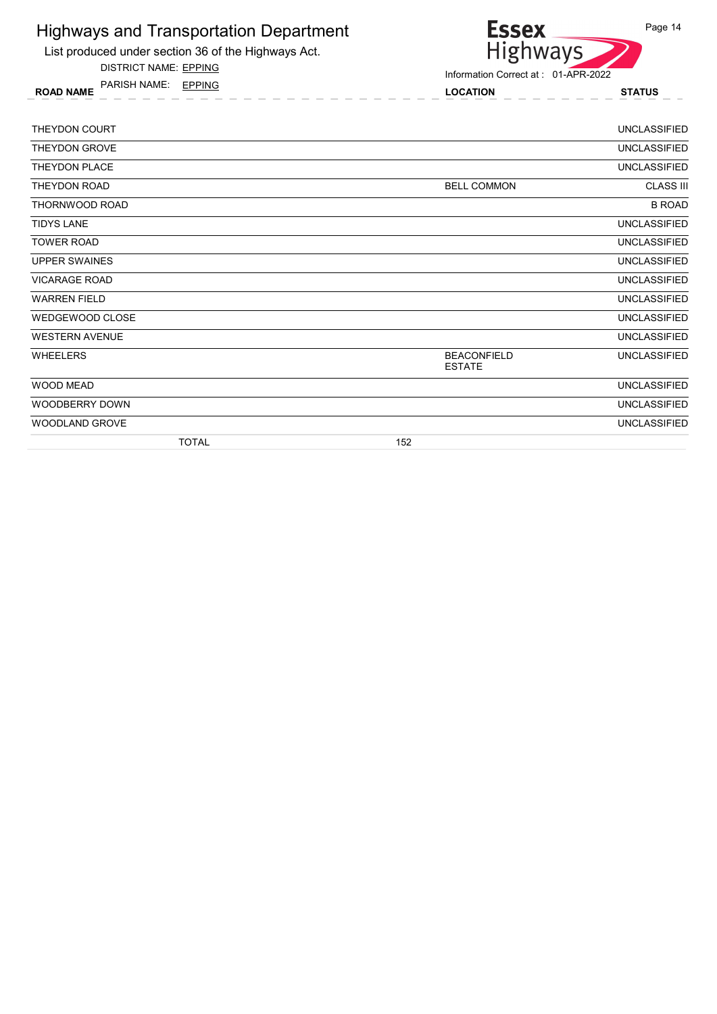List produced under section 36 of the Highways Act.

DISTRICT NAME: EPPING

ROAD NAME LOCATION STATUS PARISH NAME: EPPING



| <b>THEYDON COURT</b>  |              |     |                                     | <b>UNCLASSIFIED</b> |
|-----------------------|--------------|-----|-------------------------------------|---------------------|
| <b>THEYDON GROVE</b>  |              |     |                                     | <b>UNCLASSIFIED</b> |
| <b>THEYDON PLACE</b>  |              |     |                                     | <b>UNCLASSIFIED</b> |
| THEYDON ROAD          |              |     | <b>BELL COMMON</b>                  | <b>CLASS III</b>    |
| THORNWOOD ROAD        |              |     |                                     | <b>B ROAD</b>       |
| <b>TIDYS LANE</b>     |              |     |                                     | <b>UNCLASSIFIED</b> |
| <b>TOWER ROAD</b>     |              |     |                                     | <b>UNCLASSIFIED</b> |
| <b>UPPER SWAINES</b>  |              |     |                                     | <b>UNCLASSIFIED</b> |
| <b>VICARAGE ROAD</b>  |              |     |                                     | <b>UNCLASSIFIED</b> |
| <b>WARREN FIELD</b>   |              |     |                                     | <b>UNCLASSIFIED</b> |
| WEDGEWOOD CLOSE       |              |     |                                     | <b>UNCLASSIFIED</b> |
| <b>WESTERN AVENUE</b> |              |     |                                     | <b>UNCLASSIFIED</b> |
| <b>WHEELERS</b>       |              |     | <b>BEACONFIELD</b><br><b>ESTATE</b> | <b>UNCLASSIFIED</b> |
| <b>WOOD MEAD</b>      |              |     |                                     | <b>UNCLASSIFIED</b> |
| <b>WOODBERRY DOWN</b> |              |     |                                     | <b>UNCLASSIFIED</b> |
| <b>WOODLAND GROVE</b> |              |     |                                     | <b>UNCLASSIFIED</b> |
|                       | <b>TOTAL</b> | 152 |                                     |                     |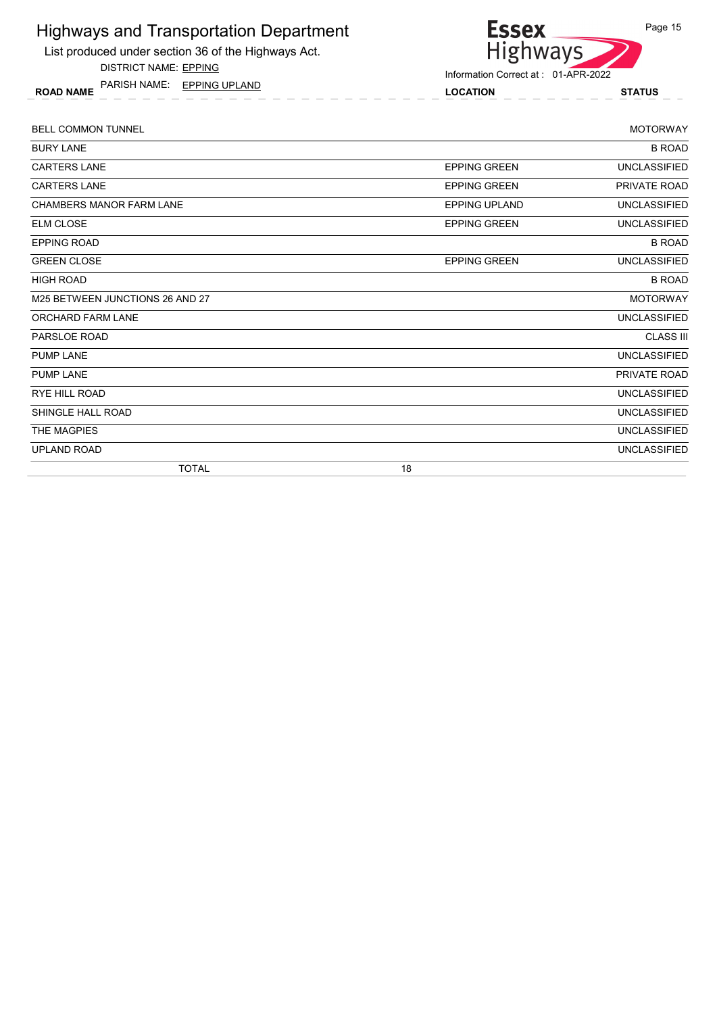List produced under section 36 of the Highways Act.

DISTRICT NAME: EPPING

ROAD NAME LOCATION STATUS PARISH NAME: EPPING UPLAND

**Essex** Page 15 Highways

| <b>BELL COMMON TUNNEL</b>       |                      | <b>MOTORWAY</b>     |
|---------------------------------|----------------------|---------------------|
| <b>BURY LANE</b>                |                      | <b>B ROAD</b>       |
| <b>CARTERS LANE</b>             | <b>EPPING GREEN</b>  | <b>UNCLASSIFIED</b> |
| <b>CARTERS LANE</b>             | <b>EPPING GREEN</b>  | PRIVATE ROAD        |
| CHAMBERS MANOR FARM LANE        | <b>EPPING UPLAND</b> | <b>UNCLASSIFIED</b> |
| <b>ELM CLOSE</b>                | <b>EPPING GREEN</b>  | <b>UNCLASSIFIED</b> |
| <b>EPPING ROAD</b>              |                      | <b>B ROAD</b>       |
| <b>GREEN CLOSE</b>              | <b>EPPING GREEN</b>  | <b>UNCLASSIFIED</b> |
| <b>HIGH ROAD</b>                |                      | <b>B ROAD</b>       |
| M25 BETWEEN JUNCTIONS 26 AND 27 |                      | <b>MOTORWAY</b>     |
| ORCHARD FARM LANE               |                      | <b>UNCLASSIFIED</b> |
| PARSLOE ROAD                    |                      | <b>CLASS III</b>    |
| <b>PUMP LANE</b>                |                      | <b>UNCLASSIFIED</b> |
| <b>PUMP LANE</b>                |                      | <b>PRIVATE ROAD</b> |
| <b>RYE HILL ROAD</b>            |                      | <b>UNCLASSIFIED</b> |
| SHINGLE HALL ROAD               |                      | <b>UNCLASSIFIED</b> |
| THE MAGPIES                     |                      | <b>UNCLASSIFIED</b> |
| <b>UPLAND ROAD</b>              |                      | <b>UNCLASSIFIED</b> |
| <b>TOTAL</b>                    | 18                   |                     |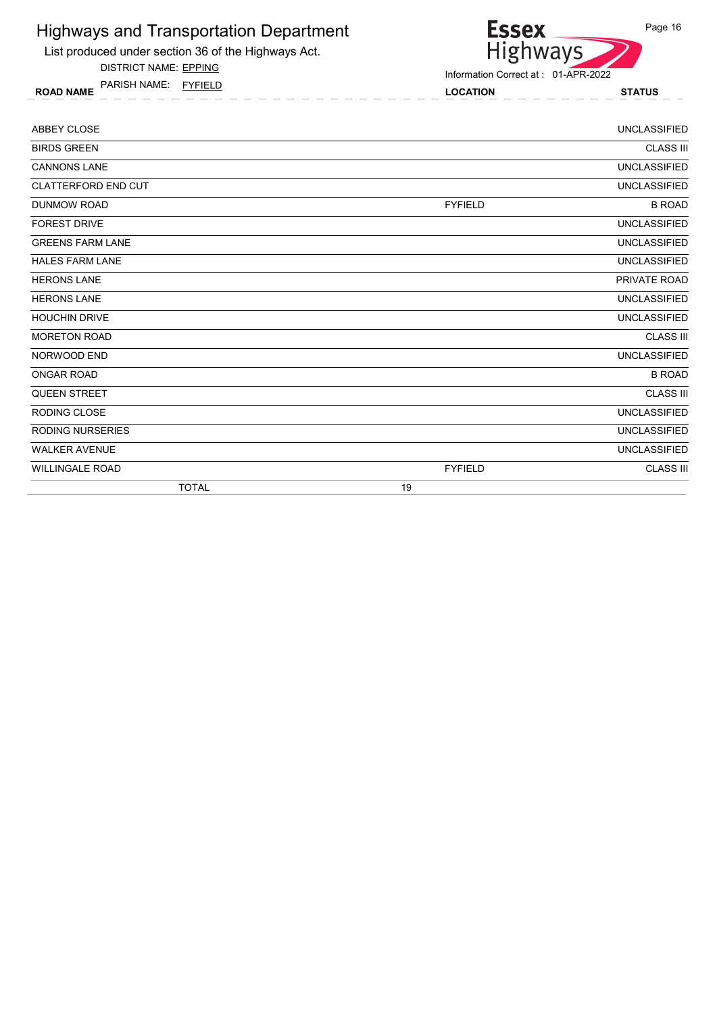

DISTRICT NAME: EPPING

ROAD NAME LOCATION STATUS PARISH NAME: FYFIELD



| <b>ABBEY CLOSE</b>         |                | <b>UNCLASSIFIED</b> |
|----------------------------|----------------|---------------------|
| <b>BIRDS GREEN</b>         |                | <b>CLASS III</b>    |
| <b>CANNONS LANE</b>        |                | <b>UNCLASSIFIED</b> |
| <b>CLATTERFORD END CUT</b> |                | <b>UNCLASSIFIED</b> |
| <b>DUNMOW ROAD</b>         | <b>FYFIELD</b> | <b>B ROAD</b>       |
| <b>FOREST DRIVE</b>        |                | <b>UNCLASSIFIED</b> |
| <b>GREENS FARM LANE</b>    |                | <b>UNCLASSIFIED</b> |
| <b>HALES FARM LANE</b>     |                | <b>UNCLASSIFIED</b> |
| <b>HERONS LANE</b>         |                | PRIVATE ROAD        |
| <b>HERONS LANE</b>         |                | <b>UNCLASSIFIED</b> |
| <b>HOUCHIN DRIVE</b>       |                | <b>UNCLASSIFIED</b> |
| <b>MORETON ROAD</b>        |                | <b>CLASS III</b>    |
| NORWOOD END                |                | <b>UNCLASSIFIED</b> |
| <b>ONGAR ROAD</b>          |                | <b>B ROAD</b>       |
| QUEEN STREET               |                | <b>CLASS III</b>    |
| RODING CLOSE               |                | <b>UNCLASSIFIED</b> |
| <b>RODING NURSERIES</b>    |                | <b>UNCLASSIFIED</b> |
| <b>WALKER AVENUE</b>       |                | <b>UNCLASSIFIED</b> |
| <b>WILLINGALE ROAD</b>     | <b>FYFIELD</b> | <b>CLASS III</b>    |
| <b>TOTAL</b>               | 19             |                     |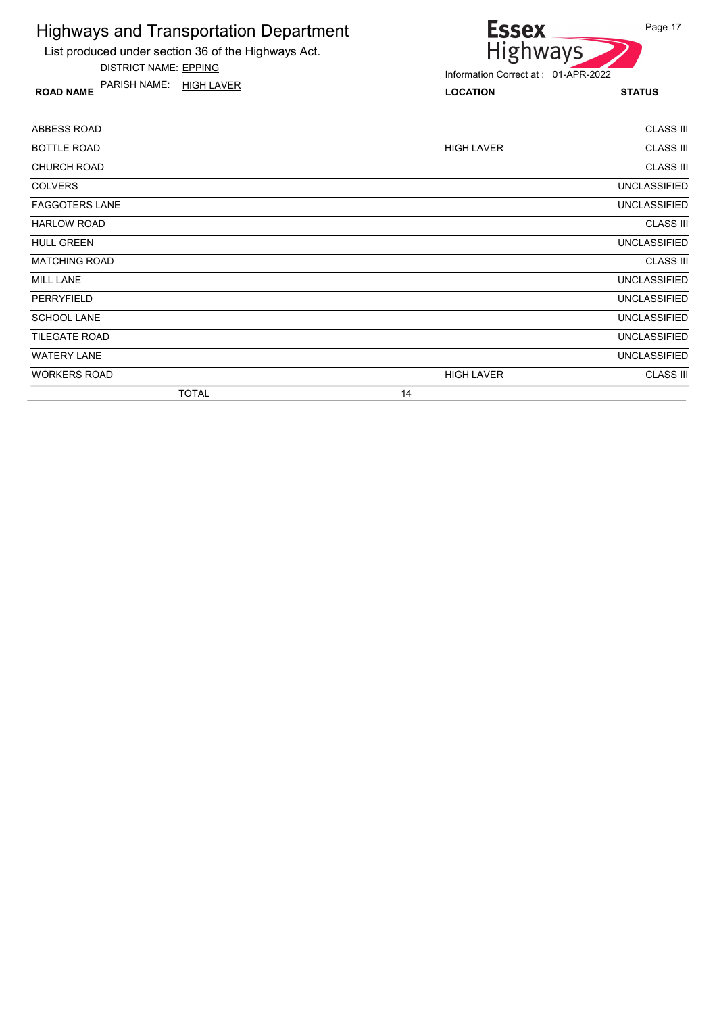List produced under section 36 of the Highways Act.

DISTRICT NAME: EPPING

ROAD NAME LOCATION STATUS PARISH NAME: HIGH LAVER



| ABBESS ROAD           |              |                   | <b>CLASS III</b>    |
|-----------------------|--------------|-------------------|---------------------|
| <b>BOTTLE ROAD</b>    |              | <b>HIGH LAVER</b> | <b>CLASS III</b>    |
| <b>CHURCH ROAD</b>    |              |                   | <b>CLASS III</b>    |
| <b>COLVERS</b>        |              |                   | <b>UNCLASSIFIED</b> |
| <b>FAGGOTERS LANE</b> |              |                   | <b>UNCLASSIFIED</b> |
| <b>HARLOW ROAD</b>    |              |                   | <b>CLASS III</b>    |
| <b>HULL GREEN</b>     |              |                   | UNCLASSIFIED        |
| <b>MATCHING ROAD</b>  |              |                   | <b>CLASS III</b>    |
| <b>MILL LANE</b>      |              |                   | <b>UNCLASSIFIED</b> |
| <b>PERRYFIELD</b>     |              |                   | <b>UNCLASSIFIED</b> |
| <b>SCHOOL LANE</b>    |              |                   | <b>UNCLASSIFIED</b> |
| <b>TILEGATE ROAD</b>  |              |                   | <b>UNCLASSIFIED</b> |
| <b>WATERY LANE</b>    |              |                   | <b>UNCLASSIFIED</b> |
| <b>WORKERS ROAD</b>   |              | <b>HIGH LAVER</b> | <b>CLASS III</b>    |
|                       | <b>TOTAL</b> | 14                |                     |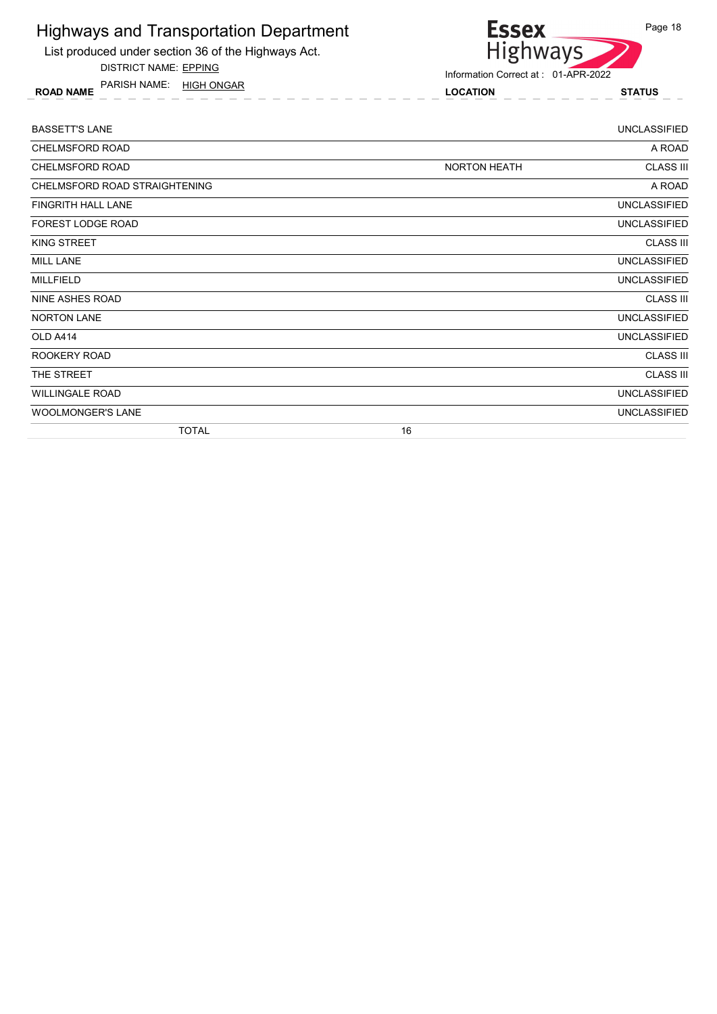List produced under section 36 of the Highways Act.

DISTRICT NAME: EPPING

ROAD NAME LOCATION STATUS PARISH NAME: HIGH ONGAR



| <b>BASSETT'S LANE</b>         |                     | <b>UNCLASSIFIED</b> |
|-------------------------------|---------------------|---------------------|
| CHELMSFORD ROAD               |                     | A ROAD              |
| <b>CHELMSFORD ROAD</b>        | <b>NORTON HEATH</b> | <b>CLASS III</b>    |
| CHELMSFORD ROAD STRAIGHTENING |                     | A ROAD              |
| FINGRITH HALL LANE            |                     | <b>UNCLASSIFIED</b> |
| FOREST LODGE ROAD             |                     | <b>UNCLASSIFIED</b> |
| <b>KING STREET</b>            |                     | <b>CLASS III</b>    |
| <b>MILL LANE</b>              |                     | <b>UNCLASSIFIED</b> |
| <b>MILLFIELD</b>              |                     | <b>UNCLASSIFIED</b> |
| NINE ASHES ROAD               |                     | <b>CLASS III</b>    |
| <b>NORTON LANE</b>            |                     | <b>UNCLASSIFIED</b> |
| OLD A414                      |                     | <b>UNCLASSIFIED</b> |
| ROOKERY ROAD                  |                     | <b>CLASS III</b>    |
| THE STREET                    |                     | <b>CLASS III</b>    |
| <b>WILLINGALE ROAD</b>        |                     | <b>UNCLASSIFIED</b> |
| <b>WOOLMONGER'S LANE</b>      |                     | <b>UNCLASSIFIED</b> |
| <b>TOTAL</b>                  | 16                  |                     |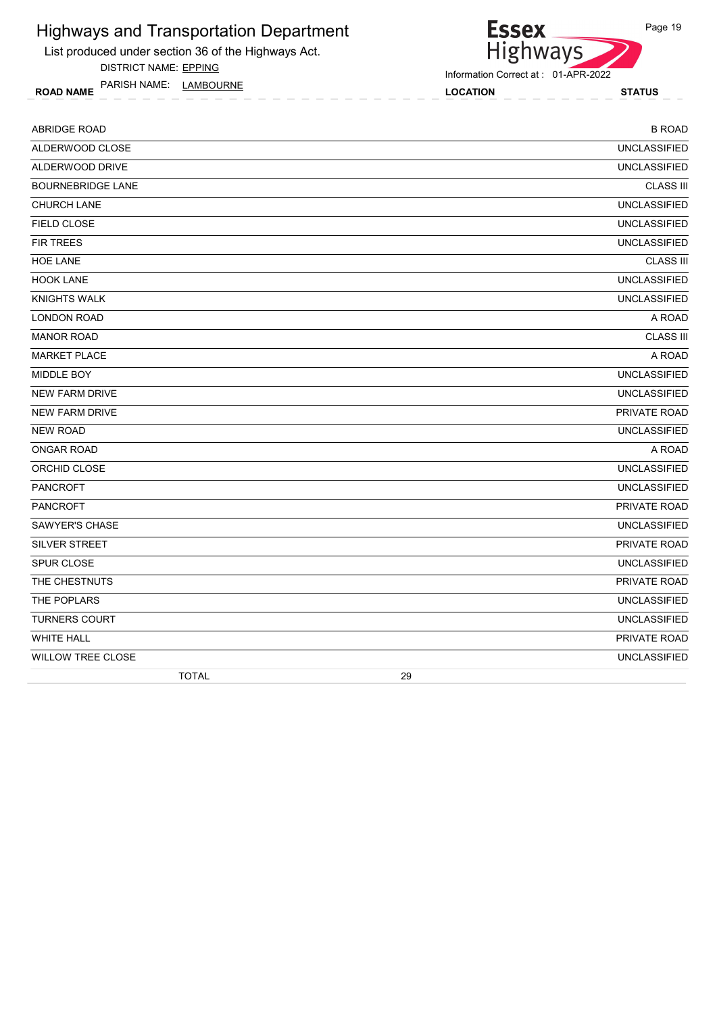List produced under section 36 of the Highways Act.

DISTRICT NAME: EPPING

ROAD NAME LOCATION STATUS PARISH NAME: LAMBOURNE

Essex<br>Highways

Information Correct at : 01-APR-2022

| <b>ABRIDGE ROAD</b>      | <b>B ROAD</b>       |
|--------------------------|---------------------|
| ALDERWOOD CLOSE          | <b>UNCLASSIFIED</b> |
| ALDERWOOD DRIVE          | <b>UNCLASSIFIED</b> |
| <b>BOURNEBRIDGE LANE</b> | <b>CLASS III</b>    |
| <b>CHURCH LANE</b>       | <b>UNCLASSIFIED</b> |
| FIELD CLOSE              | <b>UNCLASSIFIED</b> |
| <b>FIR TREES</b>         | <b>UNCLASSIFIED</b> |
| <b>HOE LANE</b>          | <b>CLASS III</b>    |
| <b>HOOK LANE</b>         | <b>UNCLASSIFIED</b> |
| <b>KNIGHTS WALK</b>      | <b>UNCLASSIFIED</b> |
| <b>LONDON ROAD</b>       | A ROAD              |
| <b>MANOR ROAD</b>        | <b>CLASS III</b>    |
| <b>MARKET PLACE</b>      | A ROAD              |
| MIDDLE BOY               | <b>UNCLASSIFIED</b> |
| <b>NEW FARM DRIVE</b>    | <b>UNCLASSIFIED</b> |
| <b>NEW FARM DRIVE</b>    | <b>PRIVATE ROAD</b> |
| <b>NEW ROAD</b>          | <b>UNCLASSIFIED</b> |
| <b>ONGAR ROAD</b>        | A ROAD              |
| ORCHID CLOSE             | <b>UNCLASSIFIED</b> |
| <b>PANCROFT</b>          | <b>UNCLASSIFIED</b> |
| <b>PANCROFT</b>          | PRIVATE ROAD        |
| SAWYER'S CHASE           | <b>UNCLASSIFIED</b> |
| <b>SILVER STREET</b>     | PRIVATE ROAD        |
| <b>SPUR CLOSE</b>        | <b>UNCLASSIFIED</b> |
| THE CHESTNUTS            | PRIVATE ROAD        |
| THE POPLARS              | <b>UNCLASSIFIED</b> |
| <b>TURNERS COURT</b>     | <b>UNCLASSIFIED</b> |
| <b>WHITE HALL</b>        | PRIVATE ROAD        |
| WILLOW TREE CLOSE        | <b>UNCLASSIFIED</b> |
| <b>TOTAL</b>             | 29                  |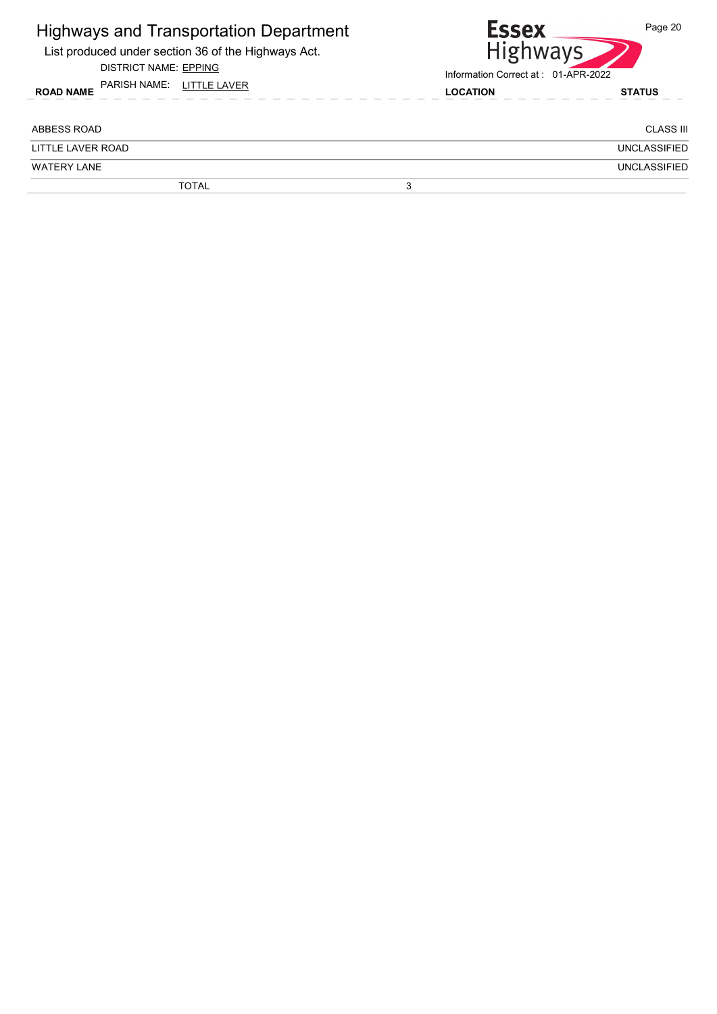| <b>Highways and Transportation Department</b><br>List produced under section 36 of the Highways Act.<br><b>DISTRICT NAME: EPPING</b> |   | <b>Essex</b><br><b>Highways</b><br>Information Correct at: 01-APR-2022 | Page 20             |
|--------------------------------------------------------------------------------------------------------------------------------------|---|------------------------------------------------------------------------|---------------------|
| PARISH NAME: LITTLE LAVER<br><b>ROAD NAME</b>                                                                                        |   | <b>LOCATION</b>                                                        | <b>STATUS</b>       |
| ABBESS ROAD                                                                                                                          |   |                                                                        | <b>CLASS III</b>    |
| LITTLE LAVER ROAD                                                                                                                    |   |                                                                        | <b>UNCLASSIFIED</b> |
| <b>WATERY LANE</b>                                                                                                                   |   |                                                                        | <b>UNCLASSIFIED</b> |
| <b>TOTAL</b>                                                                                                                         | 3 |                                                                        |                     |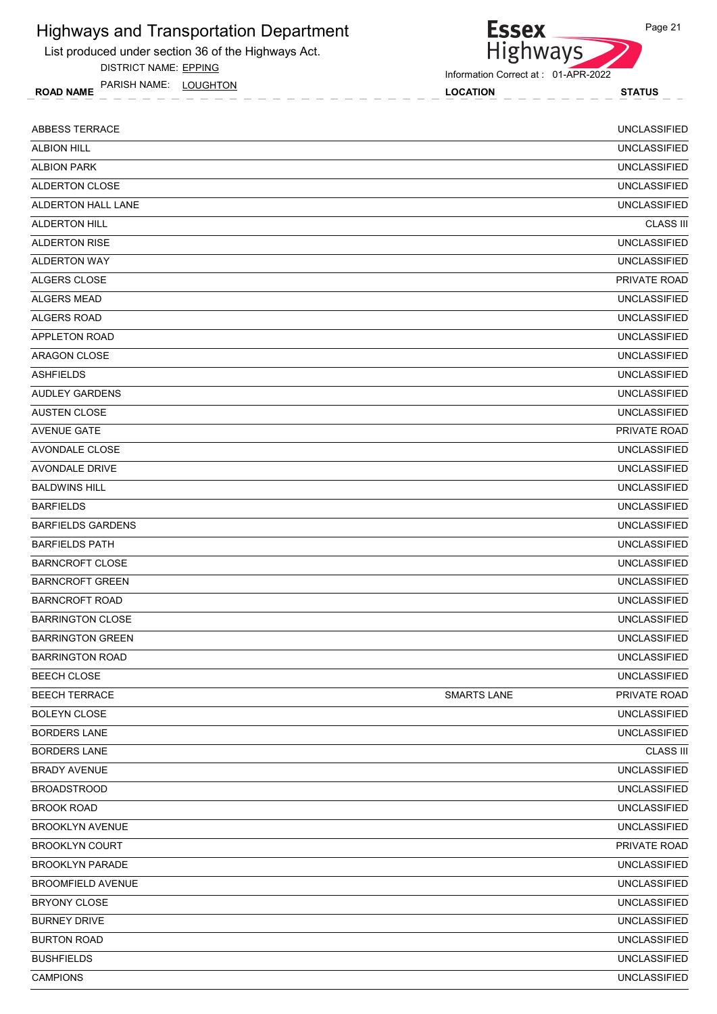List produced under section 36 of the Highways Act.

DISTRICT NAME: EPPING

ROAD NAME LOCATION STATUS PARISH NAME: LOUGHTON

Essex<br>Highways

Information Correct at : 01-APR-2022

| <b>ABBESS TERRACE</b>    |                    | <b>UNCLASSIFIED</b> |
|--------------------------|--------------------|---------------------|
| <b>ALBION HILL</b>       |                    | <b>UNCLASSIFIED</b> |
| <b>ALBION PARK</b>       |                    | <b>UNCLASSIFIED</b> |
| ALDERTON CLOSE           |                    | <b>UNCLASSIFIED</b> |
| ALDERTON HALL LANE       |                    | <b>UNCLASSIFIED</b> |
| ALDERTON HILL            |                    | <b>CLASS III</b>    |
| <b>ALDERTON RISE</b>     |                    | <b>UNCLASSIFIED</b> |
| <b>ALDERTON WAY</b>      |                    | <b>UNCLASSIFIED</b> |
| ALGERS CLOSE             |                    | PRIVATE ROAD        |
| <b>ALGERS MEAD</b>       |                    | <b>UNCLASSIFIED</b> |
| ALGERS ROAD              |                    | <b>UNCLASSIFIED</b> |
| APPLETON ROAD            |                    | <b>UNCLASSIFIED</b> |
| <b>ARAGON CLOSE</b>      |                    | <b>UNCLASSIFIED</b> |
| <b>ASHFIELDS</b>         |                    | <b>UNCLASSIFIED</b> |
| <b>AUDLEY GARDENS</b>    |                    | <b>UNCLASSIFIED</b> |
| <b>AUSTEN CLOSE</b>      |                    | <b>UNCLASSIFIED</b> |
| <b>AVENUE GATE</b>       |                    | PRIVATE ROAD        |
| AVONDALE CLOSE           |                    | <b>UNCLASSIFIED</b> |
| AVONDALE DRIVE           |                    | <b>UNCLASSIFIED</b> |
| <b>BALDWINS HILL</b>     |                    | <b>UNCLASSIFIED</b> |
| <b>BARFIELDS</b>         |                    | <b>UNCLASSIFIED</b> |
| <b>BARFIELDS GARDENS</b> |                    | <b>UNCLASSIFIED</b> |
| <b>BARFIELDS PATH</b>    |                    | <b>UNCLASSIFIED</b> |
| <b>BARNCROFT CLOSE</b>   |                    | <b>UNCLASSIFIED</b> |
| <b>BARNCROFT GREEN</b>   |                    | <b>UNCLASSIFIED</b> |
| <b>BARNCROFT ROAD</b>    |                    | <b>UNCLASSIFIED</b> |
| <b>BARRINGTON CLOSE</b>  |                    | <b>UNCLASSIFIED</b> |
| <b>BARRINGTON GREEN</b>  |                    | <b>UNCLASSIFIED</b> |
| <b>BARRINGTON ROAD</b>   |                    | <b>UNCLASSIFIED</b> |
| BEECH CLOSE              |                    | <b>UNCLASSIFIED</b> |
| <b>BEECH TERRACE</b>     | <b>SMARTS LANE</b> | PRIVATE ROAD        |
| <b>BOLEYN CLOSE</b>      |                    | <b>UNCLASSIFIED</b> |
| <b>BORDERS LANE</b>      |                    | <b>UNCLASSIFIED</b> |
| <b>BORDERS LANE</b>      |                    | <b>CLASS III</b>    |
| <b>BRADY AVENUE</b>      |                    | <b>UNCLASSIFIED</b> |
| <b>BROADSTROOD</b>       |                    | <b>UNCLASSIFIED</b> |
| <b>BROOK ROAD</b>        |                    | <b>UNCLASSIFIED</b> |
| <b>BROOKLYN AVENUE</b>   |                    | <b>UNCLASSIFIED</b> |
| <b>BROOKLYN COURT</b>    |                    | PRIVATE ROAD        |
| <b>BROOKLYN PARADE</b>   |                    | <b>UNCLASSIFIED</b> |
| <b>BROOMFIELD AVENUE</b> |                    | <b>UNCLASSIFIED</b> |
| <b>BRYONY CLOSE</b>      |                    | <b>UNCLASSIFIED</b> |
| <b>BURNEY DRIVE</b>      |                    | <b>UNCLASSIFIED</b> |
| <b>BURTON ROAD</b>       |                    | <b>UNCLASSIFIED</b> |
| <b>BUSHFIELDS</b>        |                    | <b>UNCLASSIFIED</b> |
| <b>CAMPIONS</b>          |                    | <b>UNCLASSIFIED</b> |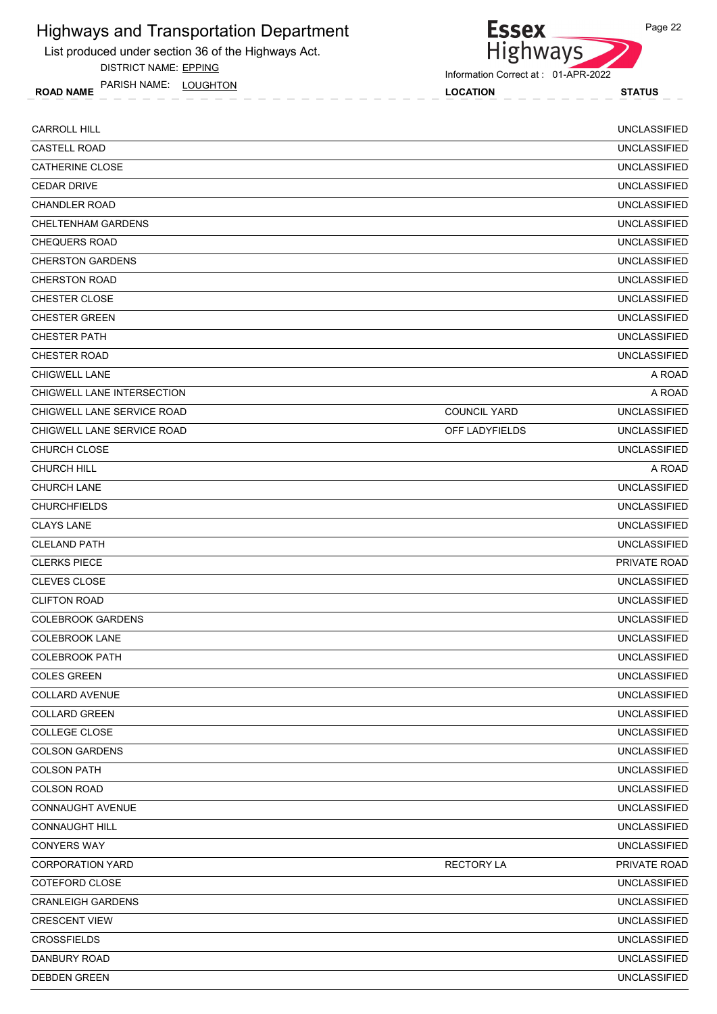List produced under section 36 of the Highways Act.

DISTRICT NAME: EPPING

ROAD NAME LOCATION STATUS PARISH NAME: LOUGHTON



| <b>CASTELL ROAD</b>        |                     | <b>UNCLASSIFIED</b> |
|----------------------------|---------------------|---------------------|
|                            |                     |                     |
| CATHERINE CLOSE            |                     | <b>UNCLASSIFIED</b> |
| <b>CEDAR DRIVE</b>         |                     | <b>UNCLASSIFIED</b> |
| <b>CHANDLER ROAD</b>       |                     | <b>UNCLASSIFIED</b> |
| <b>CHELTENHAM GARDENS</b>  |                     | <b>UNCLASSIFIED</b> |
| <b>CHEQUERS ROAD</b>       |                     | <b>UNCLASSIFIED</b> |
| <b>CHERSTON GARDENS</b>    |                     | <b>UNCLASSIFIED</b> |
| <b>CHERSTON ROAD</b>       |                     | <b>UNCLASSIFIED</b> |
| CHESTER CLOSE              |                     | <b>UNCLASSIFIED</b> |
| <b>CHESTER GREEN</b>       |                     | <b>UNCLASSIFIED</b> |
| <b>CHESTER PATH</b>        |                     | <b>UNCLASSIFIED</b> |
| <b>CHESTER ROAD</b>        |                     | <b>UNCLASSIFIED</b> |
| <b>CHIGWELL LANE</b>       |                     | A ROAD              |
| CHIGWELL LANE INTERSECTION |                     | A ROAD              |
| CHIGWELL LANE SERVICE ROAD | <b>COUNCIL YARD</b> | <b>UNCLASSIFIED</b> |
| CHIGWELL LANE SERVICE ROAD | OFF LADYFIELDS      | <b>UNCLASSIFIED</b> |
| <b>CHURCH CLOSE</b>        |                     | <b>UNCLASSIFIED</b> |
| <b>CHURCH HILL</b>         |                     | A ROAD              |
| <b>CHURCH LANE</b>         |                     | <b>UNCLASSIFIED</b> |
| <b>CHURCHFIELDS</b>        |                     | <b>UNCLASSIFIED</b> |
| <b>CLAYS LANE</b>          |                     | <b>UNCLASSIFIED</b> |
| <b>CLELAND PATH</b>        |                     | <b>UNCLASSIFIED</b> |
| <b>CLERKS PIECE</b>        |                     | PRIVATE ROAD        |
| <b>CLEVES CLOSE</b>        |                     | <b>UNCLASSIFIED</b> |
| <b>CLIFTON ROAD</b>        |                     | <b>UNCLASSIFIED</b> |
| <b>COLEBROOK GARDENS</b>   |                     | <b>UNCLASSIFIED</b> |
| <b>COLEBROOK LANE</b>      |                     | <b>UNCLASSIFIED</b> |
| <b>COLEBROOK PATH</b>      |                     | <b>UNCLASSIFIED</b> |
| <b>COLES GREEN</b>         |                     | <b>UNCLASSIFIED</b> |
| COLLARD AVENUE             |                     | <b>UNCLASSIFIED</b> |
| <b>COLLARD GREEN</b>       |                     | <b>UNCLASSIFIED</b> |
| COLLEGE CLOSE              |                     | <b>UNCLASSIFIED</b> |
| <b>COLSON GARDENS</b>      |                     | <b>UNCLASSIFIED</b> |
| <b>COLSON PATH</b>         |                     | <b>UNCLASSIFIED</b> |
| <b>COLSON ROAD</b>         |                     | <b>UNCLASSIFIED</b> |
| <b>CONNAUGHT AVENUE</b>    |                     | <b>UNCLASSIFIED</b> |
| <b>CONNAUGHT HILL</b>      |                     | <b>UNCLASSIFIED</b> |
| <b>CONYERS WAY</b>         |                     | <b>UNCLASSIFIED</b> |
| <b>CORPORATION YARD</b>    | RECTORY LA          | PRIVATE ROAD        |
| COTEFORD CLOSE             |                     | UNCLASSIFIED        |
| <b>CRANLEIGH GARDENS</b>   |                     | <b>UNCLASSIFIED</b> |
| <b>CRESCENT VIEW</b>       |                     | <b>UNCLASSIFIED</b> |
| <b>CROSSFIELDS</b>         |                     | <b>UNCLASSIFIED</b> |
| DANBURY ROAD               |                     | <b>UNCLASSIFIED</b> |
| <b>DEBDEN GREEN</b>        |                     | <b>UNCLASSIFIED</b> |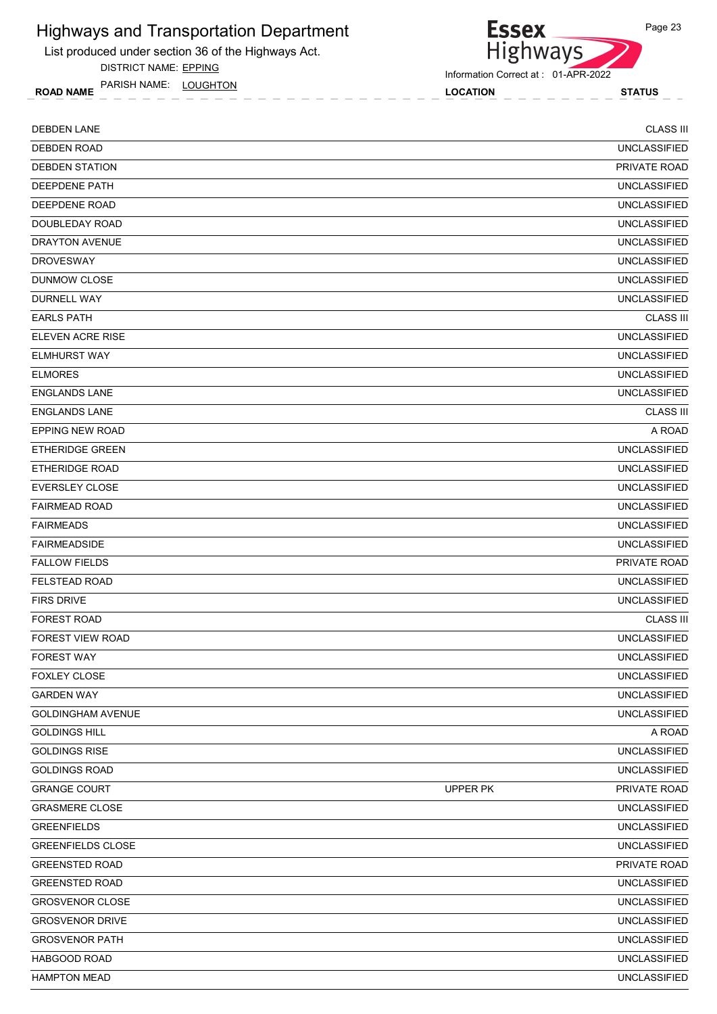List produced under section 36 of the Highways Act.

DISTRICT NAME: EPPING

ROAD NAME LOCATION STATUS PARISH NAME: LOUGHTON



Information Correct at : 01-APR-2022

| <b>DEBDEN LANE</b>       |          | <b>CLASS III</b>    |
|--------------------------|----------|---------------------|
| <b>DEBDEN ROAD</b>       |          | <b>UNCLASSIFIED</b> |
| <b>DEBDEN STATION</b>    |          | PRIVATE ROAD        |
| <b>DEEPDENE PATH</b>     |          | <b>UNCLASSIFIED</b> |
| DEEPDENE ROAD            |          | <b>UNCLASSIFIED</b> |
| DOUBLEDAY ROAD           |          | <b>UNCLASSIFIED</b> |
| DRAYTON AVENUE           |          | <b>UNCLASSIFIED</b> |
| <b>DROVESWAY</b>         |          | <b>UNCLASSIFIED</b> |
| <b>DUNMOW CLOSE</b>      |          | <b>UNCLASSIFIED</b> |
| DURNELL WAY              |          | <b>UNCLASSIFIED</b> |
| <b>EARLS PATH</b>        |          | <b>CLASS III</b>    |
| <b>ELEVEN ACRE RISE</b>  |          | <b>UNCLASSIFIED</b> |
| <b>ELMHURST WAY</b>      |          | <b>UNCLASSIFIED</b> |
| <b>ELMORES</b>           |          | <b>UNCLASSIFIED</b> |
| <b>ENGLANDS LANE</b>     |          | <b>UNCLASSIFIED</b> |
| <b>ENGLANDS LANE</b>     |          | <b>CLASS III</b>    |
| <b>EPPING NEW ROAD</b>   |          | A ROAD              |
| <b>ETHERIDGE GREEN</b>   |          | <b>UNCLASSIFIED</b> |
| <b>ETHERIDGE ROAD</b>    |          | <b>UNCLASSIFIED</b> |
| EVERSLEY CLOSE           |          | <b>UNCLASSIFIED</b> |
| <b>FAIRMEAD ROAD</b>     |          | <b>UNCLASSIFIED</b> |
| <b>FAIRMEADS</b>         |          | <b>UNCLASSIFIED</b> |
| <b>FAIRMEADSIDE</b>      |          | <b>UNCLASSIFIED</b> |
| <b>FALLOW FIELDS</b>     |          | PRIVATE ROAD        |
| <b>FELSTEAD ROAD</b>     |          | <b>UNCLASSIFIED</b> |
| <b>FIRS DRIVE</b>        |          | <b>UNCLASSIFIED</b> |
| <b>FOREST ROAD</b>       |          | <b>CLASS III</b>    |
| <b>FOREST VIEW ROAD</b>  |          | <b>UNCLASSIFIED</b> |
| <b>FOREST WAY</b>        |          | <b>UNCLASSIFIED</b> |
| <b>FOXLEY CLOSE</b>      |          | <b>UNCLASSIFIED</b> |
| <b>GARDEN WAY</b>        |          | <b>UNCLASSIFIED</b> |
| GOLDINGHAM AVENUE        |          | <b>UNCLASSIFIED</b> |
| <b>GOLDINGS HILL</b>     |          | A ROAD              |
| <b>GOLDINGS RISE</b>     |          | <b>UNCLASSIFIED</b> |
| <b>GOLDINGS ROAD</b>     |          | <b>UNCLASSIFIED</b> |
| <b>GRANGE COURT</b>      | UPPER PK | PRIVATE ROAD        |
| <b>GRASMERE CLOSE</b>    |          | <b>UNCLASSIFIED</b> |
| <b>GREENFIELDS</b>       |          | <b>UNCLASSIFIED</b> |
| <b>GREENFIELDS CLOSE</b> |          | <b>UNCLASSIFIED</b> |
| <b>GREENSTED ROAD</b>    |          | PRIVATE ROAD        |
| <b>GREENSTED ROAD</b>    |          | <b>UNCLASSIFIED</b> |
| <b>GROSVENOR CLOSE</b>   |          | <b>UNCLASSIFIED</b> |
| <b>GROSVENOR DRIVE</b>   |          | <b>UNCLASSIFIED</b> |
| <b>GROSVENOR PATH</b>    |          | <b>UNCLASSIFIED</b> |
| HABGOOD ROAD             |          | <b>UNCLASSIFIED</b> |
| <b>HAMPTON MEAD</b>      |          | <b>UNCLASSIFIED</b> |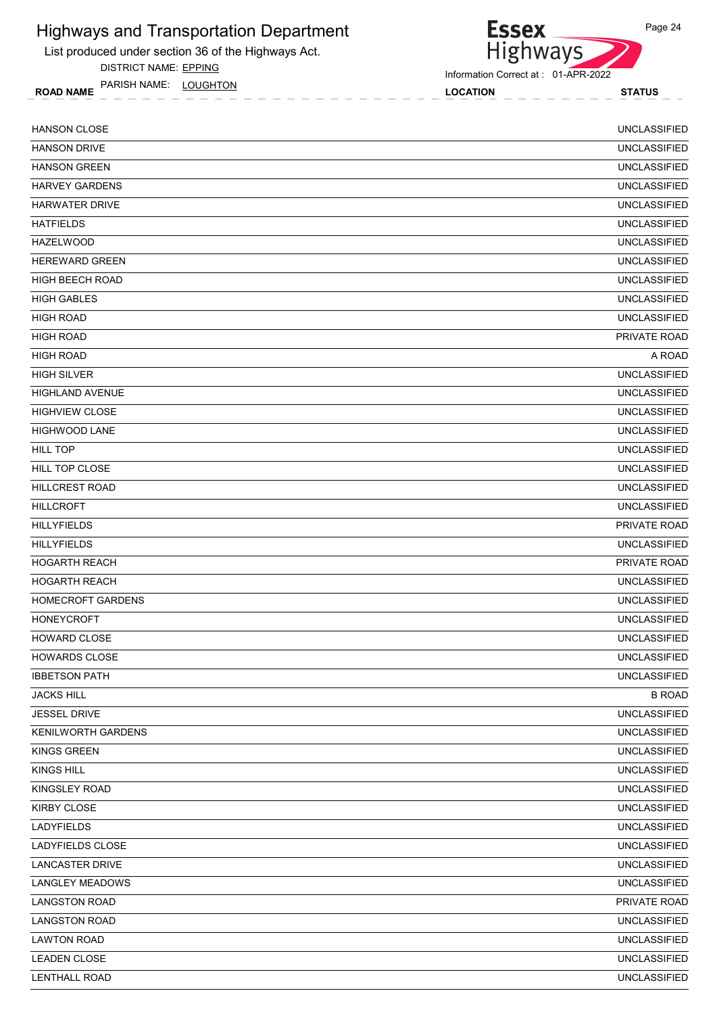List produced under section 36 of the Highways Act.

DISTRICT NAME: EPPING

ROAD NAME LOCATION STATUS PARISH NAME: LOUGHTON



| <b>HANSON CLOSE</b>       | <b>UNCLASSIFIED</b> |
|---------------------------|---------------------|
| <b>HANSON DRIVE</b>       | <b>UNCLASSIFIED</b> |
| <b>HANSON GREEN</b>       | <b>UNCLASSIFIED</b> |
| <b>HARVEY GARDENS</b>     | <b>UNCLASSIFIED</b> |
| <b>HARWATER DRIVE</b>     | <b>UNCLASSIFIED</b> |
| <b>HATFIELDS</b>          | <b>UNCLASSIFIED</b> |
| <b>HAZELWOOD</b>          | <b>UNCLASSIFIED</b> |
| <b>HEREWARD GREEN</b>     | <b>UNCLASSIFIED</b> |
| <b>HIGH BEECH ROAD</b>    | <b>UNCLASSIFIED</b> |
| <b>HIGH GABLES</b>        | <b>UNCLASSIFIED</b> |
| <b>HIGH ROAD</b>          | <b>UNCLASSIFIED</b> |
| <b>HIGH ROAD</b>          | PRIVATE ROAD        |
| <b>HIGH ROAD</b>          | A ROAD              |
| <b>HIGH SILVER</b>        | <b>UNCLASSIFIED</b> |
| <b>HIGHLAND AVENUE</b>    | <b>UNCLASSIFIED</b> |
| <b>HIGHVIEW CLOSE</b>     | <b>UNCLASSIFIED</b> |
| <b>HIGHWOOD LANE</b>      | <b>UNCLASSIFIED</b> |
| <b>HILL TOP</b>           | <b>UNCLASSIFIED</b> |
| <b>HILL TOP CLOSE</b>     | <b>UNCLASSIFIED</b> |
| HILLCREST ROAD            | <b>UNCLASSIFIED</b> |
| <b>HILLCROFT</b>          | <b>UNCLASSIFIED</b> |
| <b>HILLYFIELDS</b>        | PRIVATE ROAD        |
| <b>HILLYFIELDS</b>        | <b>UNCLASSIFIED</b> |
| <b>HOGARTH REACH</b>      | PRIVATE ROAD        |
| <b>HOGARTH REACH</b>      | <b>UNCLASSIFIED</b> |
| <b>HOMECROFT GARDENS</b>  | <b>UNCLASSIFIED</b> |
| <b>HONEYCROFT</b>         | <b>UNCLASSIFIED</b> |
| <b>HOWARD CLOSE</b>       | <b>UNCLASSIFIED</b> |
| <b>HOWARDS CLOSE</b>      | <b>UNCLASSIFIED</b> |
| <b>IBBETSON PATH</b>      | <b>UNCLASSIFIED</b> |
| <b>JACKS HILL</b>         | <b>B ROAD</b>       |
| <b>JESSEL DRIVE</b>       | <b>UNCLASSIFIED</b> |
| <b>KENILWORTH GARDENS</b> | <b>UNCLASSIFIED</b> |
| <b>KINGS GREEN</b>        | <b>UNCLASSIFIED</b> |
| <b>KINGS HILL</b>         | <b>UNCLASSIFIED</b> |
| <b>KINGSLEY ROAD</b>      | <b>UNCLASSIFIED</b> |
| <b>KIRBY CLOSE</b>        | <b>UNCLASSIFIED</b> |
| LADYFIELDS                | <b>UNCLASSIFIED</b> |
| LADYFIELDS CLOSE          | <b>UNCLASSIFIED</b> |
| <b>LANCASTER DRIVE</b>    | <b>UNCLASSIFIED</b> |
| <b>LANGLEY MEADOWS</b>    | UNCLASSIFIED        |
| <b>LANGSTON ROAD</b>      | PRIVATE ROAD        |
| <b>LANGSTON ROAD</b>      | <b>UNCLASSIFIED</b> |
| <b>LAWTON ROAD</b>        | <b>UNCLASSIFIED</b> |
| <b>LEADEN CLOSE</b>       | <b>UNCLASSIFIED</b> |
| LENTHALL ROAD             | <b>UNCLASSIFIED</b> |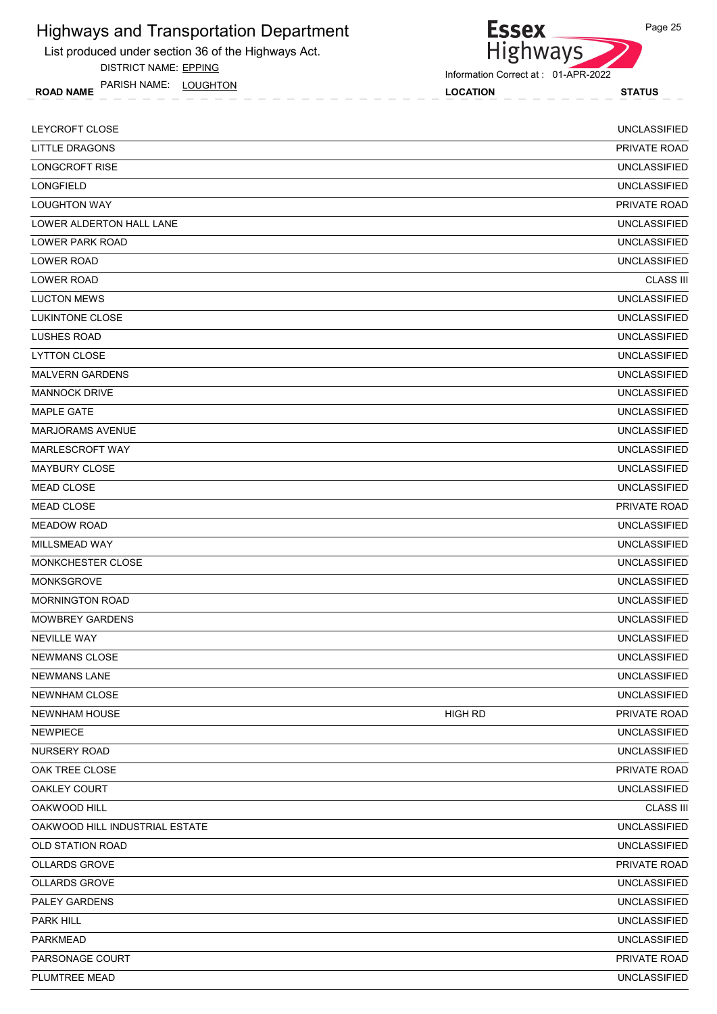List produced under section 36 of the Highways Act.

DISTRICT NAME: EPPING

ROAD NAME LOCATION STATUS PARISH NAME: LOUGHTON

Highways Information Correct at : 01-APR-2022

**Essex** 

| LEYCROFT CLOSE                 |                | <b>UNCLASSIFIED</b> |
|--------------------------------|----------------|---------------------|
| LITTLE DRAGONS                 |                | PRIVATE ROAD        |
| <b>LONGCROFT RISE</b>          |                | <b>UNCLASSIFIED</b> |
| <b>LONGFIELD</b>               |                | UNCLASSIFIED        |
| <b>LOUGHTON WAY</b>            |                | PRIVATE ROAD        |
| LOWER ALDERTON HALL LANE       |                | <b>UNCLASSIFIED</b> |
| LOWER PARK ROAD                |                | <b>UNCLASSIFIED</b> |
| LOWER ROAD                     |                | <b>UNCLASSIFIED</b> |
| LOWER ROAD                     |                | <b>CLASS III</b>    |
| <b>LUCTON MEWS</b>             |                | <b>UNCLASSIFIED</b> |
| LUKINTONE CLOSE                |                | <b>UNCLASSIFIED</b> |
| LUSHES ROAD                    |                | <b>UNCLASSIFIED</b> |
| <b>LYTTON CLOSE</b>            |                | <b>UNCLASSIFIED</b> |
| <b>MALVERN GARDENS</b>         |                | <b>UNCLASSIFIED</b> |
| <b>MANNOCK DRIVE</b>           |                | <b>UNCLASSIFIED</b> |
| <b>MAPLE GATE</b>              |                | <b>UNCLASSIFIED</b> |
| <b>MARJORAMS AVENUE</b>        |                | <b>UNCLASSIFIED</b> |
| <b>MARLESCROFT WAY</b>         |                | <b>UNCLASSIFIED</b> |
| <b>MAYBURY CLOSE</b>           |                | <b>UNCLASSIFIED</b> |
| <b>MEAD CLOSE</b>              |                | <b>UNCLASSIFIED</b> |
| MEAD CLOSE                     |                | PRIVATE ROAD        |
| <b>MEADOW ROAD</b>             |                | UNCLASSIFIED        |
| MILLSMEAD WAY                  |                | <b>UNCLASSIFIED</b> |
| MONKCHESTER CLOSE              |                | <b>UNCLASSIFIED</b> |
| <b>MONKSGROVE</b>              |                | <b>UNCLASSIFIED</b> |
| <b>MORNINGTON ROAD</b>         |                | <b>UNCLASSIFIED</b> |
| <b>MOWBREY GARDENS</b>         |                | UNCLASSIFIED        |
| <b>NEVILLE WAY</b>             |                | <b>UNCLASSIFIED</b> |
| NEWMANS CLOSE                  |                | UNCLASSIFIED        |
| <b>NEWMANS LANE</b>            |                | UNCLASSIFIED        |
| <b>NEWNHAM CLOSE</b>           |                | <b>UNCLASSIFIED</b> |
| <b>NEWNHAM HOUSE</b>           | <b>HIGH RD</b> | PRIVATE ROAD        |
| NEWPIECE                       |                | <b>UNCLASSIFIED</b> |
| NURSERY ROAD                   |                | <b>UNCLASSIFIED</b> |
| OAK TREE CLOSE                 |                | PRIVATE ROAD        |
| <b>OAKLEY COURT</b>            |                | <b>UNCLASSIFIED</b> |
| OAKWOOD HILL                   |                | <b>CLASS III</b>    |
| OAKWOOD HILL INDUSTRIAL ESTATE |                | <b>UNCLASSIFIED</b> |
| <b>OLD STATION ROAD</b>        |                | <b>UNCLASSIFIED</b> |
| OLLARDS GROVE                  |                | PRIVATE ROAD        |
| OLLARDS GROVE                  |                | <b>UNCLASSIFIED</b> |
| PALEY GARDENS                  |                | <b>UNCLASSIFIED</b> |
| PARK HILL                      |                | <b>UNCLASSIFIED</b> |
| <b>PARKMEAD</b>                |                | <b>UNCLASSIFIED</b> |
| PARSONAGE COURT                |                | PRIVATE ROAD        |
| PLUMTREE MEAD                  |                | <b>UNCLASSIFIED</b> |
|                                |                |                     |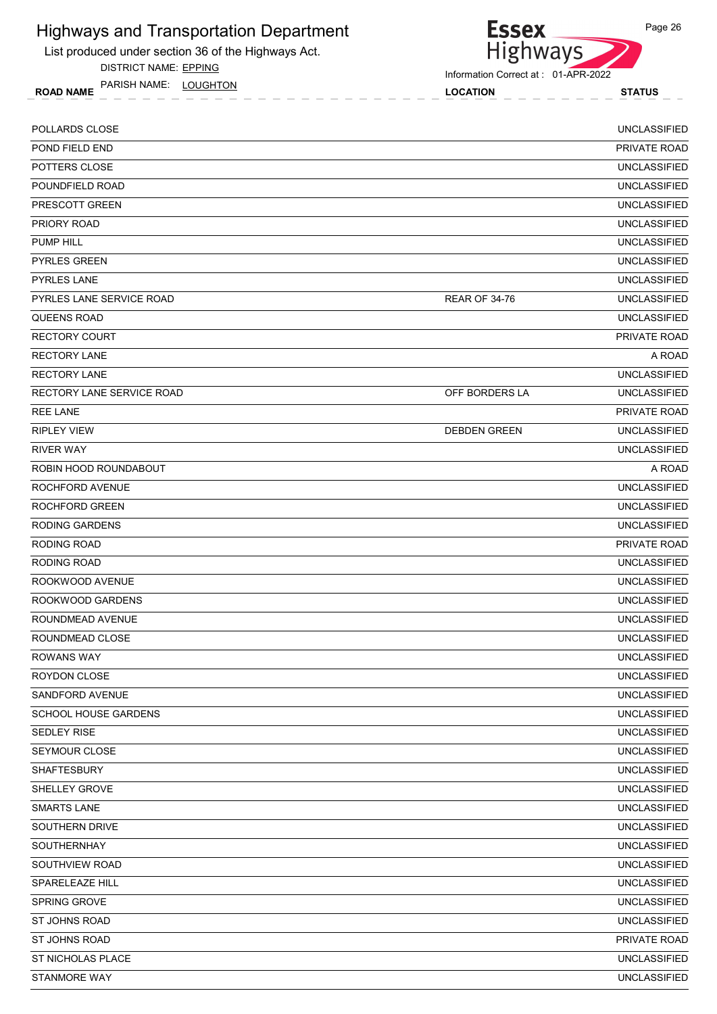List produced under section 36 of the Highways Act.

DISTRICT NAME: EPPING

ROAD NAME LOCATION STATUS PARISH NAME: LOUGHTON



Information Correct at : 01-APR-2022

| POLLARDS CLOSE            |                      | <b>UNCLASSIFIED</b> |
|---------------------------|----------------------|---------------------|
| POND FIELD END            |                      | PRIVATE ROAD        |
| POTTERS CLOSE             |                      | <b>UNCLASSIFIED</b> |
| POUNDFIELD ROAD           |                      | <b>UNCLASSIFIED</b> |
| PRESCOTT GREEN            |                      | <b>UNCLASSIFIED</b> |
| PRIORY ROAD               |                      | <b>UNCLASSIFIED</b> |
| PUMP HILL                 |                      | <b>UNCLASSIFIED</b> |
| <b>PYRLES GREEN</b>       |                      | <b>UNCLASSIFIED</b> |
| <b>PYRLES LANE</b>        |                      | <b>UNCLASSIFIED</b> |
| PYRLES LANE SERVICE ROAD  | <b>REAR OF 34-76</b> | <b>UNCLASSIFIED</b> |
| <b>QUEENS ROAD</b>        |                      | <b>UNCLASSIFIED</b> |
| <b>RECTORY COURT</b>      |                      | PRIVATE ROAD        |
| <b>RECTORY LANE</b>       |                      | A ROAD              |
| <b>RECTORY LANE</b>       |                      | <b>UNCLASSIFIED</b> |
| RECTORY LANE SERVICE ROAD | OFF BORDERS LA       | <b>UNCLASSIFIED</b> |
| <b>REE LANE</b>           |                      | <b>PRIVATE ROAD</b> |
| <b>RIPLEY VIEW</b>        | <b>DEBDEN GREEN</b>  | <b>UNCLASSIFIED</b> |
| <b>RIVER WAY</b>          |                      | <b>UNCLASSIFIED</b> |
| ROBIN HOOD ROUNDABOUT     |                      | A ROAD              |
| ROCHFORD AVENUE           |                      | <b>UNCLASSIFIED</b> |
| ROCHFORD GREEN            |                      | <b>UNCLASSIFIED</b> |
| <b>RODING GARDENS</b>     |                      | <b>UNCLASSIFIED</b> |
| RODING ROAD               |                      | PRIVATE ROAD        |
| RODING ROAD               |                      | <b>UNCLASSIFIED</b> |
| ROOKWOOD AVENUE           |                      | <b>UNCLASSIFIED</b> |
| ROOKWOOD GARDENS          |                      | <b>UNCLASSIFIED</b> |
| ROUNDMEAD AVENUE          |                      | <b>UNCLASSIFIED</b> |
| ROUNDMEAD CLOSE           |                      | <b>UNCLASSIFIED</b> |
| <b>ROWANS WAY</b>         |                      | <b>UNCLASSIFIED</b> |
| ROYDON CLOSE              |                      | <b>UNCLASSIFIED</b> |
| SANDFORD AVENUE           |                      | <b>UNCLASSIFIED</b> |
| SCHOOL HOUSE GARDENS      |                      | <b>UNCLASSIFIED</b> |
| <b>SEDLEY RISE</b>        |                      | <b>UNCLASSIFIED</b> |
| SEYMOUR CLOSE             |                      | <b>UNCLASSIFIED</b> |
| <b>SHAFTESBURY</b>        |                      | <b>UNCLASSIFIED</b> |
| SHELLEY GROVE             |                      | <b>UNCLASSIFIED</b> |
| SMARTS LANE               |                      | <b>UNCLASSIFIED</b> |
| SOUTHERN DRIVE            |                      | <b>UNCLASSIFIED</b> |
| SOUTHERNHAY               |                      | <b>UNCLASSIFIED</b> |
| SOUTHVIEW ROAD            |                      | <b>UNCLASSIFIED</b> |
| SPARELEAZE HILL           |                      | <b>UNCLASSIFIED</b> |
| SPRING GROVE              |                      | <b>UNCLASSIFIED</b> |
| ST JOHNS ROAD             |                      | <b>UNCLASSIFIED</b> |
| ST JOHNS ROAD             |                      | PRIVATE ROAD        |
| ST NICHOLAS PLACE         |                      | <b>UNCLASSIFIED</b> |
| <b>STANMORE WAY</b>       |                      | <b>UNCLASSIFIED</b> |
|                           |                      |                     |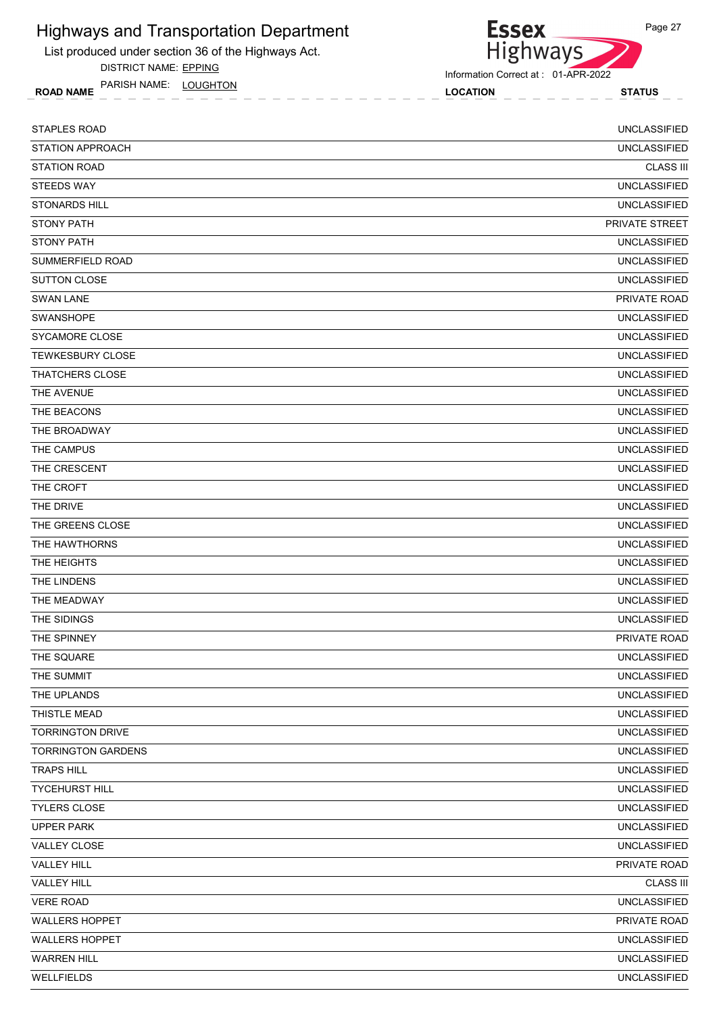List produced under section 36 of the Highways Act.

DISTRICT NAME: EPPING

ROAD NAME LOCATION STATUS PARISH NAME: LOUGHTON



Information Correct at : 01-APR-2022

| <b>STAPLES ROAD</b>       | <b>UNCLASSIFIED</b>   |
|---------------------------|-----------------------|
| <b>STATION APPROACH</b>   | <b>UNCLASSIFIED</b>   |
| <b>STATION ROAD</b>       | <b>CLASS III</b>      |
| <b>STEEDS WAY</b>         | <b>UNCLASSIFIED</b>   |
| <b>STONARDS HILL</b>      | <b>UNCLASSIFIED</b>   |
| <b>STONY PATH</b>         | <b>PRIVATE STREET</b> |
| <b>STONY PATH</b>         | <b>UNCLASSIFIED</b>   |
| SUMMERFIELD ROAD          | <b>UNCLASSIFIED</b>   |
| <b>SUTTON CLOSE</b>       | <b>UNCLASSIFIED</b>   |
| <b>SWAN LANE</b>          | PRIVATE ROAD          |
| <b>SWANSHOPE</b>          | <b>UNCLASSIFIED</b>   |
| SYCAMORE CLOSE            | <b>UNCLASSIFIED</b>   |
| <b>TEWKESBURY CLOSE</b>   | <b>UNCLASSIFIED</b>   |
| <b>THATCHERS CLOSE</b>    | <b>UNCLASSIFIED</b>   |
| THE AVENUE                | <b>UNCLASSIFIED</b>   |
| THE BEACONS               | <b>UNCLASSIFIED</b>   |
| THE BROADWAY              | <b>UNCLASSIFIED</b>   |
| THE CAMPUS                | <b>UNCLASSIFIED</b>   |
| THE CRESCENT              | <b>UNCLASSIFIED</b>   |
| THE CROFT                 | <b>UNCLASSIFIED</b>   |
| THE DRIVE                 | <b>UNCLASSIFIED</b>   |
| THE GREENS CLOSE          | <b>UNCLASSIFIED</b>   |
| THE HAWTHORNS             | <b>UNCLASSIFIED</b>   |
| THE HEIGHTS               | <b>UNCLASSIFIED</b>   |
| THE LINDENS               | <b>UNCLASSIFIED</b>   |
| THE MEADWAY               | <b>UNCLASSIFIED</b>   |
| THE SIDINGS               | <b>UNCLASSIFIED</b>   |
| THE SPINNEY               | PRIVATE ROAD          |
| THE SQUARE                | <b>UNCLASSIFIED</b>   |
| THE SUMMIT                | <b>UNCLASSIFIED</b>   |
| THE UPLANDS               | <b>UNCLASSIFIED</b>   |
| THISTLE MEAD              | <b>UNCLASSIFIED</b>   |
| <b>TORRINGTON DRIVE</b>   | <b>UNCLASSIFIED</b>   |
| <b>TORRINGTON GARDENS</b> | <b>UNCLASSIFIED</b>   |
| <b>TRAPS HILL</b>         | <b>UNCLASSIFIED</b>   |
| <b>TYCEHURST HILL</b>     | <b>UNCLASSIFIED</b>   |
| TYLERS CLOSE              | <b>UNCLASSIFIED</b>   |
| <b>UPPER PARK</b>         | <b>UNCLASSIFIED</b>   |
| <b>VALLEY CLOSE</b>       | <b>UNCLASSIFIED</b>   |
| <b>VALLEY HILL</b>        | PRIVATE ROAD          |
| <b>VALLEY HILL</b>        | <b>CLASS III</b>      |
| <b>VERE ROAD</b>          | <b>UNCLASSIFIED</b>   |
| <b>WALLERS HOPPET</b>     | PRIVATE ROAD          |
| <b>WALLERS HOPPET</b>     | <b>UNCLASSIFIED</b>   |
| <b>WARREN HILL</b>        | <b>UNCLASSIFIED</b>   |
| WELLFIELDS                | <b>UNCLASSIFIED</b>   |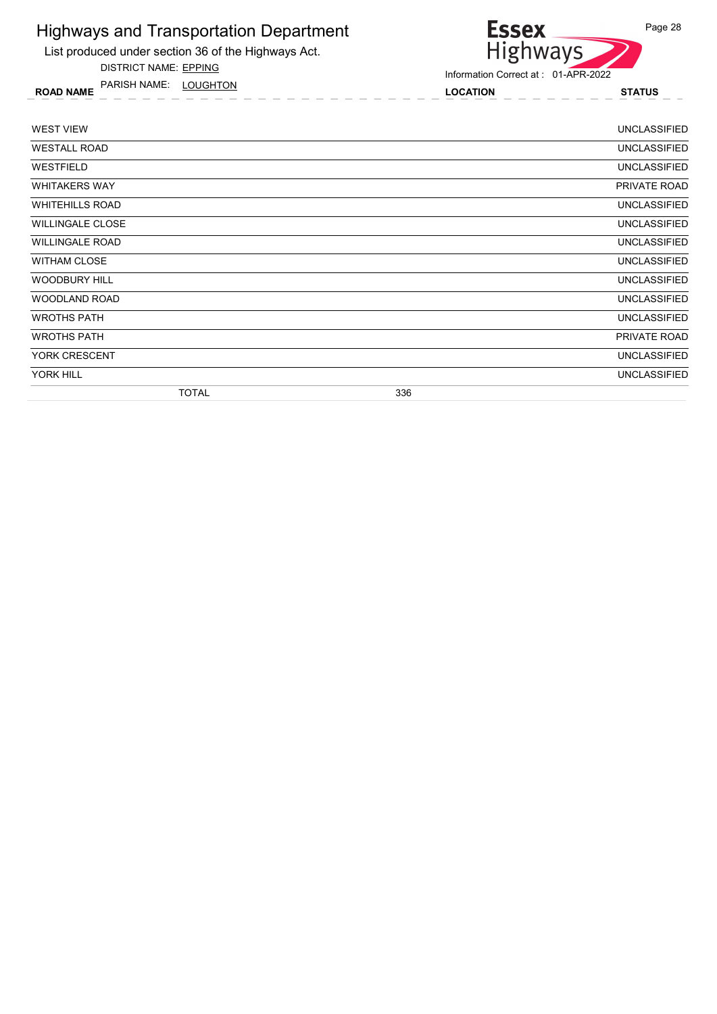List produced under section 36 of the Highways Act.

DISTRICT NAME: EPPING

ROAD NAME LOCATION STATUS PARISH NAME: LOUGHTON



| <b>WEST VIEW</b>        |              |     | UNCLASSIFIED        |
|-------------------------|--------------|-----|---------------------|
| <b>WESTALL ROAD</b>     |              |     | <b>UNCLASSIFIED</b> |
| WESTFIELD               |              |     | <b>UNCLASSIFIED</b> |
| <b>WHITAKERS WAY</b>    |              |     | PRIVATE ROAD        |
| <b>WHITEHILLS ROAD</b>  |              |     | <b>UNCLASSIFIED</b> |
| <b>WILLINGALE CLOSE</b> |              |     | <b>UNCLASSIFIED</b> |
| <b>WILLINGALE ROAD</b>  |              |     | <b>UNCLASSIFIED</b> |
| <b>WITHAM CLOSE</b>     |              |     | <b>UNCLASSIFIED</b> |
| <b>WOODBURY HILL</b>    |              |     | <b>UNCLASSIFIED</b> |
| <b>WOODLAND ROAD</b>    |              |     | <b>UNCLASSIFIED</b> |
| <b>WROTHS PATH</b>      |              |     | <b>UNCLASSIFIED</b> |
| <b>WROTHS PATH</b>      |              |     | PRIVATE ROAD        |
| YORK CRESCENT           |              |     | <b>UNCLASSIFIED</b> |
| YORK HILL               |              |     | <b>UNCLASSIFIED</b> |
|                         | <b>TOTAL</b> | 336 |                     |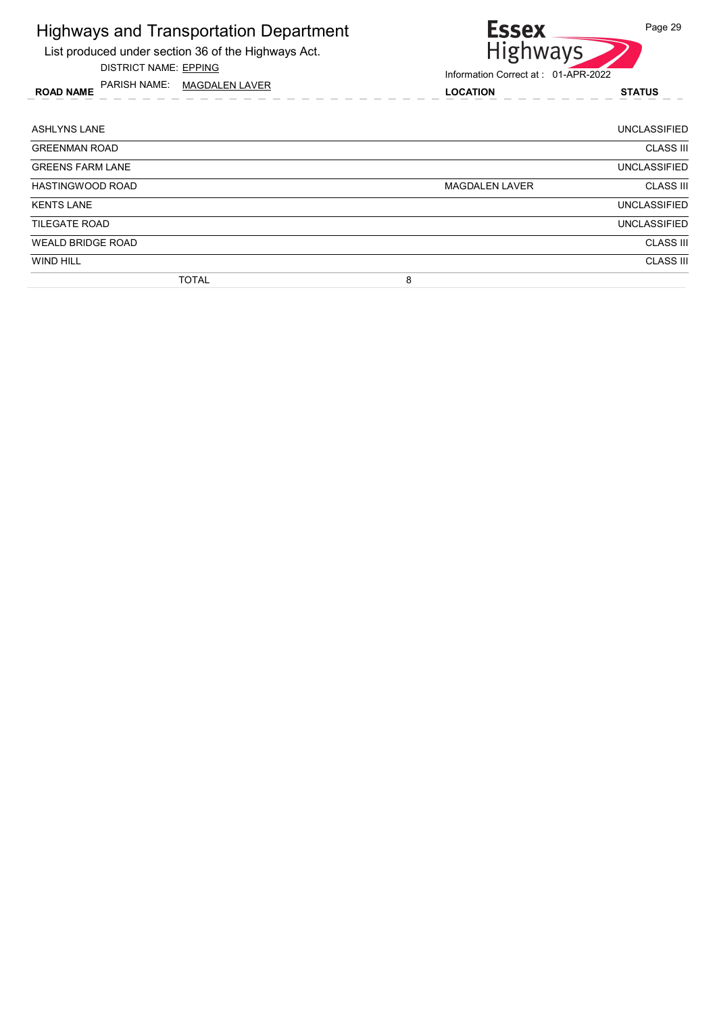List produced under section 36 of the Highways Act.

DISTRICT NAME: EPPING

ROAD NAME LOCATION STATUS PARISH NAME: MAGDALEN LAVER



| <b>ASHLYNS LANE</b>      | <b>UNCLASSIFIED</b>                       |
|--------------------------|-------------------------------------------|
| <b>GREENMAN ROAD</b>     | <b>CLASS III</b>                          |
| <b>GREENS FARM LANE</b>  | <b>UNCLASSIFIED</b>                       |
| <b>HASTINGWOOD ROAD</b>  | <b>CLASS III</b><br><b>MAGDALEN LAVER</b> |
| <b>KENTS LANE</b>        | <b>UNCLASSIFIED</b>                       |
| <b>TILEGATE ROAD</b>     | <b>UNCLASSIFIED</b>                       |
| <b>WEALD BRIDGE ROAD</b> | <b>CLASS III</b>                          |
| <b>WIND HILL</b>         | <b>CLASS III</b>                          |
| <b>TOTAL</b>             | 8                                         |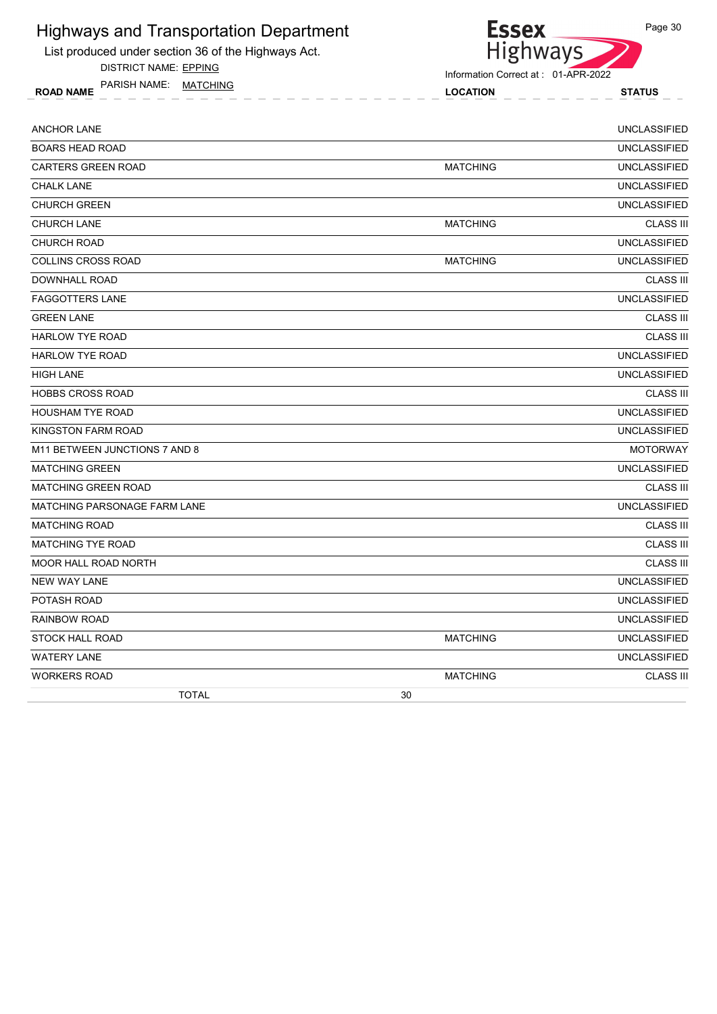List produced under section 36 of the Highways Act.

DISTRICT NAME: EPPING

ROAD NAME LOCATION STATUS PARISH NAME: MATCHING



|                 | <b>UNCLASSIFIED</b> |
|-----------------|---------------------|
|                 | <b>UNCLASSIFIED</b> |
| <b>MATCHING</b> | <b>UNCLASSIFIED</b> |
|                 | <b>UNCLASSIFIED</b> |
|                 | <b>UNCLASSIFIED</b> |
| <b>MATCHING</b> | <b>CLASS III</b>    |
|                 | <b>UNCLASSIFIED</b> |
| <b>MATCHING</b> | <b>UNCLASSIFIED</b> |
|                 | <b>CLASS III</b>    |
|                 | <b>UNCLASSIFIED</b> |
|                 | <b>CLASS III</b>    |
|                 | <b>CLASS III</b>    |
|                 | <b>UNCLASSIFIED</b> |
|                 | <b>UNCLASSIFIED</b> |
|                 | <b>CLASS III</b>    |
|                 | <b>UNCLASSIFIED</b> |
|                 | <b>UNCLASSIFIED</b> |
|                 | <b>MOTORWAY</b>     |
|                 | <b>UNCLASSIFIED</b> |
|                 | <b>CLASS III</b>    |
|                 | <b>UNCLASSIFIED</b> |
|                 | <b>CLASS III</b>    |
|                 | <b>CLASS III</b>    |
|                 | <b>CLASS III</b>    |
|                 | <b>UNCLASSIFIED</b> |
|                 | <b>UNCLASSIFIED</b> |
|                 | <b>UNCLASSIFIED</b> |
| <b>MATCHING</b> | <b>UNCLASSIFIED</b> |
|                 | <b>UNCLASSIFIED</b> |
| <b>MATCHING</b> | <b>CLASS III</b>    |
| 30              |                     |
|                 |                     |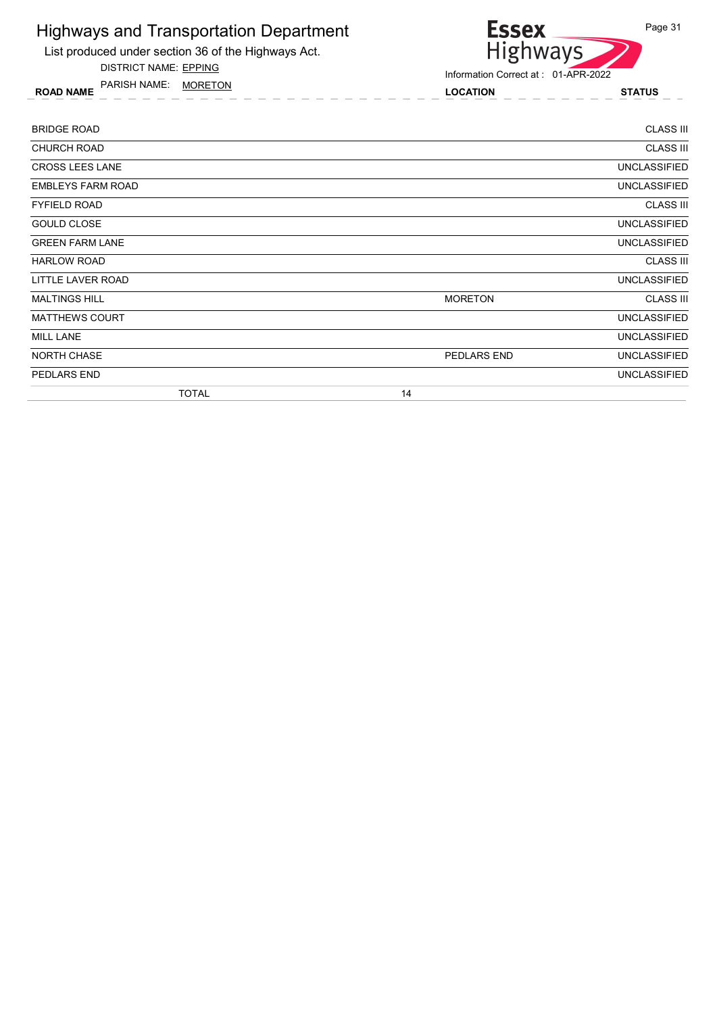List produced under section 36 of the Highways Act.

DISTRICT NAME: EPPING

ROAD NAME LOCATION STATUS PARISH NAME: MORETON



| <b>BRIDGE ROAD</b>       | <b>CLASS III</b>                   |
|--------------------------|------------------------------------|
| <b>CHURCH ROAD</b>       | <b>CLASS III</b>                   |
| <b>CROSS LEES LANE</b>   | <b>UNCLASSIFIED</b>                |
| <b>EMBLEYS FARM ROAD</b> | <b>UNCLASSIFIED</b>                |
| <b>FYFIELD ROAD</b>      | <b>CLASS III</b>                   |
| <b>GOULD CLOSE</b>       | <b>UNCLASSIFIED</b>                |
| <b>GREEN FARM LANE</b>   | <b>UNCLASSIFIED</b>                |
| <b>HARLOW ROAD</b>       | <b>CLASS III</b>                   |
| LITTLE LAVER ROAD        | <b>UNCLASSIFIED</b>                |
| <b>MALTINGS HILL</b>     | <b>CLASS III</b><br><b>MORETON</b> |
| <b>MATTHEWS COURT</b>    | <b>UNCLASSIFIED</b>                |
| <b>MILL LANE</b>         | <b>UNCLASSIFIED</b>                |
| <b>NORTH CHASE</b>       | PEDLARS END<br><b>UNCLASSIFIED</b> |
| PEDLARS END              | <b>UNCLASSIFIED</b>                |
| <b>TOTAL</b>             | 14                                 |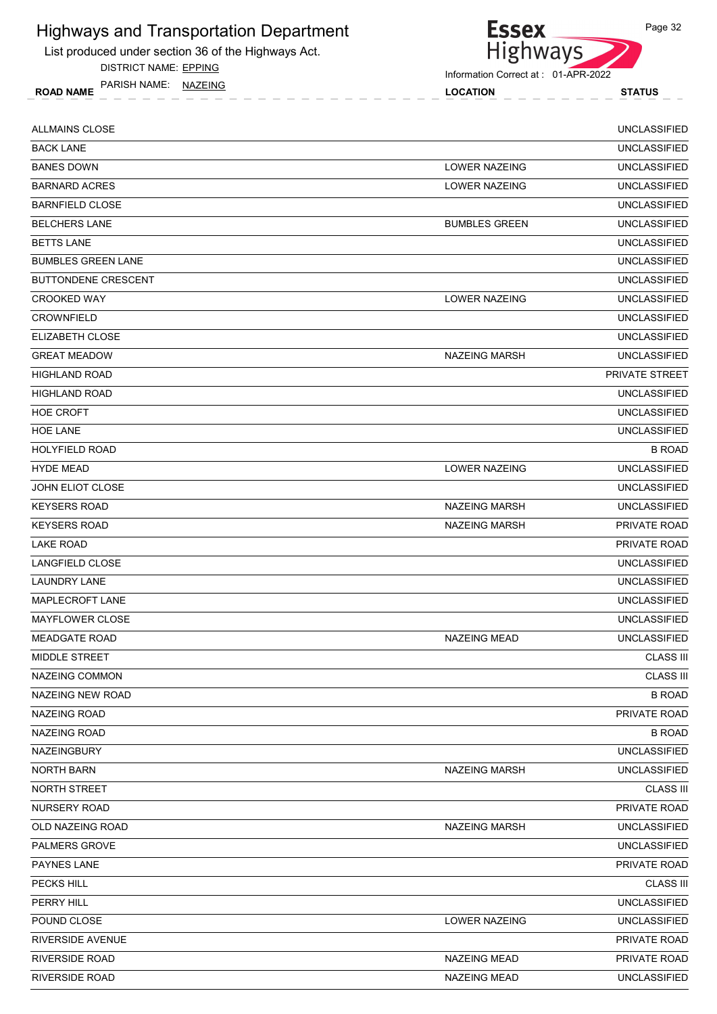List produced under section 36 of the Highways Act.

DISTRICT NAME: EPPING

ROAD NAME TANISH IVAIVIE. IVALEING NAME STATUS **LOCATION** LOCATION STATUS PARISH NAME: NAZEING



| <b>ALLMAINS CLOSE</b>      |                      | <b>UNCLASSIFIED</b>   |
|----------------------------|----------------------|-----------------------|
| <b>BACK LANE</b>           |                      | <b>UNCLASSIFIED</b>   |
| <b>BANES DOWN</b>          | <b>LOWER NAZEING</b> | <b>UNCLASSIFIED</b>   |
| <b>BARNARD ACRES</b>       | <b>LOWER NAZEING</b> | <b>UNCLASSIFIED</b>   |
| <b>BARNFIELD CLOSE</b>     |                      | <b>UNCLASSIFIED</b>   |
| <b>BELCHERS LANE</b>       | <b>BUMBLES GREEN</b> | <b>UNCLASSIFIED</b>   |
| <b>BETTS LANE</b>          |                      | <b>UNCLASSIFIED</b>   |
| <b>BUMBLES GREEN LANE</b>  |                      | <b>UNCLASSIFIED</b>   |
| <b>BUTTONDENE CRESCENT</b> |                      | <b>UNCLASSIFIED</b>   |
| <b>CROOKED WAY</b>         | <b>LOWER NAZEING</b> | <b>UNCLASSIFIED</b>   |
| <b>CROWNFIELD</b>          |                      | <b>UNCLASSIFIED</b>   |
| ELIZABETH CLOSE            |                      | <b>UNCLASSIFIED</b>   |
| <b>GREAT MEADOW</b>        | <b>NAZEING MARSH</b> | <b>UNCLASSIFIED</b>   |
| <b>HIGHLAND ROAD</b>       |                      | <b>PRIVATE STREET</b> |
| <b>HIGHLAND ROAD</b>       |                      | <b>UNCLASSIFIED</b>   |
| <b>HOE CROFT</b>           |                      | <b>UNCLASSIFIED</b>   |
| <b>HOE LANE</b>            |                      | <b>UNCLASSIFIED</b>   |
| <b>HOLYFIELD ROAD</b>      |                      | <b>B ROAD</b>         |
| <b>HYDE MEAD</b>           | <b>LOWER NAZEING</b> | <b>UNCLASSIFIED</b>   |
| JOHN ELIOT CLOSE           |                      | <b>UNCLASSIFIED</b>   |
| <b>KEYSERS ROAD</b>        | <b>NAZEING MARSH</b> | <b>UNCLASSIFIED</b>   |
| <b>KEYSERS ROAD</b>        | <b>NAZEING MARSH</b> | PRIVATE ROAD          |
| LAKE ROAD                  |                      | <b>PRIVATE ROAD</b>   |
| LANGFIELD CLOSE            |                      | <b>UNCLASSIFIED</b>   |
| <b>LAUNDRY LANE</b>        |                      | <b>UNCLASSIFIED</b>   |
| MAPLECROFT LANE            |                      | <b>UNCLASSIFIED</b>   |
| <b>MAYFLOWER CLOSE</b>     |                      | <b>UNCLASSIFIED</b>   |
| <b>MEADGATE ROAD</b>       | <b>NAZEING MEAD</b>  | <b>UNCLASSIFIED</b>   |
| MIDDLE STREET              |                      | <b>CLASS III</b>      |
| <b>NAZEING COMMON</b>      |                      | <b>CLASS III</b>      |
| NAZEING NEW ROAD           |                      | <b>B ROAD</b>         |
| NAZEING ROAD               |                      | PRIVATE ROAD          |
| NAZEING ROAD               |                      | <b>B ROAD</b>         |
| NAZEINGBURY                |                      | <b>UNCLASSIFIED</b>   |
| <b>NORTH BARN</b>          | NAZEING MARSH        | <b>UNCLASSIFIED</b>   |
| NORTH STREET               |                      | <b>CLASS III</b>      |
| <b>NURSERY ROAD</b>        |                      | PRIVATE ROAD          |
| OLD NAZEING ROAD           | NAZEING MARSH        | <b>UNCLASSIFIED</b>   |
| PALMERS GROVE              |                      | <b>UNCLASSIFIED</b>   |
| PAYNES LANE                |                      | PRIVATE ROAD          |
| PECKS HILL                 |                      | <b>CLASS III</b>      |
| PERRY HILL                 |                      | <b>UNCLASSIFIED</b>   |
| POUND CLOSE                | <b>LOWER NAZEING</b> | <b>UNCLASSIFIED</b>   |
| RIVERSIDE AVENUE           |                      | PRIVATE ROAD          |
| <b>RIVERSIDE ROAD</b>      | <b>NAZEING MEAD</b>  | PRIVATE ROAD          |
| RIVERSIDE ROAD             | <b>NAZEING MEAD</b>  | <b>UNCLASSIFIED</b>   |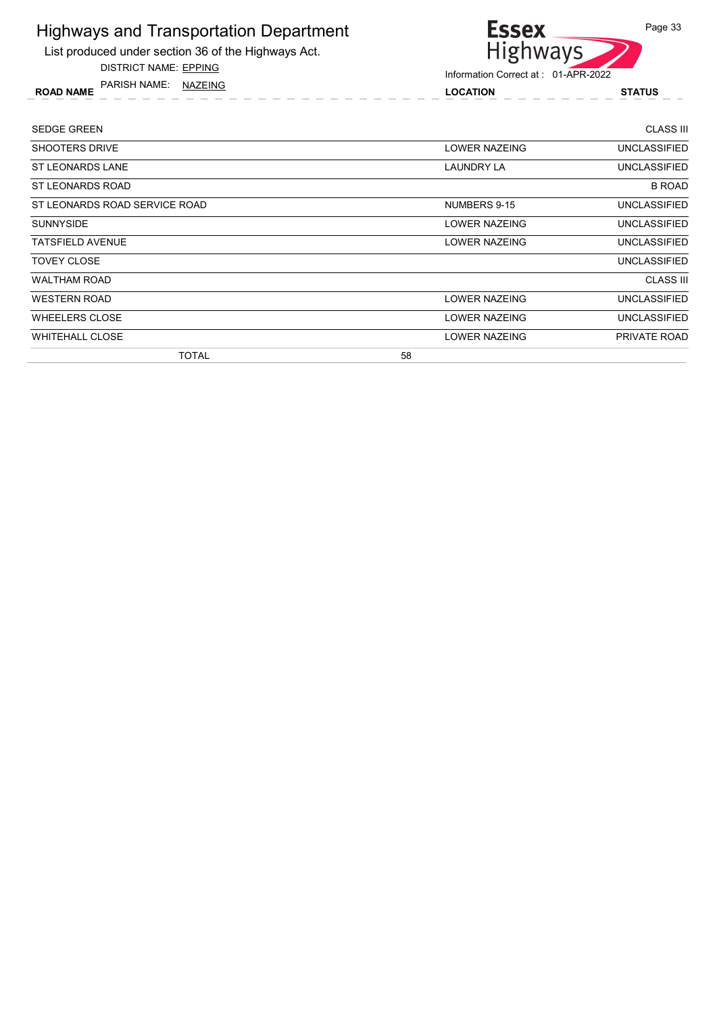List produced under section 36 of the Highways Act.

DISTRICT NAME: EPPING

ROAD NAME LOCATION STATUS PARISH NAME: NAZEING

**Essex** Highways

Information Correct at : 01-APR-2022

| <b>SEDGE GREEN</b>            |                      | <b>CLASS III</b>    |
|-------------------------------|----------------------|---------------------|
| SHOOTERS DRIVE                | <b>LOWER NAZEING</b> | <b>UNCLASSIFIED</b> |
| ST LEONARDS LANE              | <b>LAUNDRY LA</b>    | <b>UNCLASSIFIED</b> |
| ST LEONARDS ROAD              |                      | <b>B ROAD</b>       |
| ST LEONARDS ROAD SERVICE ROAD | NUMBERS 9-15         | <b>UNCLASSIFIED</b> |
| SUNNYSIDE                     | <b>LOWER NAZEING</b> | <b>UNCLASSIFIED</b> |
| TATSFIELD AVENUE              | <b>LOWER NAZEING</b> | <b>UNCLASSIFIED</b> |
| TOVEY CLOSE                   |                      | <b>UNCLASSIFIED</b> |
| WALTHAM ROAD                  |                      | <b>CLASS III</b>    |
| WESTERN ROAD                  | LOWER NAZEING        | <b>UNCLASSIFIED</b> |
| WHEELERS CLOSE                | <b>LOWER NAZEING</b> | <b>UNCLASSIFIED</b> |
| WHITEHALL CLOSE               | <b>LOWER NAZEING</b> | <b>PRIVATE ROAD</b> |
| <b>TOTAL</b>                  | 58                   |                     |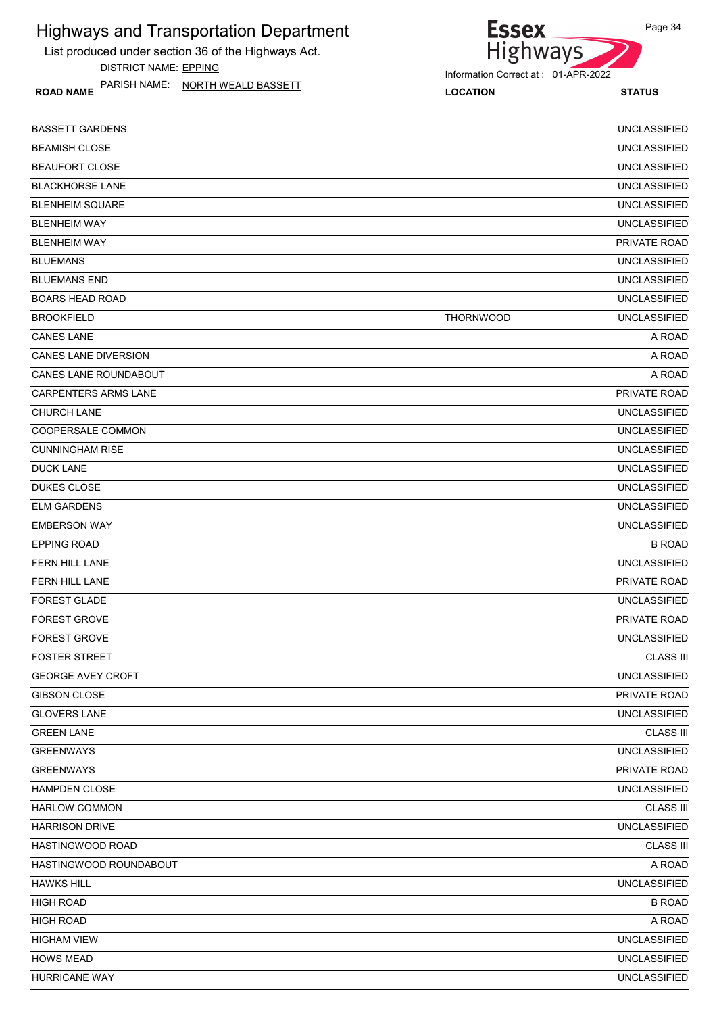List produced under section 36 of the Highways Act.

DISTRICT NAME: EPPING

ROAD NAME LOCATION STATUS PARISH NAME: NORTH WEALD BASSETT

| <b>BASSETT GARDENS</b>      |                  | <b>UNCLASSIFIED</b> |
|-----------------------------|------------------|---------------------|
| <b>BEAMISH CLOSE</b>        |                  | <b>UNCLASSIFIED</b> |
| <b>BEAUFORT CLOSE</b>       |                  | <b>UNCLASSIFIED</b> |
| <b>BLACKHORSE LANE</b>      |                  | <b>UNCLASSIFIED</b> |
| <b>BLENHEIM SQUARE</b>      |                  | <b>UNCLASSIFIED</b> |
| <b>BLENHEIM WAY</b>         |                  | <b>UNCLASSIFIED</b> |
| <b>BLENHEIM WAY</b>         |                  | PRIVATE ROAD        |
| <b>BLUEMANS</b>             |                  | <b>UNCLASSIFIED</b> |
| <b>BLUEMANS END</b>         |                  | <b>UNCLASSIFIED</b> |
| <b>BOARS HEAD ROAD</b>      |                  | <b>UNCLASSIFIED</b> |
| <b>BROOKFIELD</b>           | <b>THORNWOOD</b> | <b>UNCLASSIFIED</b> |
| <b>CANES LANE</b>           |                  | A ROAD              |
| <b>CANES LANE DIVERSION</b> |                  | A ROAD              |
| CANES LANE ROUNDABOUT       |                  | A ROAD              |
| <b>CARPENTERS ARMS LANE</b> |                  | PRIVATE ROAD        |
| <b>CHURCH LANE</b>          |                  | <b>UNCLASSIFIED</b> |
| COOPERSALE COMMON           |                  | <b>UNCLASSIFIED</b> |
| <b>CUNNINGHAM RISE</b>      |                  | <b>UNCLASSIFIED</b> |
| <b>DUCK LANE</b>            |                  | <b>UNCLASSIFIED</b> |
| <b>DUKES CLOSE</b>          |                  | <b>UNCLASSIFIED</b> |
| <b>ELM GARDENS</b>          |                  | <b>UNCLASSIFIED</b> |
| <b>EMBERSON WAY</b>         |                  | <b>UNCLASSIFIED</b> |
| <b>EPPING ROAD</b>          |                  | <b>B ROAD</b>       |
| FERN HILL LANE              |                  | <b>UNCLASSIFIED</b> |
| <b>FERN HILL LANE</b>       |                  | PRIVATE ROAD        |
| <b>FOREST GLADE</b>         |                  | <b>UNCLASSIFIED</b> |
| <b>FOREST GROVE</b>         |                  | PRIVATE ROAD        |
| <b>FOREST GROVE</b>         |                  | <b>UNCLASSIFIED</b> |
| <b>FOSTER STREET</b>        |                  | <b>CLASS III</b>    |
| <b>GEORGE AVEY CROFT</b>    |                  | <b>UNCLASSIFIED</b> |
| GIBSON CLOSE                |                  | PRIVATE ROAD        |
| <b>GLOVERS LANE</b>         |                  | <b>UNCLASSIFIED</b> |
| <b>GREEN LANE</b>           |                  | <b>CLASS III</b>    |
| <b>GREENWAYS</b>            |                  | <b>UNCLASSIFIED</b> |
| <b>GREENWAYS</b>            |                  | PRIVATE ROAD        |
| <b>HAMPDEN CLOSE</b>        |                  | <b>UNCLASSIFIED</b> |
| <b>HARLOW COMMON</b>        |                  | <b>CLASS III</b>    |
| <b>HARRISON DRIVE</b>       |                  | <b>UNCLASSIFIED</b> |
| HASTINGWOOD ROAD            |                  | <b>CLASS III</b>    |
| HASTINGWOOD ROUNDABOUT      |                  | A ROAD              |
| <b>HAWKS HILL</b>           |                  | <b>UNCLASSIFIED</b> |
| <b>HIGH ROAD</b>            |                  | <b>B ROAD</b>       |
| <b>HIGH ROAD</b>            |                  | A ROAD              |
| <b>HIGHAM VIEW</b>          |                  | <b>UNCLASSIFIED</b> |
| <b>HOWS MEAD</b>            |                  | <b>UNCLASSIFIED</b> |
| HURRICANE WAY               |                  | <b>UNCLASSIFIED</b> |
|                             |                  |                     |

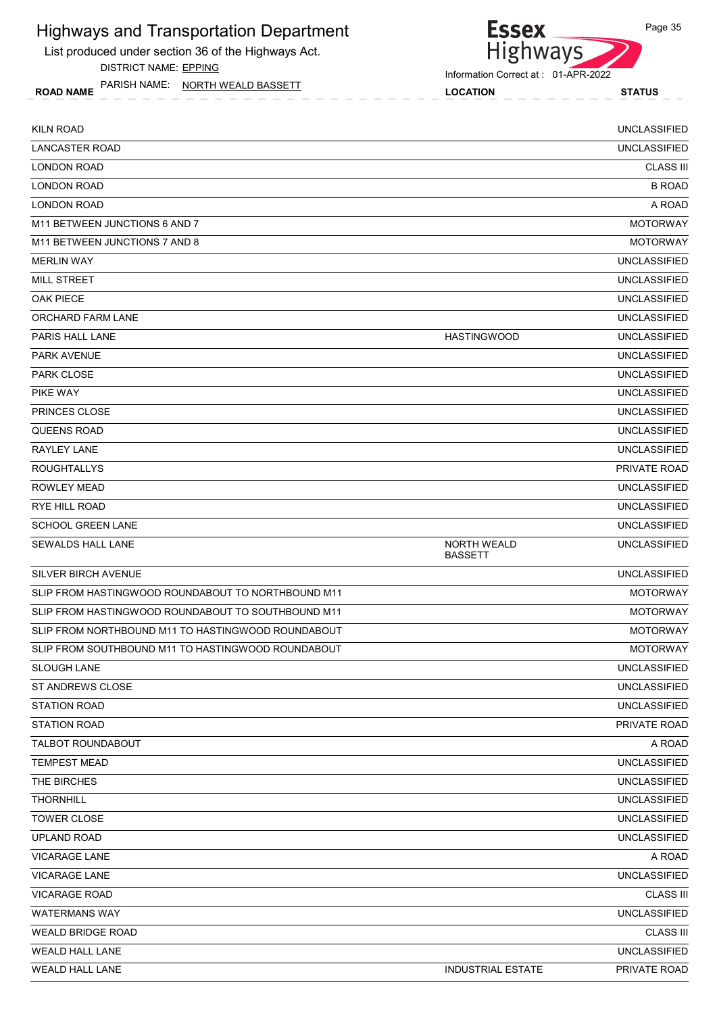List produced under section 36 of the Highways Act.

DISTRICT NAME: EPPING

ROAD NAME LOCATION STATUS PARISH NAME: NORTH WEALD BASSETT

# Highways

Information Correct at : 01-APR-2022

**Essex** 

| <b>KILN ROAD</b>                                   |                                      | <b>UNCLASSIFIED</b> |
|----------------------------------------------------|--------------------------------------|---------------------|
| <b>LANCASTER ROAD</b>                              |                                      | <b>UNCLASSIFIED</b> |
| <b>LONDON ROAD</b>                                 |                                      | <b>CLASS III</b>    |
| <b>LONDON ROAD</b>                                 |                                      | <b>B ROAD</b>       |
| <b>LONDON ROAD</b>                                 |                                      | A ROAD              |
| M11 BETWEEN JUNCTIONS 6 AND 7                      |                                      | <b>MOTORWAY</b>     |
| M11 BETWEEN JUNCTIONS 7 AND 8                      |                                      | <b>MOTORWAY</b>     |
| <b>MERLIN WAY</b>                                  |                                      | <b>UNCLASSIFIED</b> |
| <b>MILL STREET</b>                                 |                                      | <b>UNCLASSIFIED</b> |
| <b>OAK PIECE</b>                                   |                                      | <b>UNCLASSIFIED</b> |
| ORCHARD FARM LANE                                  |                                      | <b>UNCLASSIFIED</b> |
| <b>PARIS HALL LANE</b>                             | <b>HASTINGWOOD</b>                   | <b>UNCLASSIFIED</b> |
| <b>PARK AVENUE</b>                                 |                                      | <b>UNCLASSIFIED</b> |
| <b>PARK CLOSE</b>                                  |                                      | <b>UNCLASSIFIED</b> |
| <b>PIKE WAY</b>                                    |                                      | <b>UNCLASSIFIED</b> |
| PRINCES CLOSE                                      |                                      | <b>UNCLASSIFIED</b> |
| <b>QUEENS ROAD</b>                                 |                                      | <b>UNCLASSIFIED</b> |
| <b>RAYLEY LANE</b>                                 |                                      | <b>UNCLASSIFIED</b> |
| <b>ROUGHTALLYS</b>                                 |                                      | PRIVATE ROAD        |
| ROWLEY MEAD                                        |                                      | <b>UNCLASSIFIED</b> |
| <b>RYE HILL ROAD</b>                               |                                      | <b>UNCLASSIFIED</b> |
| <b>SCHOOL GREEN LANE</b>                           |                                      | <b>UNCLASSIFIED</b> |
| SEWALDS HALL LANE                                  | <b>NORTH WEALD</b><br><b>BASSETT</b> | <b>UNCLASSIFIED</b> |
| <b>SILVER BIRCH AVENUE</b>                         |                                      | <b>UNCLASSIFIED</b> |
| SLIP FROM HASTINGWOOD ROUNDABOUT TO NORTHBOUND M11 |                                      | <b>MOTORWAY</b>     |
| SLIP FROM HASTINGWOOD ROUNDABOUT TO SOUTHBOUND M11 |                                      | <b>MOTORWAY</b>     |
| SLIP FROM NORTHBOUND M11 TO HASTINGWOOD ROUNDABOUT |                                      | <b>MOTORWAY</b>     |
| SLIP FROM SOUTHBOUND M11 TO HASTINGWOOD ROUNDABOUT |                                      | <b>MOTORWAY</b>     |
| <b>SLOUGH LANE</b>                                 |                                      | <b>UNCLASSIFIED</b> |
| ST ANDREWS CLOSE                                   |                                      | <b>UNCLASSIFIED</b> |
| STATION ROAD                                       |                                      | <b>UNCLASSIFIED</b> |
| <b>STATION ROAD</b>                                |                                      | PRIVATE ROAD        |
| TALBOT ROUNDABOUT                                  |                                      | A ROAD              |
| <b>TEMPEST MEAD</b>                                |                                      | <b>UNCLASSIFIED</b> |
| THE BIRCHES                                        |                                      | <b>UNCLASSIFIED</b> |
| <b>THORNHILL</b>                                   |                                      | <b>UNCLASSIFIED</b> |
| TOWER CLOSE                                        |                                      | <b>UNCLASSIFIED</b> |
| UPLAND ROAD                                        |                                      | <b>UNCLASSIFIED</b> |
| <b>VICARAGE LANE</b>                               |                                      | A ROAD              |
| <b>VICARAGE LANE</b>                               |                                      | <b>UNCLASSIFIED</b> |
| <b>VICARAGE ROAD</b>                               |                                      | <b>CLASS III</b>    |
| <b>WATERMANS WAY</b>                               |                                      | <b>UNCLASSIFIED</b> |
| <b>WEALD BRIDGE ROAD</b>                           |                                      | <b>CLASS III</b>    |
| <b>WEALD HALL LANE</b>                             |                                      | <b>UNCLASSIFIED</b> |
| WEALD HALL LANE                                    | <b>INDUSTRIAL ESTATE</b>             | PRIVATE ROAD        |
|                                                    |                                      |                     |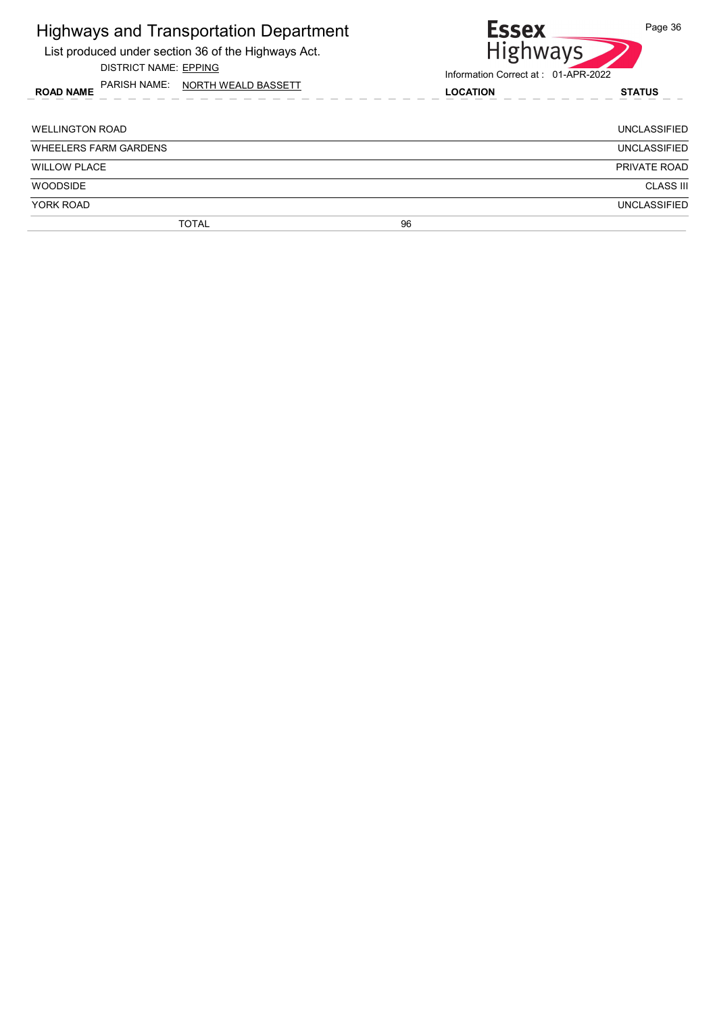| <b>Highways and Transportation Department</b><br>List produced under section 36 of the Highways Act.<br><b>DISTRICT NAME: EPPING</b> | <b>Essex</b><br><b>Highways</b><br>Information Correct at: 01-APR-2022 | Page 36             |
|--------------------------------------------------------------------------------------------------------------------------------------|------------------------------------------------------------------------|---------------------|
| PARISH NAME: NORTH WEALD BASSETT<br><b>ROAD NAME</b>                                                                                 | <b>LOCATION</b>                                                        | <b>STATUS</b>       |
| <b>WELLINGTON ROAD</b>                                                                                                               |                                                                        | <b>UNCLASSIFIED</b> |
| <b>WHEELERS FARM GARDENS</b>                                                                                                         |                                                                        | <b>UNCLASSIFIED</b> |
| <b>WILLOW PLACE</b>                                                                                                                  |                                                                        | <b>PRIVATE ROAD</b> |
| <b>WOODSIDE</b>                                                                                                                      |                                                                        | <b>CLASS III</b>    |
| YORK ROAD                                                                                                                            |                                                                        | <b>UNCLASSIFIED</b> |
| <b>TOTAL</b>                                                                                                                         | 96                                                                     |                     |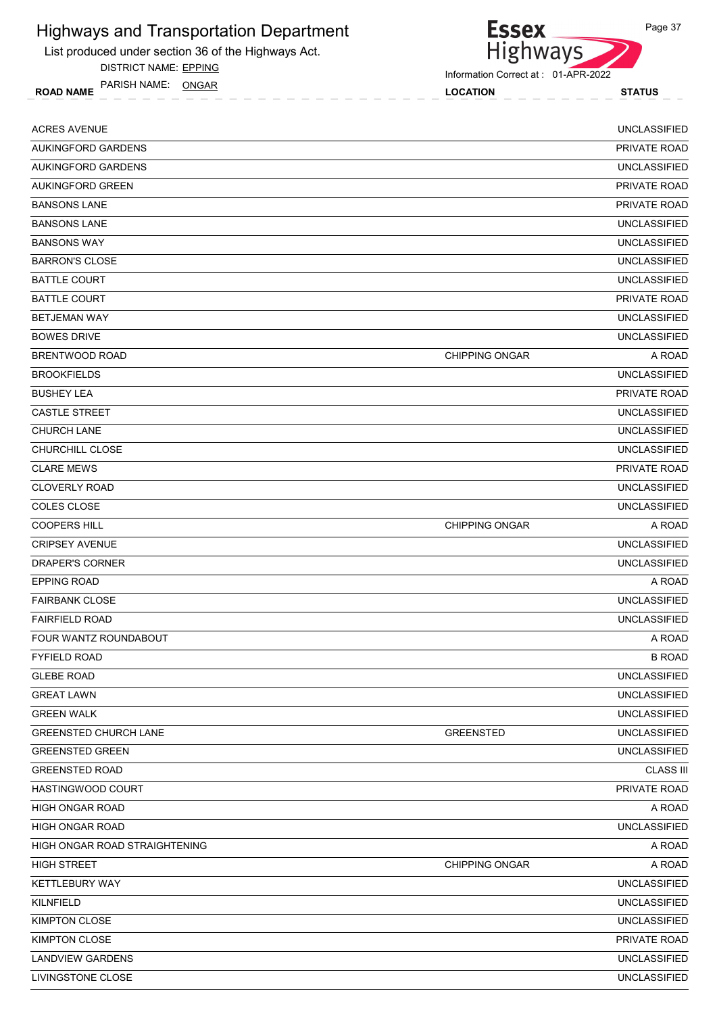List produced under section 36 of the Highways Act.

DISTRICT NAME: EPPING

ROAD NAME LOCATION STATUS PARISH NAME: ONGAR



| <b>ACRES AVENUE</b>           |                       | <b>UNCLASSIFIED</b> |
|-------------------------------|-----------------------|---------------------|
| AUKINGFORD GARDENS            |                       | PRIVATE ROAD        |
| AUKINGFORD GARDENS            |                       | <b>UNCLASSIFIED</b> |
| <b>AUKINGFORD GREEN</b>       |                       | PRIVATE ROAD        |
| <b>BANSONS LANE</b>           |                       | <b>PRIVATE ROAD</b> |
| <b>BANSONS LANE</b>           |                       | <b>UNCLASSIFIED</b> |
| <b>BANSONS WAY</b>            |                       | <b>UNCLASSIFIED</b> |
| <b>BARRON'S CLOSE</b>         |                       | <b>UNCLASSIFIED</b> |
| <b>BATTLE COURT</b>           |                       | <b>UNCLASSIFIED</b> |
| <b>BATTLE COURT</b>           |                       | PRIVATE ROAD        |
| <b>BETJEMAN WAY</b>           |                       | <b>UNCLASSIFIED</b> |
| <b>BOWES DRIVE</b>            |                       | <b>UNCLASSIFIED</b> |
| BRENTWOOD ROAD                | <b>CHIPPING ONGAR</b> | A ROAD              |
| <b>BROOKFIELDS</b>            |                       | <b>UNCLASSIFIED</b> |
| <b>BUSHEY LEA</b>             |                       | PRIVATE ROAD        |
| <b>CASTLE STREET</b>          |                       | <b>UNCLASSIFIED</b> |
| <b>CHURCH LANE</b>            |                       | <b>UNCLASSIFIED</b> |
| CHURCHILL CLOSE               |                       | <b>UNCLASSIFIED</b> |
| <b>CLARE MEWS</b>             |                       | PRIVATE ROAD        |
| <b>CLOVERLY ROAD</b>          |                       | <b>UNCLASSIFIED</b> |
| <b>COLES CLOSE</b>            |                       | <b>UNCLASSIFIED</b> |
| <b>COOPERS HILL</b>           | <b>CHIPPING ONGAR</b> | A ROAD              |
| <b>CRIPSEY AVENUE</b>         |                       | <b>UNCLASSIFIED</b> |
| <b>DRAPER'S CORNER</b>        |                       | <b>UNCLASSIFIED</b> |
| <b>EPPING ROAD</b>            |                       | A ROAD              |
| <b>FAIRBANK CLOSE</b>         |                       | <b>UNCLASSIFIED</b> |
| <b>FAIRFIELD ROAD</b>         |                       | <b>UNCLASSIFIED</b> |
| FOUR WANTZ ROUNDABOUT         |                       | A ROAD              |
| <b>FYFIELD ROAD</b>           |                       | <b>B ROAD</b>       |
| <b>GLEBE ROAD</b>             |                       | <b>UNCLASSIFIED</b> |
| <b>GREAT LAWN</b>             |                       | <b>UNCLASSIFIED</b> |
| <b>GREEN WALK</b>             |                       | <b>UNCLASSIFIED</b> |
| <b>GREENSTED CHURCH LANE</b>  | <b>GREENSTED</b>      | <b>UNCLASSIFIED</b> |
| <b>GREENSTED GREEN</b>        |                       | <b>UNCLASSIFIED</b> |
| <b>GREENSTED ROAD</b>         |                       | <b>CLASS III</b>    |
| HASTINGWOOD COURT             |                       | PRIVATE ROAD        |
| HIGH ONGAR ROAD               |                       | A ROAD              |
| HIGH ONGAR ROAD               |                       | <b>UNCLASSIFIED</b> |
| HIGH ONGAR ROAD STRAIGHTENING |                       | A ROAD              |
| <b>HIGH STREET</b>            | CHIPPING ONGAR        | A ROAD              |
| KETTLEBURY WAY                |                       | <b>UNCLASSIFIED</b> |
| KILNFIELD                     |                       | <b>UNCLASSIFIED</b> |
| <b>KIMPTON CLOSE</b>          |                       | <b>UNCLASSIFIED</b> |
| <b>KIMPTON CLOSE</b>          |                       | PRIVATE ROAD        |
| LANDVIEW GARDENS              |                       | <b>UNCLASSIFIED</b> |
| LIVINGSTONE CLOSE             |                       | <b>UNCLASSIFIED</b> |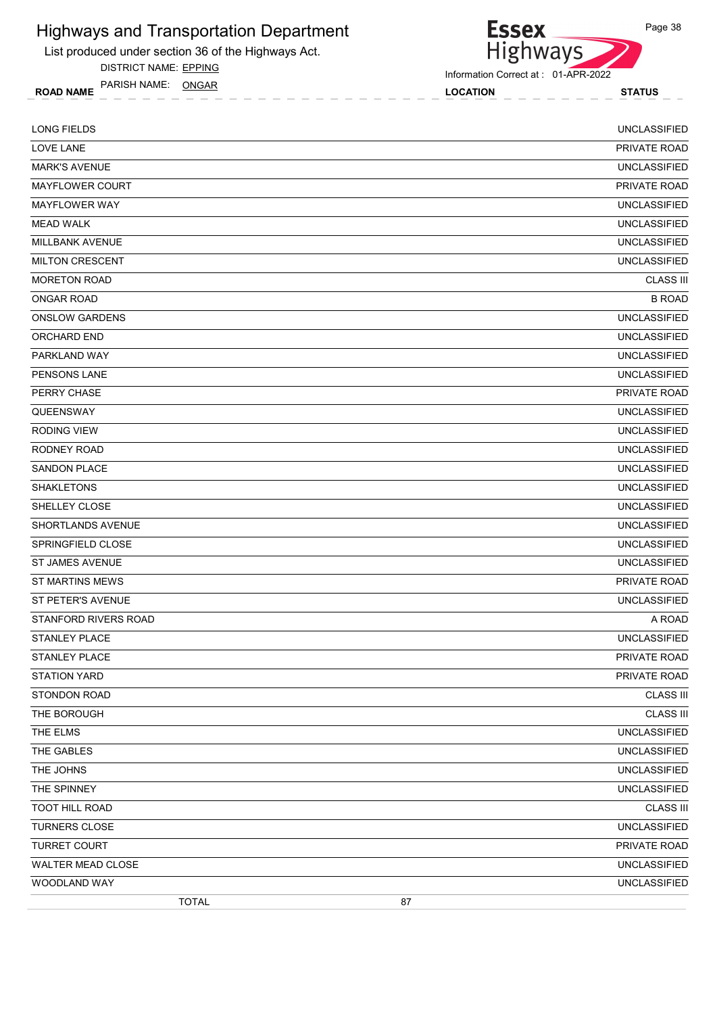List produced under section 36 of the Highways Act.

DISTRICT NAME: EPPING

ROAD NAME LOCATION STATUS PARISH NAME: ONGAR



Information Correct at : 01-APR-2022

Page 38

| <b>LONG FIELDS</b>     | <b>UNCLASSIFIED</b> |
|------------------------|---------------------|
| <b>LOVE LANE</b>       | PRIVATE ROAD        |
| <b>MARK'S AVENUE</b>   | <b>UNCLASSIFIED</b> |
| <b>MAYFLOWER COURT</b> | PRIVATE ROAD        |
| <b>MAYFLOWER WAY</b>   | <b>UNCLASSIFIED</b> |
| <b>MEAD WALK</b>       | <b>UNCLASSIFIED</b> |
| MILLBANK AVENUE        | <b>UNCLASSIFIED</b> |
| <b>MILTON CRESCENT</b> | <b>UNCLASSIFIED</b> |
| <b>MORETON ROAD</b>    | <b>CLASS III</b>    |
| <b>ONGAR ROAD</b>      | <b>B ROAD</b>       |
| <b>ONSLOW GARDENS</b>  | <b>UNCLASSIFIED</b> |
| <b>ORCHARD END</b>     | <b>UNCLASSIFIED</b> |
| PARKLAND WAY           | <b>UNCLASSIFIED</b> |
| PENSONS LANE           | <b>UNCLASSIFIED</b> |
| PERRY CHASE            | PRIVATE ROAD        |
| QUEENSWAY              | <b>UNCLASSIFIED</b> |
| <b>RODING VIEW</b>     | <b>UNCLASSIFIED</b> |
| RODNEY ROAD            | <b>UNCLASSIFIED</b> |
| <b>SANDON PLACE</b>    | <b>UNCLASSIFIED</b> |
| <b>SHAKLETONS</b>      | <b>UNCLASSIFIED</b> |
| SHELLEY CLOSE          | <b>UNCLASSIFIED</b> |
| SHORTLANDS AVENUE      | <b>UNCLASSIFIED</b> |
| SPRINGFIELD CLOSE      | <b>UNCLASSIFIED</b> |
| <b>ST JAMES AVENUE</b> | <b>UNCLASSIFIED</b> |
| <b>ST MARTINS MEWS</b> | PRIVATE ROAD        |
| ST PETER'S AVENUE      | <b>UNCLASSIFIED</b> |
| STANFORD RIVERS ROAD   | A ROAD              |
| <b>STANLEY PLACE</b>   | <b>UNCLASSIFIED</b> |
| STANLEY PLACE          | PRIVATE ROAD        |
| <b>STATION YARD</b>    | PRIVATE ROAD        |
| <b>STONDON ROAD</b>    | <b>CLASS III</b>    |
| THE BOROUGH            | <b>CLASS III</b>    |
| THE ELMS               | <b>UNCLASSIFIED</b> |
| THE GABLES             | <b>UNCLASSIFIED</b> |
| THE JOHNS              | <b>UNCLASSIFIED</b> |
| THE SPINNEY            | <b>UNCLASSIFIED</b> |
| TOOT HILL ROAD         | <b>CLASS III</b>    |
| <b>TURNERS CLOSE</b>   | <b>UNCLASSIFIED</b> |
| <b>TURRET COURT</b>    | PRIVATE ROAD        |
| WALTER MEAD CLOSE      | <b>UNCLASSIFIED</b> |
| WOODLAND WAY           | <b>UNCLASSIFIED</b> |

TOTAL 87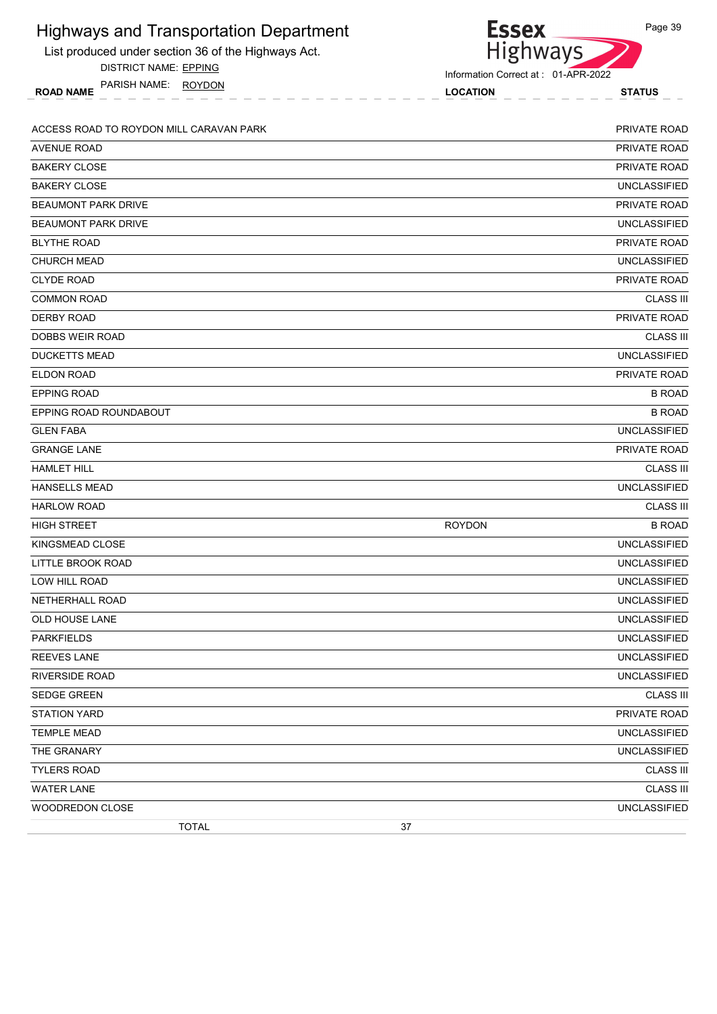| Highways<br>List produced under section 36 of the Highways Act. |                                     |                     |
|-----------------------------------------------------------------|-------------------------------------|---------------------|
| DISTRICT NAME: EPPING                                           | Information Correct at: 01-APR-2022 |                     |
| PARISH NAME: ROYDON<br><b>ROAD NAME</b>                         | <b>LOCATION</b>                     | <b>STATUS</b>       |
| ACCESS ROAD TO ROYDON MILL CARAVAN PARK                         |                                     | PRIVATE ROAD        |
| <b>AVENUE ROAD</b>                                              |                                     | PRIVATE ROAD        |
| <b>BAKERY CLOSE</b>                                             |                                     | PRIVATE ROAD        |
| <b>BAKERY CLOSE</b>                                             |                                     | <b>UNCLASSIFIED</b> |
| <b>BEAUMONT PARK DRIVE</b>                                      |                                     | PRIVATE ROAD        |
| BEAUMONT PARK DRIVE                                             |                                     | <b>UNCLASSIFIED</b> |
| <b>BLYTHE ROAD</b>                                              |                                     | PRIVATE ROAD        |
| <b>CHURCH MEAD</b>                                              |                                     | <b>UNCLASSIFIED</b> |
| <b>CLYDE ROAD</b>                                               |                                     | PRIVATE ROAD        |
| <b>COMMON ROAD</b>                                              |                                     | <b>CLASS III</b>    |
| <b>DERBY ROAD</b>                                               |                                     | PRIVATE ROAD        |
| <b>DOBBS WEIR ROAD</b>                                          |                                     | <b>CLASS III</b>    |
| <b>DUCKETTS MEAD</b>                                            |                                     | <b>UNCLASSIFIED</b> |
| <b>ELDON ROAD</b>                                               |                                     | PRIVATE ROAD        |
| <b>EPPING ROAD</b>                                              |                                     | <b>B ROAD</b>       |
| EPPING ROAD ROUNDABOUT                                          |                                     | <b>B ROAD</b>       |
| <b>GLEN FABA</b>                                                |                                     | <b>UNCLASSIFIED</b> |
| <b>GRANGE LANE</b>                                              |                                     | PRIVATE ROAD        |
| <b>HAMLET HILL</b>                                              |                                     | <b>CLASS III</b>    |
| <b>HANSELLS MEAD</b>                                            |                                     | <b>UNCLASSIFIED</b> |
| <b>HARLOW ROAD</b>                                              |                                     | <b>CLASS III</b>    |
| <b>HIGH STREET</b>                                              | <b>ROYDON</b>                       | <b>B ROAD</b>       |
| KINGSMEAD CLOSE                                                 |                                     | <b>UNCLASSIFIED</b> |
| LITTLE BROOK ROAD                                               |                                     | <b>UNCLASSIFIED</b> |
| LOW HILL ROAD                                                   |                                     | UNCLASSIFIED        |
| NETHERHALL ROAD                                                 |                                     | <b>UNCLASSIFIED</b> |
| OLD HOUSE LANE                                                  |                                     | <b>UNCLASSIFIED</b> |
| <b>PARKFIELDS</b>                                               |                                     | <b>UNCLASSIFIED</b> |
| REEVES LANE                                                     |                                     | <b>UNCLASSIFIED</b> |
| <b>RIVERSIDE ROAD</b>                                           |                                     | <b>UNCLASSIFIED</b> |
| SEDGE GREEN                                                     |                                     | <b>CLASS III</b>    |
| <b>STATION YARD</b>                                             |                                     | PRIVATE ROAD        |
| <b>TEMPLE MEAD</b>                                              |                                     | <b>UNCLASSIFIED</b> |
| THE GRANARY                                                     |                                     | <b>UNCLASSIFIED</b> |
| <b>TYLERS ROAD</b>                                              |                                     | <b>CLASS III</b>    |
| <b>WATER LANE</b>                                               |                                     | <b>CLASS III</b>    |
| WOODREDON CLOSE                                                 |                                     | <b>UNCLASSIFIED</b> |
| <b>TOTAL</b>                                                    | 37                                  |                     |

Page 39

**Essex** 

Highways and Transportation Department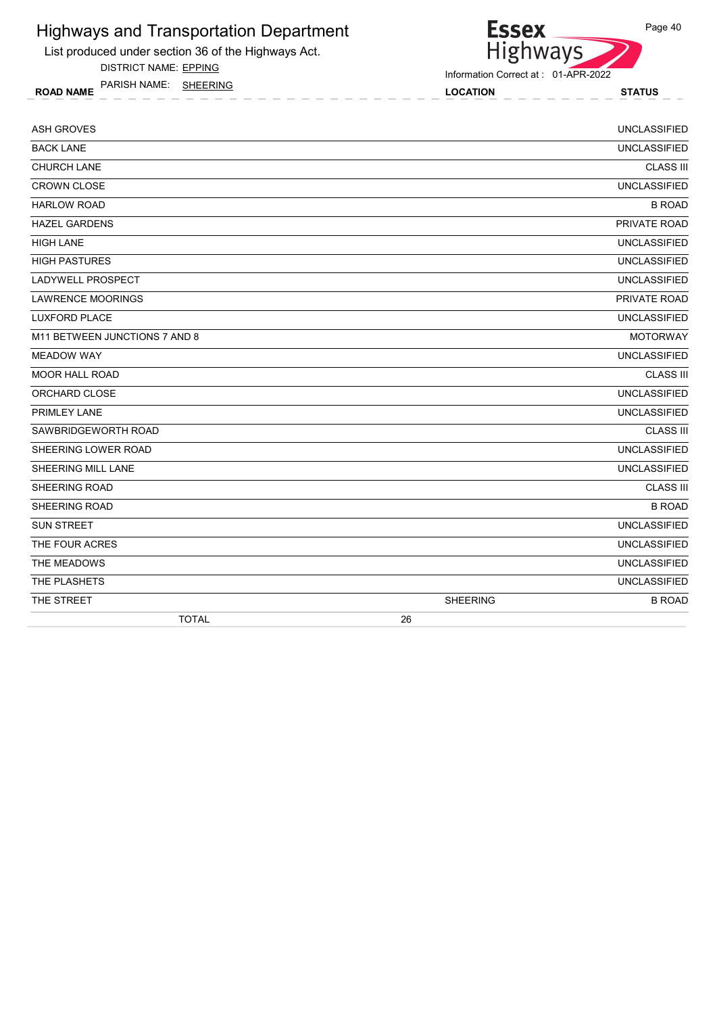List produced under section 36 of the Highways Act.

DISTRICT NAME: EPPING

ROAD NAME LOCATION STATUS PARISH NAME: SHEERING

Highways Information Correct at : 01-APR-2022

**Essex** 

| <b>ASH GROVES</b>             |                 | <b>UNCLASSIFIED</b> |
|-------------------------------|-----------------|---------------------|
| <b>BACK LANE</b>              |                 | <b>UNCLASSIFIED</b> |
| <b>CHURCH LANE</b>            |                 | <b>CLASS III</b>    |
| <b>CROWN CLOSE</b>            |                 | <b>UNCLASSIFIED</b> |
| <b>HARLOW ROAD</b>            |                 | <b>B ROAD</b>       |
| <b>HAZEL GARDENS</b>          |                 | PRIVATE ROAD        |
| <b>HIGH LANE</b>              |                 | <b>UNCLASSIFIED</b> |
| <b>HIGH PASTURES</b>          |                 | <b>UNCLASSIFIED</b> |
| LADYWELL PROSPECT             |                 | <b>UNCLASSIFIED</b> |
| <b>LAWRENCE MOORINGS</b>      |                 | PRIVATE ROAD        |
| <b>LUXFORD PLACE</b>          |                 | <b>UNCLASSIFIED</b> |
| M11 BETWEEN JUNCTIONS 7 AND 8 |                 | <b>MOTORWAY</b>     |
| <b>MEADOW WAY</b>             |                 | <b>UNCLASSIFIED</b> |
| MOOR HALL ROAD                |                 | <b>CLASS III</b>    |
| ORCHARD CLOSE                 |                 | <b>UNCLASSIFIED</b> |
| PRIMLEY LANE                  |                 | <b>UNCLASSIFIED</b> |
| SAWBRIDGEWORTH ROAD           |                 | <b>CLASS III</b>    |
| SHEERING LOWER ROAD           |                 | <b>UNCLASSIFIED</b> |
| SHEERING MILL LANE            |                 | <b>UNCLASSIFIED</b> |
| SHEERING ROAD                 |                 | <b>CLASS III</b>    |
| SHEERING ROAD                 |                 | <b>B ROAD</b>       |
| <b>SUN STREET</b>             |                 | <b>UNCLASSIFIED</b> |
| THE FOUR ACRES                |                 | <b>UNCLASSIFIED</b> |
| THE MEADOWS                   |                 | <b>UNCLASSIFIED</b> |
| THE PLASHETS                  |                 | <b>UNCLASSIFIED</b> |
| THE STREET                    | <b>SHEERING</b> | <b>B ROAD</b>       |
| <b>TOTAL</b>                  | 26              |                     |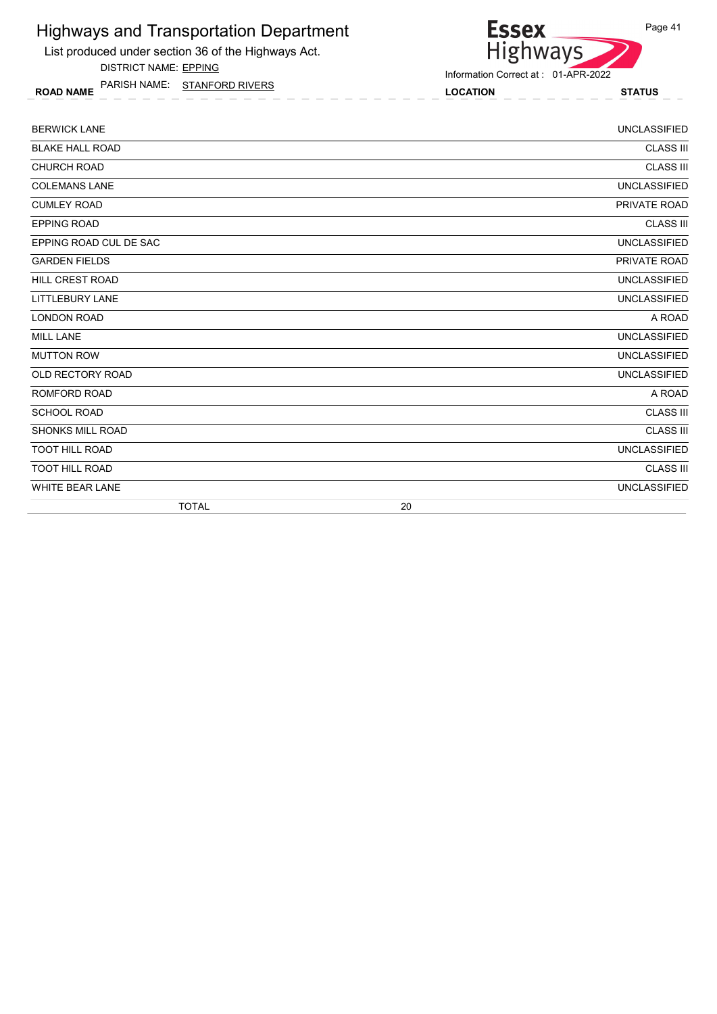List produced under section 36 of the Highways Act.

DISTRICT NAME: EPPING

ROAD NAME LOCATION STATUS PARISH NAME: STANFORD RIVERS



| <b>BERWICK LANE</b>     | <b>UNCLASSIFIED</b> |
|-------------------------|---------------------|
| <b>BLAKE HALL ROAD</b>  | <b>CLASS III</b>    |
| <b>CHURCH ROAD</b>      | <b>CLASS III</b>    |
| <b>COLEMANS LANE</b>    | <b>UNCLASSIFIED</b> |
| <b>CUMLEY ROAD</b>      | PRIVATE ROAD        |
| <b>EPPING ROAD</b>      | <b>CLASS III</b>    |
| EPPING ROAD CUL DE SAC  | <b>UNCLASSIFIED</b> |
| <b>GARDEN FIELDS</b>    | PRIVATE ROAD        |
| <b>HILL CREST ROAD</b>  | <b>UNCLASSIFIED</b> |
| <b>LITTLEBURY LANE</b>  | <b>UNCLASSIFIED</b> |
| <b>LONDON ROAD</b>      | A ROAD              |
| <b>MILL LANE</b>        | <b>UNCLASSIFIED</b> |
| <b>MUTTON ROW</b>       | <b>UNCLASSIFIED</b> |
| OLD RECTORY ROAD        | <b>UNCLASSIFIED</b> |
| <b>ROMFORD ROAD</b>     | A ROAD              |
| <b>SCHOOL ROAD</b>      | <b>CLASS III</b>    |
| <b>SHONKS MILL ROAD</b> | <b>CLASS III</b>    |
| <b>TOOT HILL ROAD</b>   | <b>UNCLASSIFIED</b> |
| <b>TOOT HILL ROAD</b>   | <b>CLASS III</b>    |
| <b>WHITE BEAR LANE</b>  | <b>UNCLASSIFIED</b> |
| <b>TOTAL</b>            | 20                  |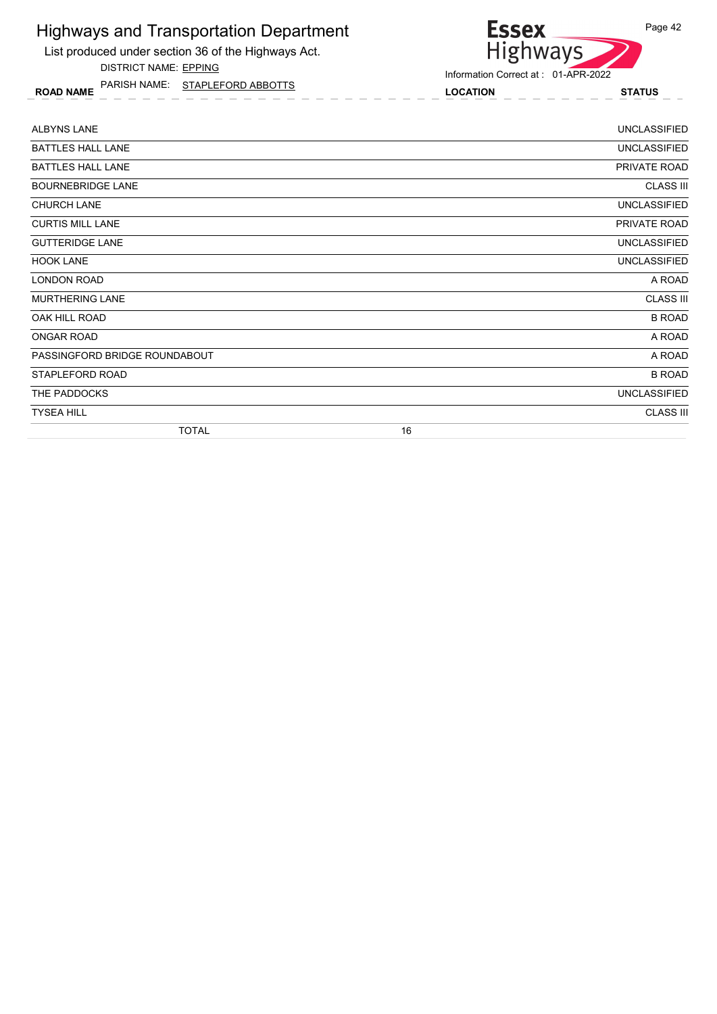List produced under section 36 of the Highways Act.

DISTRICT NAME: EPPING

ROAD NAME LOCATION STATUS PARISH NAME: STAPLEFORD ABBOTTS

#### **Essex** Page 42 Highways

| <b>ALBYNS LANE</b>            |    | <b>UNCLASSIFIED</b> |
|-------------------------------|----|---------------------|
| <b>BATTLES HALL LANE</b>      |    | <b>UNCLASSIFIED</b> |
| <b>BATTLES HALL LANE</b>      |    | PRIVATE ROAD        |
| <b>BOURNEBRIDGE LANE</b>      |    | <b>CLASS III</b>    |
| <b>CHURCH LANE</b>            |    | <b>UNCLASSIFIED</b> |
| <b>CURTIS MILL LANE</b>       |    | PRIVATE ROAD        |
| <b>GUTTERIDGE LANE</b>        |    | <b>UNCLASSIFIED</b> |
| <b>HOOK LANE</b>              |    | <b>UNCLASSIFIED</b> |
| LONDON ROAD                   |    | A ROAD              |
| <b>MURTHERING LANE</b>        |    | <b>CLASS III</b>    |
| OAK HILL ROAD                 |    | <b>B ROAD</b>       |
| <b>ONGAR ROAD</b>             |    | A ROAD              |
| PASSINGFORD BRIDGE ROUNDABOUT |    | A ROAD              |
| STAPLEFORD ROAD               |    | <b>B ROAD</b>       |
| THE PADDOCKS                  |    | <b>UNCLASSIFIED</b> |
| <b>TYSEA HILL</b>             |    | <b>CLASS III</b>    |
| <b>TOTAL</b>                  | 16 |                     |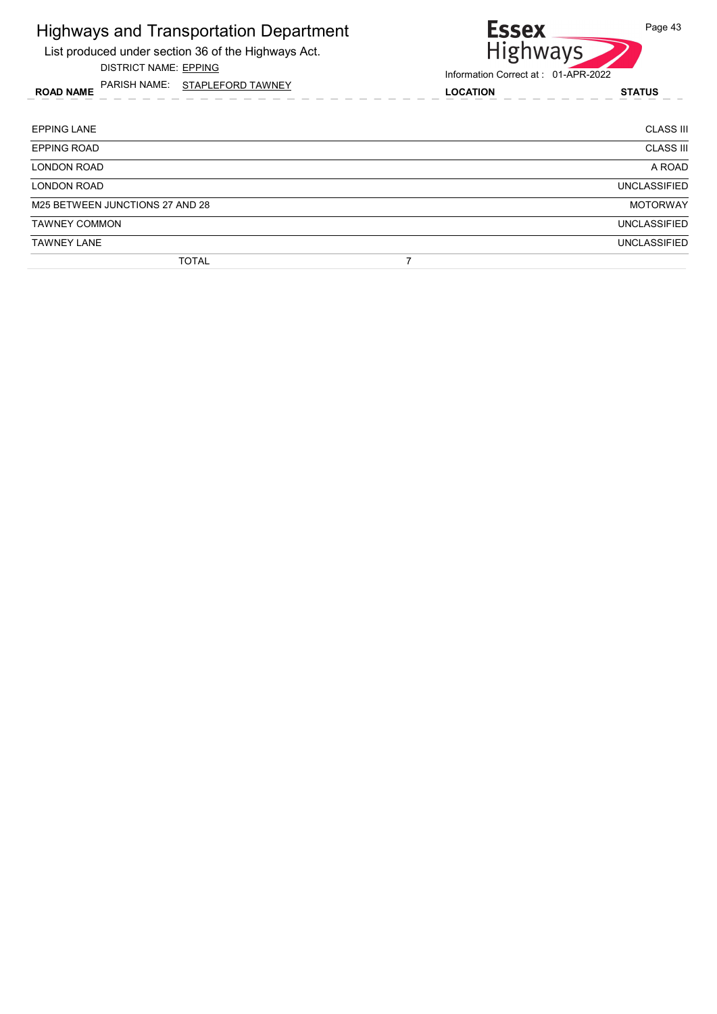List produced under section 36 of the Highways Act. DISTRICT NAME: EPPING

ROAD NAME LOCATION STATUS PARISH NAME: STAPLEFORD TAWNEY

#### **Essex** Page 43 Highways

| <b>EPPING LANE</b>              | <b>CLASS III</b>    |
|---------------------------------|---------------------|
| <b>EPPING ROAD</b>              | <b>CLASS III</b>    |
| LONDON ROAD                     | A ROAD              |
| LONDON ROAD                     | <b>UNCLASSIFIED</b> |
| M25 BETWEEN JUNCTIONS 27 AND 28 | <b>MOTORWAY</b>     |
| <b>TAWNEY COMMON</b>            | <b>UNCLASSIFIED</b> |
| <b>TAWNEY LANE</b>              | <b>UNCLASSIFIED</b> |
| <b>TOTAL</b>                    |                     |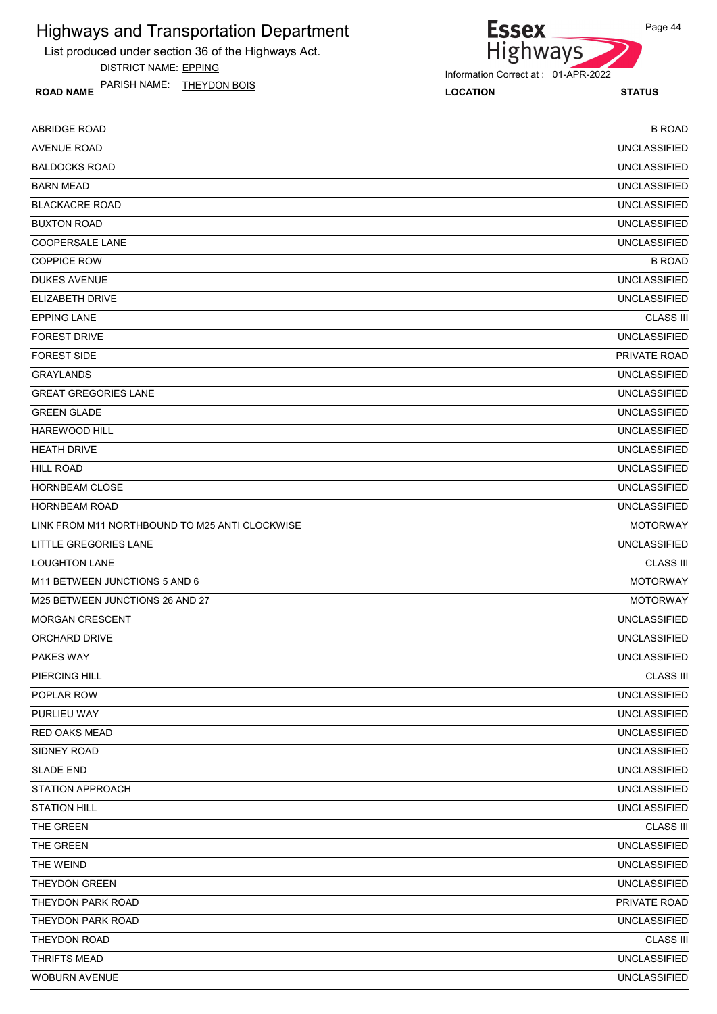List produced under section 36 of the Highways Act.

DISTRICT NAME: EPPING

ROAD NAME LOCATION STATUS PARISH NAME: THEYDON BOIS



Information Correct at : 01-APR-2022

| <b>ABRIDGE ROAD</b>                            | <b>B ROAD</b>       |
|------------------------------------------------|---------------------|
| <b>AVENUE ROAD</b>                             | <b>UNCLASSIFIED</b> |
| <b>BALDOCKS ROAD</b>                           | <b>UNCLASSIFIED</b> |
| <b>BARN MEAD</b>                               | <b>UNCLASSIFIED</b> |
| <b>BLACKACRE ROAD</b>                          | <b>UNCLASSIFIED</b> |
| <b>BUXTON ROAD</b>                             | <b>UNCLASSIFIED</b> |
| <b>COOPERSALE LANE</b>                         | <b>UNCLASSIFIED</b> |
| <b>COPPICE ROW</b>                             | <b>B ROAD</b>       |
| <b>DUKES AVENUE</b>                            | <b>UNCLASSIFIED</b> |
| <b>ELIZABETH DRIVE</b>                         | <b>UNCLASSIFIED</b> |
| <b>EPPING LANE</b>                             | <b>CLASS III</b>    |
| <b>FOREST DRIVE</b>                            | <b>UNCLASSIFIED</b> |
| <b>FOREST SIDE</b>                             | PRIVATE ROAD        |
| <b>GRAYLANDS</b>                               | <b>UNCLASSIFIED</b> |
| <b>GREAT GREGORIES LANE</b>                    | <b>UNCLASSIFIED</b> |
| <b>GREEN GLADE</b>                             | <b>UNCLASSIFIED</b> |
| <b>HAREWOOD HILL</b>                           | <b>UNCLASSIFIED</b> |
| <b>HEATH DRIVE</b>                             | <b>UNCLASSIFIED</b> |
| <b>HILL ROAD</b>                               | <b>UNCLASSIFIED</b> |
| <b>HORNBEAM CLOSE</b>                          | <b>UNCLASSIFIED</b> |
| <b>HORNBEAM ROAD</b>                           | <b>UNCLASSIFIED</b> |
| LINK FROM M11 NORTHBOUND TO M25 ANTI CLOCKWISE | <b>MOTORWAY</b>     |
| LITTLE GREGORIES LANE                          | <b>UNCLASSIFIED</b> |
| <b>LOUGHTON LANE</b>                           | <b>CLASS III</b>    |
| M11 BETWEEN JUNCTIONS 5 AND 6                  | <b>MOTORWAY</b>     |
| M25 BETWEEN JUNCTIONS 26 AND 27                | <b>MOTORWAY</b>     |
| <b>MORGAN CRESCENT</b>                         | <b>UNCLASSIFIED</b> |
| ORCHARD DRIVE                                  | <b>UNCLASSIFIED</b> |
| <b>PAKES WAY</b>                               | <b>UNCLASSIFIED</b> |
| PIERCING HILL                                  | <b>CLASS III</b>    |
| POPLAR ROW                                     | <b>UNCLASSIFIED</b> |
| PURLIEU WAY                                    | <b>UNCLASSIFIED</b> |
| <b>RED OAKS MEAD</b>                           | <b>UNCLASSIFIED</b> |
| SIDNEY ROAD                                    | <b>UNCLASSIFIED</b> |
| <b>SLADE END</b>                               | <b>UNCLASSIFIED</b> |
| <b>STATION APPROACH</b>                        | <b>UNCLASSIFIED</b> |
| <b>STATION HILL</b>                            | <b>UNCLASSIFIED</b> |
| THE GREEN                                      | <b>CLASS III</b>    |
| THE GREEN                                      | <b>UNCLASSIFIED</b> |
| THE WEIND                                      | <b>UNCLASSIFIED</b> |
| THEYDON GREEN                                  | <b>UNCLASSIFIED</b> |
| THEYDON PARK ROAD                              | PRIVATE ROAD        |
| THEYDON PARK ROAD                              | <b>UNCLASSIFIED</b> |
| THEYDON ROAD                                   | <b>CLASS III</b>    |
| THRIFTS MEAD                                   | <b>UNCLASSIFIED</b> |
| WOBURN AVENUE                                  | <b>UNCLASSIFIED</b> |
|                                                |                     |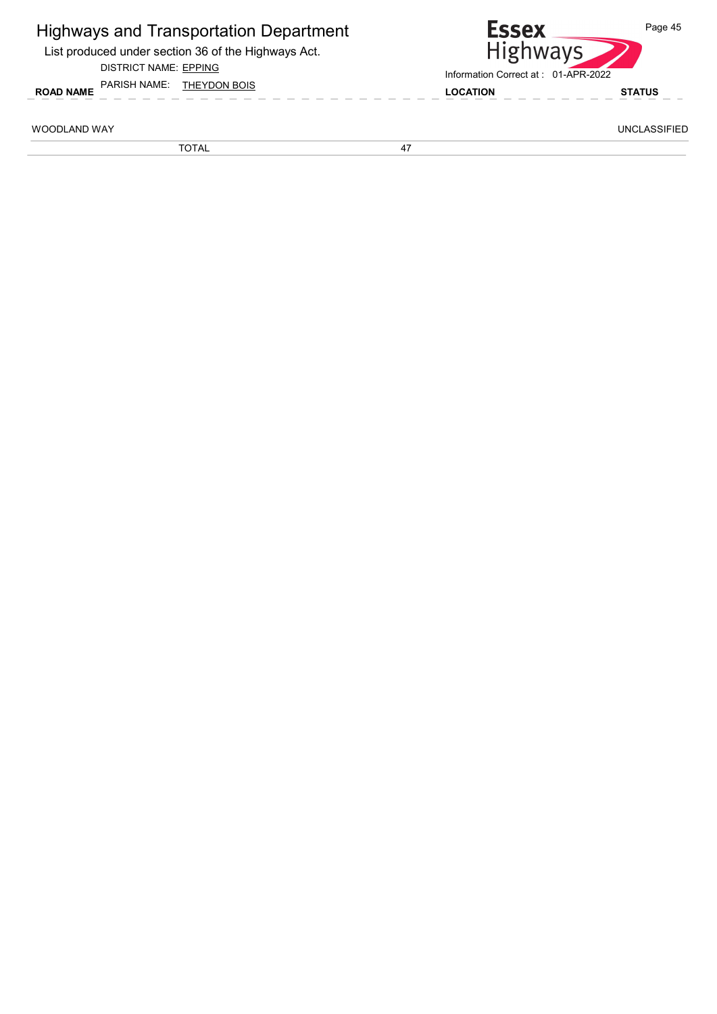| <b>Highways and Transportation Department</b><br>List produced under section 36 of the Highways Act. | <b>Essex</b>                                                            | Page 45<br><b>Highways</b> |
|------------------------------------------------------------------------------------------------------|-------------------------------------------------------------------------|----------------------------|
| <b>DISTRICT NAME: EPPING</b><br>PARISH NAME: THEYDON BOIS<br><b>ROAD NAME</b>                        | Information Correct at: 01-APR-2022<br><b>LOCATION</b><br><b>STATUS</b> |                            |
| WOODLAND WAY                                                                                         |                                                                         | <b>UNCLASSIFIED</b>        |
| TOTAL                                                                                                | 47                                                                      |                            |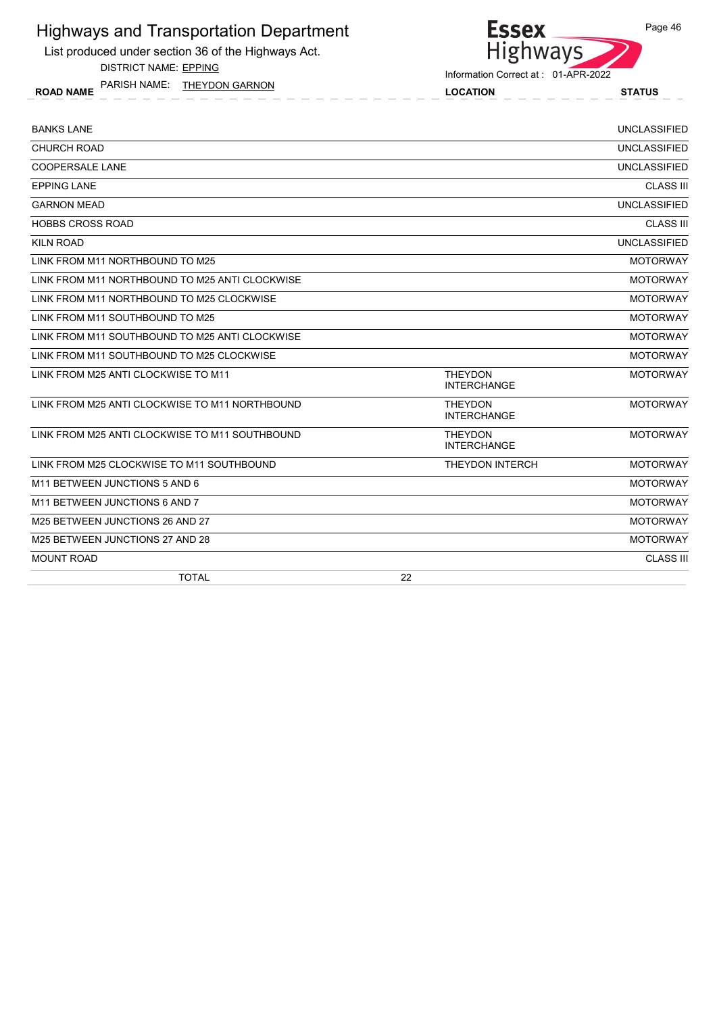List produced under section 36 of the Highways Act.

DISTRICT NAME: EPPING

ROAD NAME LOCATION STATUS PARISH NAME: THEYDON GARNON

#### Information Correct at : 01-APR-2022

Essex<br>Highways

| <b>BANKS LANE</b>                              |                                      | <b>UNCLASSIFIED</b> |
|------------------------------------------------|--------------------------------------|---------------------|
| <b>CHURCH ROAD</b>                             |                                      | <b>UNCLASSIFIED</b> |
| <b>COOPERSALE LANE</b>                         |                                      | <b>UNCLASSIFIED</b> |
| <b>EPPING LANE</b>                             |                                      | <b>CLASS III</b>    |
| <b>GARNON MEAD</b>                             |                                      | <b>UNCLASSIFIED</b> |
| <b>HOBBS CROSS ROAD</b>                        |                                      | <b>CLASS III</b>    |
| <b>KILN ROAD</b>                               |                                      | <b>UNCLASSIFIED</b> |
| LINK FROM M11 NORTHBOUND TO M25                |                                      | <b>MOTORWAY</b>     |
| LINK FROM M11 NORTHBOUND TO M25 ANTI CLOCKWISE |                                      | <b>MOTORWAY</b>     |
| LINK FROM M11 NORTHBOUND TO M25 CLOCKWISE      |                                      | <b>MOTORWAY</b>     |
| LINK FROM M11 SOUTHBOUND TO M25                |                                      | <b>MOTORWAY</b>     |
| LINK FROM M11 SOUTHBOUND TO M25 ANTI CLOCKWISE |                                      | <b>MOTORWAY</b>     |
| LINK FROM M11 SOUTHBOUND TO M25 CLOCKWISE      |                                      | <b>MOTORWAY</b>     |
| LINK FROM M25 ANTI CLOCKWISE TO M11            | <b>THEYDON</b><br><b>INTERCHANGE</b> | <b>MOTORWAY</b>     |
| LINK FROM M25 ANTI CLOCKWISE TO M11 NORTHBOUND | <b>THEYDON</b><br><b>INTERCHANGE</b> | <b>MOTORWAY</b>     |
| LINK FROM M25 ANTI CLOCKWISE TO M11 SOUTHBOUND | <b>THEYDON</b><br><b>INTERCHANGE</b> | <b>MOTORWAY</b>     |
| LINK FROM M25 CLOCKWISE TO M11 SOUTHBOUND      | <b>THEYDON INTERCH</b>               | <b>MOTORWAY</b>     |
| M11 BETWEEN JUNCTIONS 5 AND 6                  |                                      | <b>MOTORWAY</b>     |
| M11 BETWEEN JUNCTIONS 6 AND 7                  |                                      | <b>MOTORWAY</b>     |
| M25 BETWEEN JUNCTIONS 26 AND 27                |                                      | <b>MOTORWAY</b>     |
| M25 BETWEEN JUNCTIONS 27 AND 28                |                                      | <b>MOTORWAY</b>     |
| <b>MOUNT ROAD</b>                              |                                      | <b>CLASS III</b>    |
| <b>TOTAL</b>                                   | 22                                   |                     |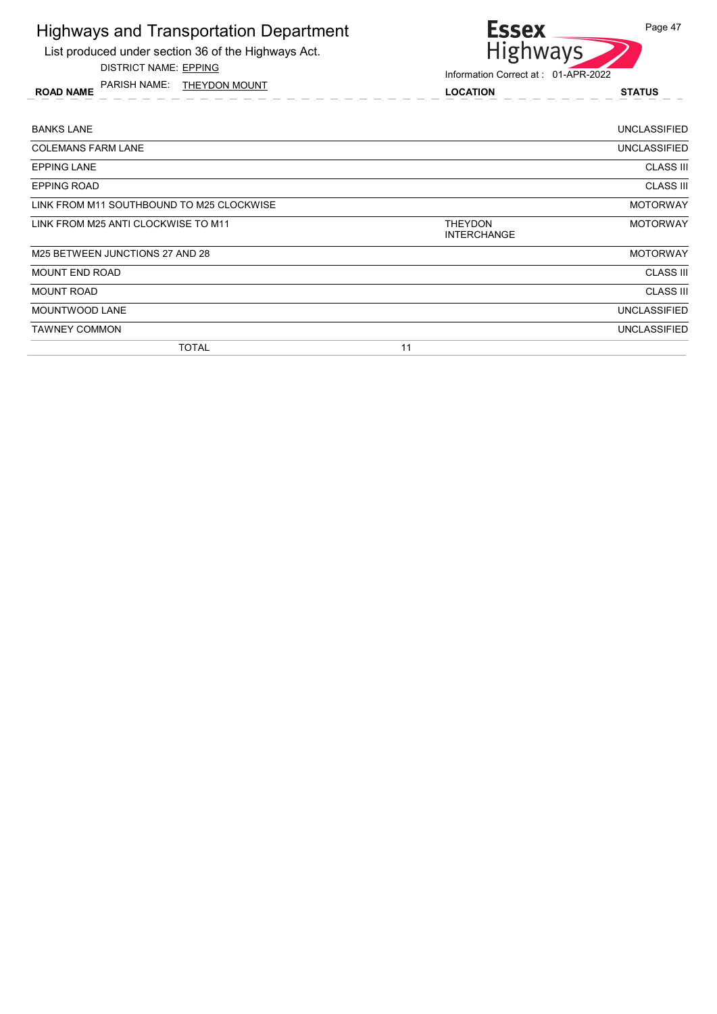| <b>Highways and Transportation Department</b><br>List produced under section 36 of the Highways Act.<br><b>DISTRICT NAME: EPPING</b> | <b>Essex</b><br><b>Highways</b><br>Information Correct at: 01-APR-2022 | Page 47             |
|--------------------------------------------------------------------------------------------------------------------------------------|------------------------------------------------------------------------|---------------------|
| PARISH NAME: THEYDON MOUNT<br><b>ROAD NAME</b>                                                                                       | <b>LOCATION</b>                                                        | <b>STATUS</b>       |
| <b>BANKS LANE</b>                                                                                                                    |                                                                        | <b>UNCLASSIFIED</b> |
| <b>COLEMANS FARM LANE</b>                                                                                                            |                                                                        | <b>UNCLASSIFIED</b> |
| <b>EPPING LANE</b>                                                                                                                   |                                                                        | <b>CLASS III</b>    |
| <b>EPPING ROAD</b>                                                                                                                   |                                                                        | <b>CLASS III</b>    |
| LINK FROM M11 SOUTHBOUND TO M25 CLOCKWISE                                                                                            |                                                                        | <b>MOTORWAY</b>     |
| LINK FROM M25 ANTI CLOCKWISE TO M11                                                                                                  | <b>THEYDON</b><br><b>INTERCHANGE</b>                                   | <b>MOTORWAY</b>     |
| M25 BETWEEN JUNCTIONS 27 AND 28                                                                                                      |                                                                        | <b>MOTORWAY</b>     |
| <b>MOUNT END ROAD</b>                                                                                                                |                                                                        | <b>CLASS III</b>    |
| <b>MOUNT ROAD</b>                                                                                                                    |                                                                        | <b>CLASS III</b>    |
| <b>MOUNTWOOD LANE</b>                                                                                                                |                                                                        | <b>UNCLASSIFIED</b> |
| <b>TAWNEY COMMON</b>                                                                                                                 |                                                                        | <b>UNCLASSIFIED</b> |

TOTAL 11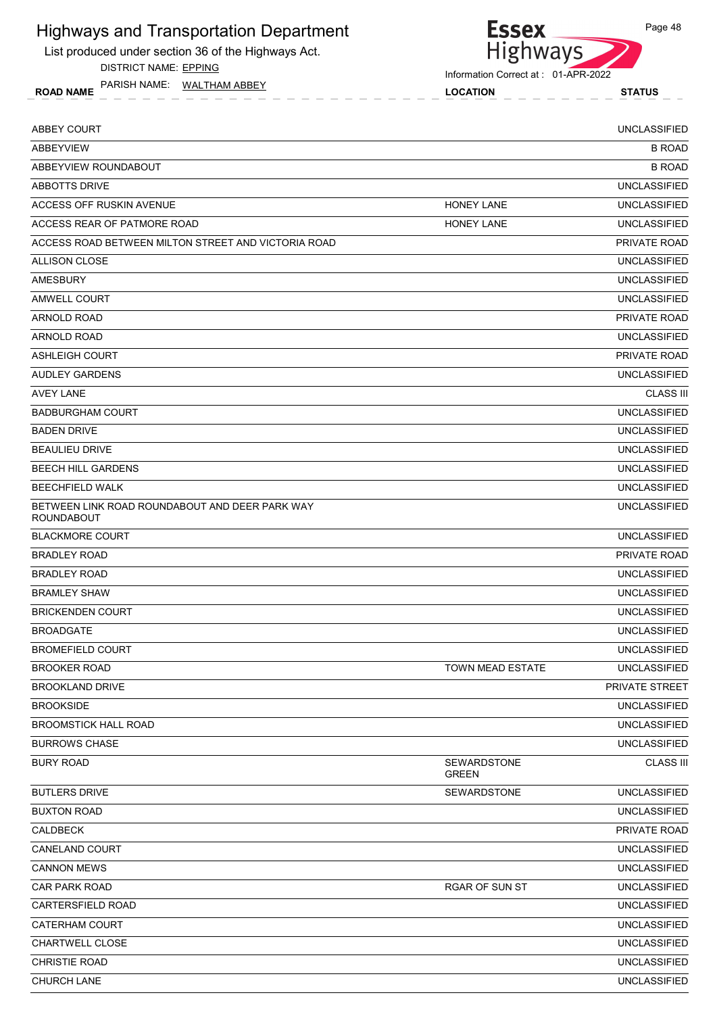List produced under section 36 of the Highways Act.

DISTRICT NAME: EPPING

ROAD NAME LOCATION STATUS PARISH NAME: WALTHAM ABBEY



Information Correct at : 01-APR-2022

| ABBEY COURT                                                         |                                    | <b>UNCLASSIFIED</b> |
|---------------------------------------------------------------------|------------------------------------|---------------------|
| ABBEYVIEW                                                           |                                    | <b>B ROAD</b>       |
| ABBEYVIEW ROUNDABOUT                                                |                                    | <b>B ROAD</b>       |
| <b>ABBOTTS DRIVE</b>                                                |                                    | <b>UNCLASSIFIED</b> |
| ACCESS OFF RUSKIN AVENUE                                            | HONEY LANE                         | <b>UNCLASSIFIED</b> |
| ACCESS REAR OF PATMORE ROAD                                         | <b>HONEY LANE</b>                  | <b>UNCLASSIFIED</b> |
| ACCESS ROAD BETWEEN MILTON STREET AND VICTORIA ROAD                 |                                    | PRIVATE ROAD        |
| ALLISON CLOSE                                                       |                                    | <b>UNCLASSIFIED</b> |
| AMESBURY                                                            |                                    | <b>UNCLASSIFIED</b> |
| AMWELL COURT                                                        |                                    | <b>UNCLASSIFIED</b> |
| ARNOLD ROAD                                                         |                                    | <b>PRIVATE ROAD</b> |
| <b>ARNOLD ROAD</b>                                                  |                                    | <b>UNCLASSIFIED</b> |
| <b>ASHLEIGH COURT</b>                                               |                                    | PRIVATE ROAD        |
| AUDLEY GARDENS                                                      |                                    | <b>UNCLASSIFIED</b> |
| <b>AVEY LANE</b>                                                    |                                    | <b>CLASS III</b>    |
| <b>BADBURGHAM COURT</b>                                             |                                    | <b>UNCLASSIFIED</b> |
| <b>BADEN DRIVE</b>                                                  |                                    | <b>UNCLASSIFIED</b> |
| <b>BEAULIEU DRIVE</b>                                               |                                    | <b>UNCLASSIFIED</b> |
| <b>BEECH HILL GARDENS</b>                                           |                                    | <b>UNCLASSIFIED</b> |
| <b>BEECHFIELD WALK</b>                                              |                                    | <b>UNCLASSIFIED</b> |
| BETWEEN LINK ROAD ROUNDABOUT AND DEER PARK WAY<br><b>ROUNDABOUT</b> |                                    | <b>UNCLASSIFIED</b> |
| <b>BLACKMORE COURT</b>                                              |                                    | <b>UNCLASSIFIED</b> |
| <b>BRADLEY ROAD</b>                                                 |                                    | PRIVATE ROAD        |
| <b>BRADLEY ROAD</b>                                                 |                                    | <b>UNCLASSIFIED</b> |
| <b>BRAMLEY SHAW</b>                                                 |                                    | <b>UNCLASSIFIED</b> |
| <b>BRICKENDEN COURT</b>                                             |                                    | <b>UNCLASSIFIED</b> |
| <b>BROADGATE</b>                                                    |                                    | <b>UNCLASSIFIED</b> |
| <b>BROMEFIELD COURT</b>                                             |                                    | <b>UNCLASSIFIED</b> |
| <b>BROOKER ROAD</b>                                                 | TOWN MEAD ESTATE                   | <b>UNCLASSIFIED</b> |
| <b>BROOKLAND DRIVE</b>                                              |                                    | PRIVATE STREET      |
| <b>BROOKSIDE</b>                                                    |                                    | <b>UNCLASSIFIED</b> |
| <b>BROOMSTICK HALL ROAD</b>                                         |                                    | <b>UNCLASSIFIED</b> |
| <b>BURROWS CHASE</b>                                                |                                    | <b>UNCLASSIFIED</b> |
| <b>BURY ROAD</b>                                                    | <b>SEWARDSTONE</b><br><b>GREEN</b> | <b>CLASS III</b>    |
| <b>BUTLERS DRIVE</b>                                                | SEWARDSTONE                        | <b>UNCLASSIFIED</b> |
| <b>BUXTON ROAD</b>                                                  |                                    | <b>UNCLASSIFIED</b> |
| <b>CALDBECK</b>                                                     |                                    | PRIVATE ROAD        |
| CANELAND COURT                                                      |                                    | <b>UNCLASSIFIED</b> |
| <b>CANNON MEWS</b>                                                  |                                    | <b>UNCLASSIFIED</b> |
| <b>CAR PARK ROAD</b>                                                | RGAR OF SUN ST                     | <b>UNCLASSIFIED</b> |
| <b>CARTERSFIELD ROAD</b>                                            |                                    | <b>UNCLASSIFIED</b> |
| <b>CATERHAM COURT</b>                                               |                                    | <b>UNCLASSIFIED</b> |
| CHARTWELL CLOSE                                                     |                                    | <b>UNCLASSIFIED</b> |
| <b>CHRISTIE ROAD</b>                                                |                                    | <b>UNCLASSIFIED</b> |
| CHURCH LANE                                                         |                                    | <b>UNCLASSIFIED</b> |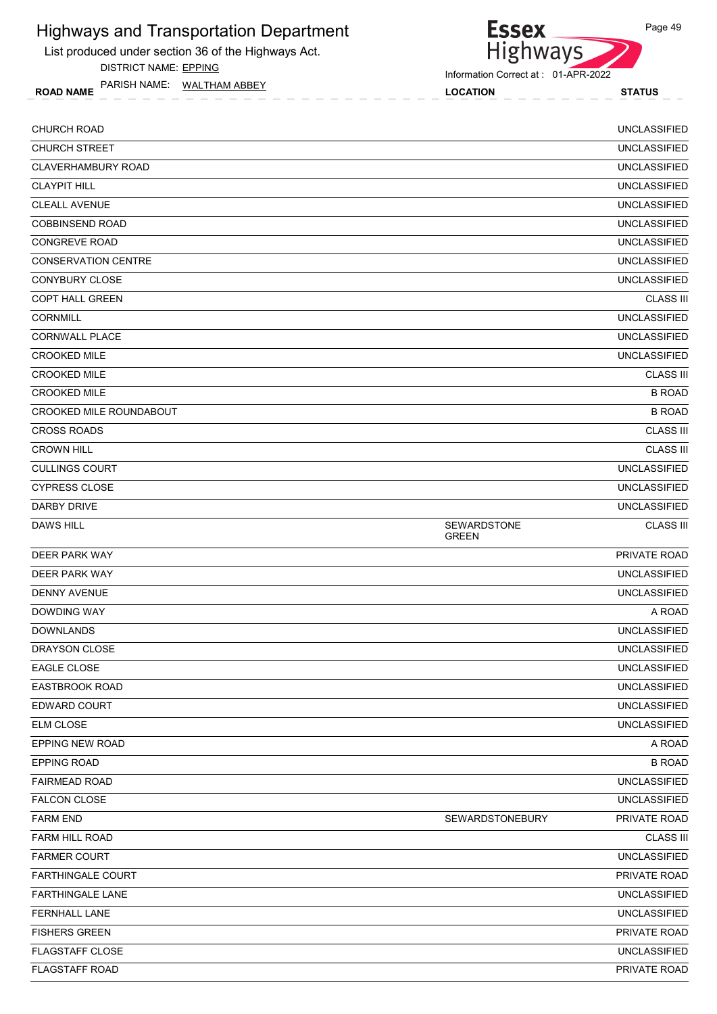List produced under section 36 of the Highways Act.

DISTRICT NAME: EPPING

ROAD NAME LOCATION STATUS PARISH NAME: WALTHAM ABBEY



**Essex** 

| <b>CHURCH ROAD</b>         |                             | <b>UNCLASSIFIED</b> |
|----------------------------|-----------------------------|---------------------|
| <b>CHURCH STREET</b>       |                             | <b>UNCLASSIFIED</b> |
| CLAVERHAMBURY ROAD         |                             | <b>UNCLASSIFIED</b> |
| <b>CLAYPIT HILL</b>        |                             | <b>UNCLASSIFIED</b> |
| <b>CLEALL AVENUE</b>       |                             | <b>UNCLASSIFIED</b> |
| <b>COBBINSEND ROAD</b>     |                             | <b>UNCLASSIFIED</b> |
| <b>CONGREVE ROAD</b>       |                             | <b>UNCLASSIFIED</b> |
| <b>CONSERVATION CENTRE</b> |                             | <b>UNCLASSIFIED</b> |
| <b>CONYBURY CLOSE</b>      |                             | <b>UNCLASSIFIED</b> |
| COPT HALL GREEN            |                             | <b>CLASS III</b>    |
| <b>CORNMILL</b>            |                             | <b>UNCLASSIFIED</b> |
| <b>CORNWALL PLACE</b>      |                             | <b>UNCLASSIFIED</b> |
| <b>CROOKED MILE</b>        |                             | <b>UNCLASSIFIED</b> |
| <b>CROOKED MILE</b>        |                             | <b>CLASS III</b>    |
| <b>CROOKED MILE</b>        |                             | <b>B ROAD</b>       |
| CROOKED MILE ROUNDABOUT    |                             | <b>B ROAD</b>       |
| <b>CROSS ROADS</b>         |                             | <b>CLASS III</b>    |
| <b>CROWN HILL</b>          |                             | <b>CLASS III</b>    |
| <b>CULLINGS COURT</b>      |                             | <b>UNCLASSIFIED</b> |
| <b>CYPRESS CLOSE</b>       |                             | <b>UNCLASSIFIED</b> |
| DARBY DRIVE                |                             | <b>UNCLASSIFIED</b> |
| <b>DAWS HILL</b>           | SEWARDSTONE<br><b>GREEN</b> | <b>CLASS III</b>    |
| <b>DEER PARK WAY</b>       |                             | PRIVATE ROAD        |
| <b>DEER PARK WAY</b>       |                             | <b>UNCLASSIFIED</b> |
| <b>DENNY AVENUE</b>        |                             | <b>UNCLASSIFIED</b> |
| <b>DOWDING WAY</b>         |                             | A ROAD              |
| <b>DOWNLANDS</b>           |                             | <b>UNCLASSIFIED</b> |
| DRAYSON CLOSE              |                             | <b>UNCLASSIFIED</b> |
| EAGLE CLOSE                |                             | <b>UNCLASSIFIED</b> |
| <b>EASTBROOK ROAD</b>      |                             | <b>UNCLASSIFIED</b> |
| <b>EDWARD COURT</b>        |                             | UNCLASSIFIED        |
| <b>ELM CLOSE</b>           |                             | <b>UNCLASSIFIED</b> |
| <b>EPPING NEW ROAD</b>     |                             | A ROAD              |
| <b>EPPING ROAD</b>         |                             | <b>B ROAD</b>       |
| <b>FAIRMEAD ROAD</b>       |                             | <b>UNCLASSIFIED</b> |
| <b>FALCON CLOSE</b>        |                             | <b>UNCLASSIFIED</b> |
| <b>FARM END</b>            | <b>SEWARDSTONEBURY</b>      | PRIVATE ROAD        |
| <b>FARM HILL ROAD</b>      |                             | <b>CLASS III</b>    |
| <b>FARMER COURT</b>        |                             | <b>UNCLASSIFIED</b> |
| <b>FARTHINGALE COURT</b>   |                             | PRIVATE ROAD        |
| <b>FARTHINGALE LANE</b>    |                             | <b>UNCLASSIFIED</b> |
| <b>FERNHALL LANE</b>       |                             | <b>UNCLASSIFIED</b> |
| <b>FISHERS GREEN</b>       |                             | PRIVATE ROAD        |
| <b>FLAGSTAFF CLOSE</b>     |                             | <b>UNCLASSIFIED</b> |
| <b>FLAGSTAFF ROAD</b>      |                             | PRIVATE ROAD        |
|                            |                             |                     |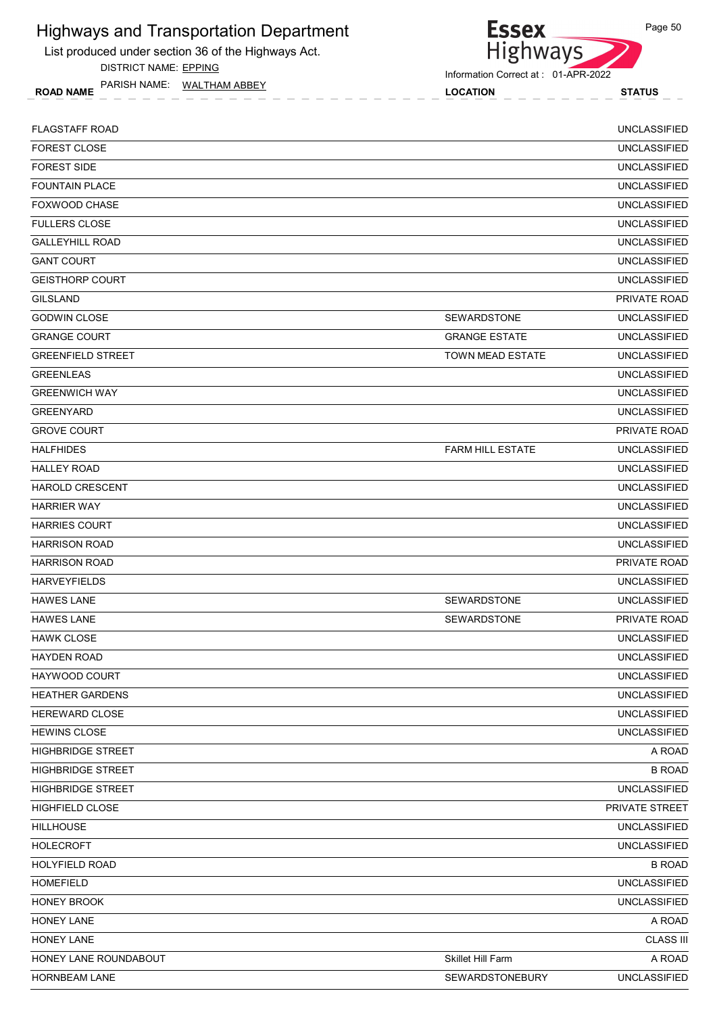List produced under section 36 of the Highways Act. DISTRICT NAME: EPPING

ROAD NAME LOCATION STATUS PARISH NAME: WALTHAM ABBEY



| <b>FLAGSTAFF ROAD</b>    |                         | <b>UNCLASSIFIED</b> |
|--------------------------|-------------------------|---------------------|
| <b>FOREST CLOSE</b>      |                         | <b>UNCLASSIFIED</b> |
| <b>FOREST SIDE</b>       |                         | <b>UNCLASSIFIED</b> |
| <b>FOUNTAIN PLACE</b>    |                         | <b>UNCLASSIFIED</b> |
| <b>FOXWOOD CHASE</b>     |                         | <b>UNCLASSIFIED</b> |
| <b>FULLERS CLOSE</b>     |                         | <b>UNCLASSIFIED</b> |
| <b>GALLEYHILL ROAD</b>   |                         | <b>UNCLASSIFIED</b> |
| <b>GANT COURT</b>        |                         | <b>UNCLASSIFIED</b> |
| <b>GEISTHORP COURT</b>   |                         | <b>UNCLASSIFIED</b> |
| <b>GILSLAND</b>          |                         | <b>PRIVATE ROAD</b> |
| <b>GODWIN CLOSE</b>      | <b>SEWARDSTONE</b>      | <b>UNCLASSIFIED</b> |
| <b>GRANGE COURT</b>      | <b>GRANGE ESTATE</b>    | <b>UNCLASSIFIED</b> |
| <b>GREENFIELD STREET</b> | <b>TOWN MEAD ESTATE</b> | <b>UNCLASSIFIED</b> |
| <b>GREENLEAS</b>         |                         | <b>UNCLASSIFIED</b> |
| <b>GREENWICH WAY</b>     |                         | <b>UNCLASSIFIED</b> |
| <b>GREENYARD</b>         |                         | <b>UNCLASSIFIED</b> |
| <b>GROVE COURT</b>       |                         | PRIVATE ROAD        |
| <b>HALFHIDES</b>         | <b>FARM HILL ESTATE</b> | <b>UNCLASSIFIED</b> |
| <b>HALLEY ROAD</b>       |                         | <b>UNCLASSIFIED</b> |
| <b>HAROLD CRESCENT</b>   |                         | <b>UNCLASSIFIED</b> |
| <b>HARRIER WAY</b>       |                         | <b>UNCLASSIFIED</b> |
| <b>HARRIES COURT</b>     |                         | <b>UNCLASSIFIED</b> |
| <b>HARRISON ROAD</b>     |                         | <b>UNCLASSIFIED</b> |
| <b>HARRISON ROAD</b>     |                         | PRIVATE ROAD        |
| <b>HARVEYFIELDS</b>      |                         | <b>UNCLASSIFIED</b> |
| <b>HAWES LANE</b>        | <b>SEWARDSTONE</b>      | <b>UNCLASSIFIED</b> |
| <b>HAWES LANE</b>        | SEWARDSTONE             | PRIVATE ROAD        |
| <b>HAWK CLOSE</b>        |                         | <b>UNCLASSIFIED</b> |
| <b>HAYDEN ROAD</b>       |                         | <b>UNCLASSIFIED</b> |
| HAYWOOD COURT            |                         | <b>UNCLASSIFIED</b> |
| <b>HEATHER GARDENS</b>   |                         | <b>UNCLASSIFIED</b> |
| HEREWARD CLOSE           |                         | <b>UNCLASSIFIED</b> |
| <b>HEWINS CLOSE</b>      |                         | <b>UNCLASSIFIED</b> |
| <b>HIGHBRIDGE STREET</b> |                         | A ROAD              |
| <b>HIGHBRIDGE STREET</b> |                         | <b>B ROAD</b>       |
| <b>HIGHBRIDGE STREET</b> |                         | <b>UNCLASSIFIED</b> |
| HIGHFIELD CLOSE          |                         | PRIVATE STREET      |
| <b>HILLHOUSE</b>         |                         | <b>UNCLASSIFIED</b> |
| <b>HOLECROFT</b>         |                         | <b>UNCLASSIFIED</b> |
| <b>HOLYFIELD ROAD</b>    |                         | <b>B ROAD</b>       |
| <b>HOMEFIELD</b>         |                         | <b>UNCLASSIFIED</b> |
| HONEY BROOK              |                         | <b>UNCLASSIFIED</b> |
| HONEY LANE               |                         | A ROAD              |
| HONEY LANE               |                         | <b>CLASS III</b>    |
| HONEY LANE ROUNDABOUT    | Skillet Hill Farm       | A ROAD              |
| HORNBEAM LANE            | <b>SEWARDSTONEBURY</b>  | <b>UNCLASSIFIED</b> |
|                          |                         |                     |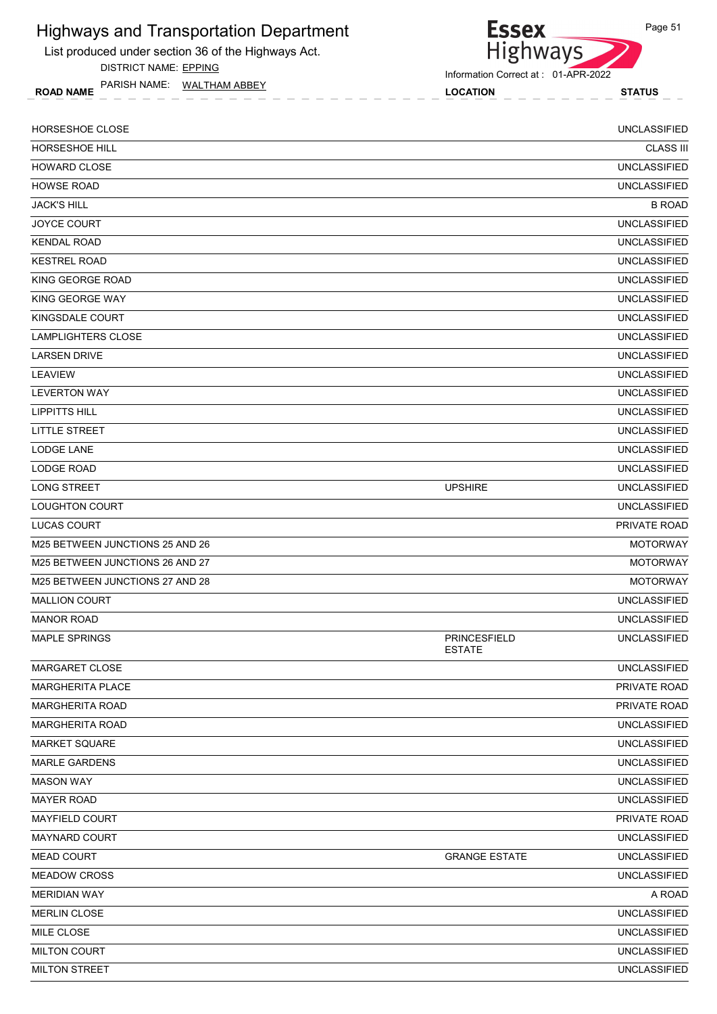List produced under section 36 of the Highways Act.

DISTRICT NAME: EPPING

ROAD NAME LOCATION STATUS PARISH NAME: WALTHAM ABBEY

Information Correct at : 01-APR-2022

Highways

**Essex** 

| <b>HORSESHOE CLOSE</b>          |                                      | <b>UNCLASSIFIED</b> |
|---------------------------------|--------------------------------------|---------------------|
| HORSESHOE HILL                  |                                      | <b>CLASS III</b>    |
| <b>HOWARD CLOSE</b>             |                                      | <b>UNCLASSIFIED</b> |
| <b>HOWSE ROAD</b>               |                                      | <b>UNCLASSIFIED</b> |
| <b>JACK'S HILL</b>              |                                      | <b>B ROAD</b>       |
| JOYCE COURT                     |                                      | <b>UNCLASSIFIED</b> |
| <b>KENDAL ROAD</b>              |                                      | <b>UNCLASSIFIED</b> |
| <b>KESTREL ROAD</b>             |                                      | <b>UNCLASSIFIED</b> |
| KING GEORGE ROAD                |                                      | <b>UNCLASSIFIED</b> |
| KING GEORGE WAY                 |                                      | <b>UNCLASSIFIED</b> |
| KINGSDALE COURT                 |                                      | <b>UNCLASSIFIED</b> |
| <b>LAMPLIGHTERS CLOSE</b>       |                                      | <b>UNCLASSIFIED</b> |
| <b>LARSEN DRIVE</b>             |                                      | <b>UNCLASSIFIED</b> |
| <b>LEAVIEW</b>                  |                                      | <b>UNCLASSIFIED</b> |
| <b>LEVERTON WAY</b>             |                                      | <b>UNCLASSIFIED</b> |
| <b>LIPPITTS HILL</b>            |                                      | <b>UNCLASSIFIED</b> |
| LITTLE STREET                   |                                      | <b>UNCLASSIFIED</b> |
| <b>LODGE LANE</b>               |                                      | <b>UNCLASSIFIED</b> |
| <b>LODGE ROAD</b>               |                                      | <b>UNCLASSIFIED</b> |
| <b>LONG STREET</b>              | <b>UPSHIRE</b>                       | <b>UNCLASSIFIED</b> |
| <b>LOUGHTON COURT</b>           |                                      | <b>UNCLASSIFIED</b> |
| <b>LUCAS COURT</b>              |                                      | PRIVATE ROAD        |
| M25 BETWEEN JUNCTIONS 25 AND 26 |                                      | <b>MOTORWAY</b>     |
| M25 BETWEEN JUNCTIONS 26 AND 27 |                                      | <b>MOTORWAY</b>     |
| M25 BETWEEN JUNCTIONS 27 AND 28 |                                      | <b>MOTORWAY</b>     |
| <b>MALLION COURT</b>            |                                      | <b>UNCLASSIFIED</b> |
| <b>MANOR ROAD</b>               |                                      | <b>UNCLASSIFIED</b> |
| <b>MAPLE SPRINGS</b>            | <b>PRINCESFIELD</b><br><b>ESTATE</b> | <b>UNCLASSIFIED</b> |
| MARGARET CLOSE                  |                                      | <b>UNCLASSIFIED</b> |
| <b>MARGHERITA PLACE</b>         |                                      | PRIVATE ROAD        |
| <b>MARGHERITA ROAD</b>          |                                      | PRIVATE ROAD        |
| <b>MARGHERITA ROAD</b>          |                                      | <b>UNCLASSIFIED</b> |
| <b>MARKET SQUARE</b>            |                                      | <b>UNCLASSIFIED</b> |
| <b>MARLE GARDENS</b>            |                                      | <b>UNCLASSIFIED</b> |
| <b>MASON WAY</b>                |                                      | <b>UNCLASSIFIED</b> |
| <b>MAYER ROAD</b>               |                                      | <b>UNCLASSIFIED</b> |
| MAYFIELD COURT                  |                                      | PRIVATE ROAD        |
| <b>MAYNARD COURT</b>            |                                      | <b>UNCLASSIFIED</b> |
| <b>MEAD COURT</b>               | <b>GRANGE ESTATE</b>                 | <b>UNCLASSIFIED</b> |
| <b>MEADOW CROSS</b>             |                                      | <b>UNCLASSIFIED</b> |
| <b>MERIDIAN WAY</b>             |                                      | A ROAD              |
| <b>MERLIN CLOSE</b>             |                                      | <b>UNCLASSIFIED</b> |
| MILE CLOSE                      |                                      | <b>UNCLASSIFIED</b> |
| <b>MILTON COURT</b>             |                                      | <b>UNCLASSIFIED</b> |
| <b>MILTON STREET</b>            |                                      | <b>UNCLASSIFIED</b> |
|                                 |                                      |                     |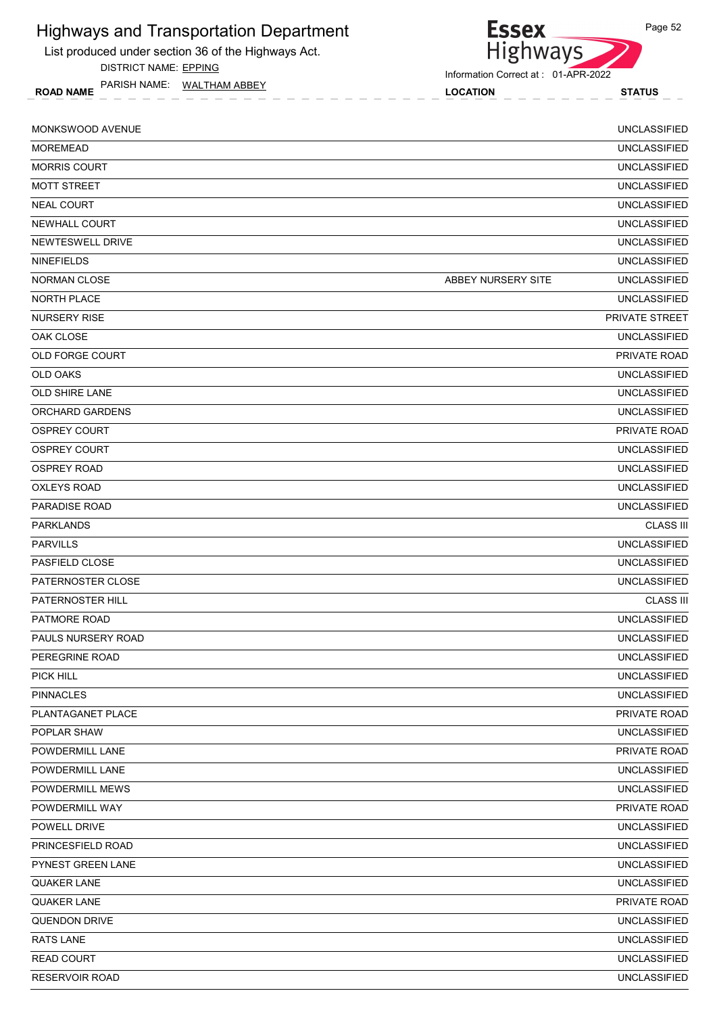List produced under section 36 of the Highways Act.

DISTRICT NAME: EPPING

ROAD NAME LOCATION STATUS PARISH NAME: WALTHAM ABBEY



**Essex** 

| MONKSWOOD AVENUE       |                    | <b>UNCLASSIFIED</b> |
|------------------------|--------------------|---------------------|
| <b>MOREMEAD</b>        |                    | <b>UNCLASSIFIED</b> |
| <b>MORRIS COURT</b>    |                    | <b>UNCLASSIFIED</b> |
| <b>MOTT STREET</b>     |                    | <b>UNCLASSIFIED</b> |
| <b>NEAL COURT</b>      |                    | <b>UNCLASSIFIED</b> |
| NEWHALL COURT          |                    | <b>UNCLASSIFIED</b> |
| NEWTESWELL DRIVE       |                    | <b>UNCLASSIFIED</b> |
| <b>NINEFIELDS</b>      |                    | <b>UNCLASSIFIED</b> |
| <b>NORMAN CLOSE</b>    | ABBEY NURSERY SITE | <b>UNCLASSIFIED</b> |
| <b>NORTH PLACE</b>     |                    | <b>UNCLASSIFIED</b> |
| <b>NURSERY RISE</b>    |                    | PRIVATE STREET      |
| OAK CLOSE              |                    | <b>UNCLASSIFIED</b> |
| OLD FORGE COURT        |                    | <b>PRIVATE ROAD</b> |
| <b>OLD OAKS</b>        |                    | <b>UNCLASSIFIED</b> |
| <b>OLD SHIRE LANE</b>  |                    | <b>UNCLASSIFIED</b> |
| <b>ORCHARD GARDENS</b> |                    | <b>UNCLASSIFIED</b> |
| <b>OSPREY COURT</b>    |                    | PRIVATE ROAD        |
| <b>OSPREY COURT</b>    |                    | <b>UNCLASSIFIED</b> |
| <b>OSPREY ROAD</b>     |                    | <b>UNCLASSIFIED</b> |
| <b>OXLEYS ROAD</b>     |                    | <b>UNCLASSIFIED</b> |
| <b>PARADISE ROAD</b>   |                    | <b>UNCLASSIFIED</b> |
| <b>PARKLANDS</b>       |                    | <b>CLASS III</b>    |
| <b>PARVILLS</b>        |                    | <b>UNCLASSIFIED</b> |
| PASFIELD CLOSE         |                    | <b>UNCLASSIFIED</b> |
| PATERNOSTER CLOSE      |                    | <b>UNCLASSIFIED</b> |
| PATERNOSTER HILL       |                    | <b>CLASS III</b>    |
| PATMORE ROAD           |                    | <b>UNCLASSIFIED</b> |
| PAULS NURSERY ROAD     |                    | <b>UNCLASSIFIED</b> |
| PEREGRINE ROAD         |                    | <b>UNCLASSIFIED</b> |
| PICK HILL              |                    | <b>UNCLASSIFIED</b> |
| <b>PINNACLES</b>       |                    | <b>UNCLASSIFIED</b> |
| PLANTAGANET PLACE      |                    | PRIVATE ROAD        |
| POPLAR SHAW            |                    | <b>UNCLASSIFIED</b> |
| POWDERMILL LANE        |                    | PRIVATE ROAD        |
| POWDERMILL LANE        |                    | <b>UNCLASSIFIED</b> |
| POWDERMILL MEWS        |                    | <b>UNCLASSIFIED</b> |
| POWDERMILL WAY         |                    | PRIVATE ROAD        |
| POWELL DRIVE           |                    | <b>UNCLASSIFIED</b> |
| PRINCESFIELD ROAD      |                    | <b>UNCLASSIFIED</b> |
| PYNEST GREEN LANE      |                    | <b>UNCLASSIFIED</b> |
| QUAKER LANE            |                    | <b>UNCLASSIFIED</b> |
| QUAKER LANE            |                    | PRIVATE ROAD        |
| QUENDON DRIVE          |                    | <b>UNCLASSIFIED</b> |
| RATS LANE              |                    | <b>UNCLASSIFIED</b> |
| <b>READ COURT</b>      |                    | <b>UNCLASSIFIED</b> |
| <b>RESERVOIR ROAD</b>  |                    | <b>UNCLASSIFIED</b> |
|                        |                    |                     |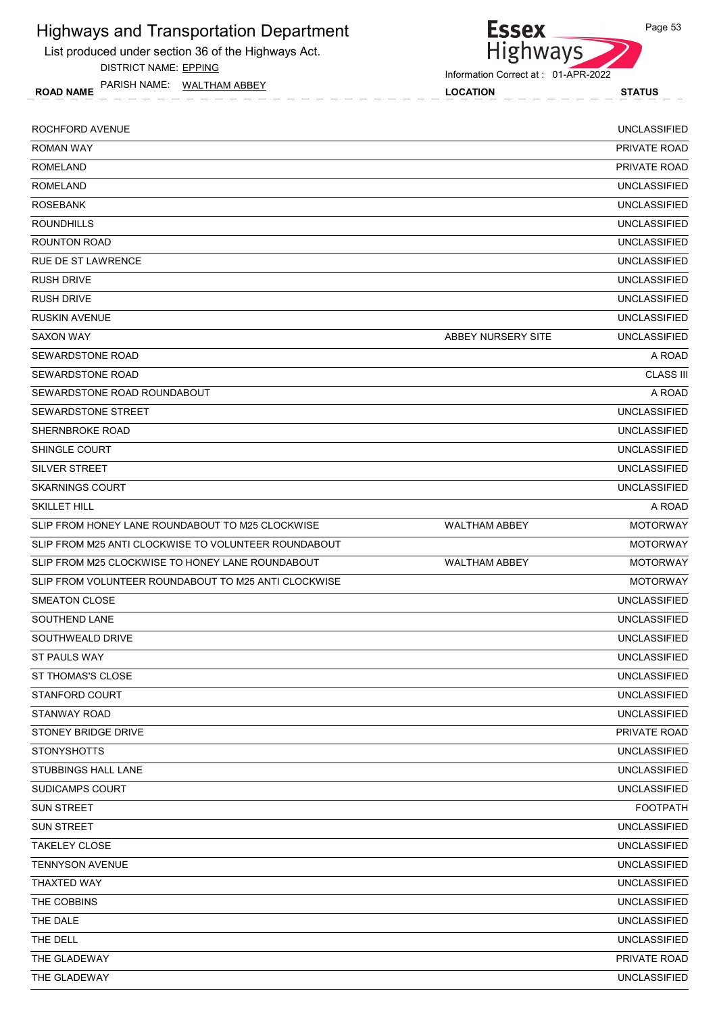List produced under section 36 of the Highways Act.

DISTRICT NAME: EPPING

ROAD NAME LOCATION STATUS PARISH NAME: WALTHAM ABBEY



**Essex** 

| ROCHFORD AVENUE                                      |                      | <b>UNCLASSIFIED</b> |
|------------------------------------------------------|----------------------|---------------------|
| <b>ROMAN WAY</b>                                     |                      | PRIVATE ROAD        |
| <b>ROMELAND</b>                                      |                      | <b>PRIVATE ROAD</b> |
| <b>ROMELAND</b>                                      |                      | <b>UNCLASSIFIED</b> |
| <b>ROSEBANK</b>                                      |                      | <b>UNCLASSIFIED</b> |
| <b>ROUNDHILLS</b>                                    |                      | <b>UNCLASSIFIED</b> |
| ROUNTON ROAD                                         |                      | <b>UNCLASSIFIED</b> |
| RUE DE ST LAWRENCE                                   |                      | <b>UNCLASSIFIED</b> |
| <b>RUSH DRIVE</b>                                    |                      | <b>UNCLASSIFIED</b> |
| <b>RUSH DRIVE</b>                                    |                      | <b>UNCLASSIFIED</b> |
| <b>RUSKIN AVENUE</b>                                 |                      | <b>UNCLASSIFIED</b> |
| <b>SAXON WAY</b>                                     | ABBEY NURSERY SITE   | <b>UNCLASSIFIED</b> |
| SEWARDSTONE ROAD                                     |                      | A ROAD              |
| SEWARDSTONE ROAD                                     |                      | <b>CLASS III</b>    |
| SEWARDSTONE ROAD ROUNDABOUT                          |                      | A ROAD              |
| SEWARDSTONE STREET                                   |                      | <b>UNCLASSIFIED</b> |
| SHERNBROKE ROAD                                      |                      | <b>UNCLASSIFIED</b> |
| <b>SHINGLE COURT</b>                                 |                      | <b>UNCLASSIFIED</b> |
| SILVER STREET                                        |                      | <b>UNCLASSIFIED</b> |
| <b>SKARNINGS COURT</b>                               |                      | <b>UNCLASSIFIED</b> |
| <b>SKILLET HILL</b>                                  |                      | A ROAD              |
| SLIP FROM HONEY LANE ROUNDABOUT TO M25 CLOCKWISE     | <b>WALTHAM ABBEY</b> | <b>MOTORWAY</b>     |
| SLIP FROM M25 ANTI CLOCKWISE TO VOLUNTEER ROUNDABOUT |                      | <b>MOTORWAY</b>     |
| SLIP FROM M25 CLOCKWISE TO HONEY LANE ROUNDABOUT     | <b>WALTHAM ABBEY</b> | <b>MOTORWAY</b>     |
| SLIP FROM VOLUNTEER ROUNDABOUT TO M25 ANTI CLOCKWISE |                      | <b>MOTORWAY</b>     |
| SMEATON CLOSE                                        |                      | <b>UNCLASSIFIED</b> |
| SOUTHEND LANE                                        |                      | <b>UNCLASSIFIED</b> |
| SOUTHWEALD DRIVE                                     |                      | <b>UNCLASSIFIED</b> |
| <b>ST PAULS WAY</b>                                  |                      | <b>UNCLASSIFIED</b> |
| ST THOMAS'S CLOSE                                    |                      | <b>UNCLASSIFIED</b> |
| STANFORD COURT                                       |                      | <b>UNCLASSIFIED</b> |
| STANWAY ROAD                                         |                      | <b>UNCLASSIFIED</b> |
| <b>STONEY BRIDGE DRIVE</b>                           |                      | PRIVATE ROAD        |
| <b>STONYSHOTTS</b>                                   |                      | <b>UNCLASSIFIED</b> |
| <b>STUBBINGS HALL LANE</b>                           |                      | <b>UNCLASSIFIED</b> |
| <b>SUDICAMPS COURT</b>                               |                      | UNCLASSIFIED        |
| SUN STREET                                           |                      | <b>FOOTPATH</b>     |
| SUN STREET                                           |                      | <b>UNCLASSIFIED</b> |
| <b>TAKELEY CLOSE</b>                                 |                      | <b>UNCLASSIFIED</b> |
| <b>TENNYSON AVENUE</b>                               |                      | <b>UNCLASSIFIED</b> |
| THAXTED WAY                                          |                      | UNCLASSIFIED        |
| THE COBBINS                                          |                      | <b>UNCLASSIFIED</b> |
| THE DALE                                             |                      | <b>UNCLASSIFIED</b> |
| THE DELL                                             |                      | <b>UNCLASSIFIED</b> |
| THE GLADEWAY                                         |                      | PRIVATE ROAD        |
| THE GLADEWAY                                         |                      | <b>UNCLASSIFIED</b> |
|                                                      |                      |                     |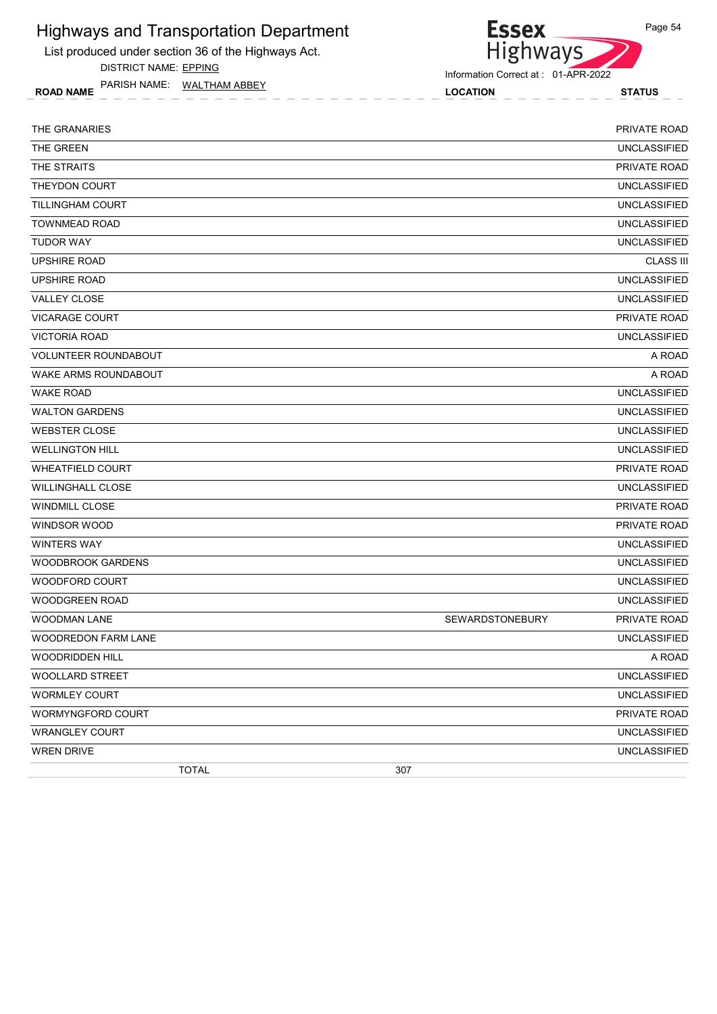List produced under section 36 of the Highways Act.

DISTRICT NAME: EPPING

ROAD NAME LOCATION STATUS PARISH NAME: WALTHAM ABBEY

**Essex** Highways

Information Correct at : 01-APR-2022

| THE GRANARIES               | <b>PRIVATE ROAD</b>                    |
|-----------------------------|----------------------------------------|
| THE GREEN                   | <b>UNCLASSIFIED</b>                    |
| THE STRAITS                 | PRIVATE ROAD                           |
| <b>THEYDON COURT</b>        | <b>UNCLASSIFIED</b>                    |
| <b>TILLINGHAM COURT</b>     | <b>UNCLASSIFIED</b>                    |
| <b>TOWNMEAD ROAD</b>        | <b>UNCLASSIFIED</b>                    |
| <b>TUDOR WAY</b>            | <b>UNCLASSIFIED</b>                    |
| <b>UPSHIRE ROAD</b>         | <b>CLASS III</b>                       |
| <b>UPSHIRE ROAD</b>         | <b>UNCLASSIFIED</b>                    |
| <b>VALLEY CLOSE</b>         | <b>UNCLASSIFIED</b>                    |
| <b>VICARAGE COURT</b>       | PRIVATE ROAD                           |
| <b>VICTORIA ROAD</b>        | <b>UNCLASSIFIED</b>                    |
| <b>VOLUNTEER ROUNDABOUT</b> | A ROAD                                 |
| <b>WAKE ARMS ROUNDABOUT</b> | A ROAD                                 |
| <b>WAKE ROAD</b>            | <b>UNCLASSIFIED</b>                    |
| <b>WALTON GARDENS</b>       | <b>UNCLASSIFIED</b>                    |
| <b>WEBSTER CLOSE</b>        | <b>UNCLASSIFIED</b>                    |
| <b>WELLINGTON HILL</b>      | <b>UNCLASSIFIED</b>                    |
| <b>WHEATFIELD COURT</b>     | PRIVATE ROAD                           |
| <b>WILLINGHALL CLOSE</b>    | <b>UNCLASSIFIED</b>                    |
| <b>WINDMILL CLOSE</b>       | <b>PRIVATE ROAD</b>                    |
| WINDSOR WOOD                | PRIVATE ROAD                           |
| <b>WINTERS WAY</b>          | <b>UNCLASSIFIED</b>                    |
| <b>WOODBROOK GARDENS</b>    | <b>UNCLASSIFIED</b>                    |
| WOODFORD COURT              | <b>UNCLASSIFIED</b>                    |
| <b>WOODGREEN ROAD</b>       | <b>UNCLASSIFIED</b>                    |
| <b>WOODMAN LANE</b>         | <b>SEWARDSTONEBURY</b><br>PRIVATE ROAD |
| <b>WOODREDON FARM LANE</b>  | <b>UNCLASSIFIED</b>                    |
| WOODRIDDEN HILL             | A ROAD                                 |
| WOOLLARD STREET             | <b>UNCLASSIFIED</b>                    |
| <b>WORMLEY COURT</b>        | <b>UNCLASSIFIED</b>                    |
| WORMYNGFORD COURT           | PRIVATE ROAD                           |
| <b>WRANGLEY COURT</b>       | <b>UNCLASSIFIED</b>                    |
| <b>WREN DRIVE</b>           | <b>UNCLASSIFIED</b>                    |
| <b>TOTAL</b>                | 307                                    |